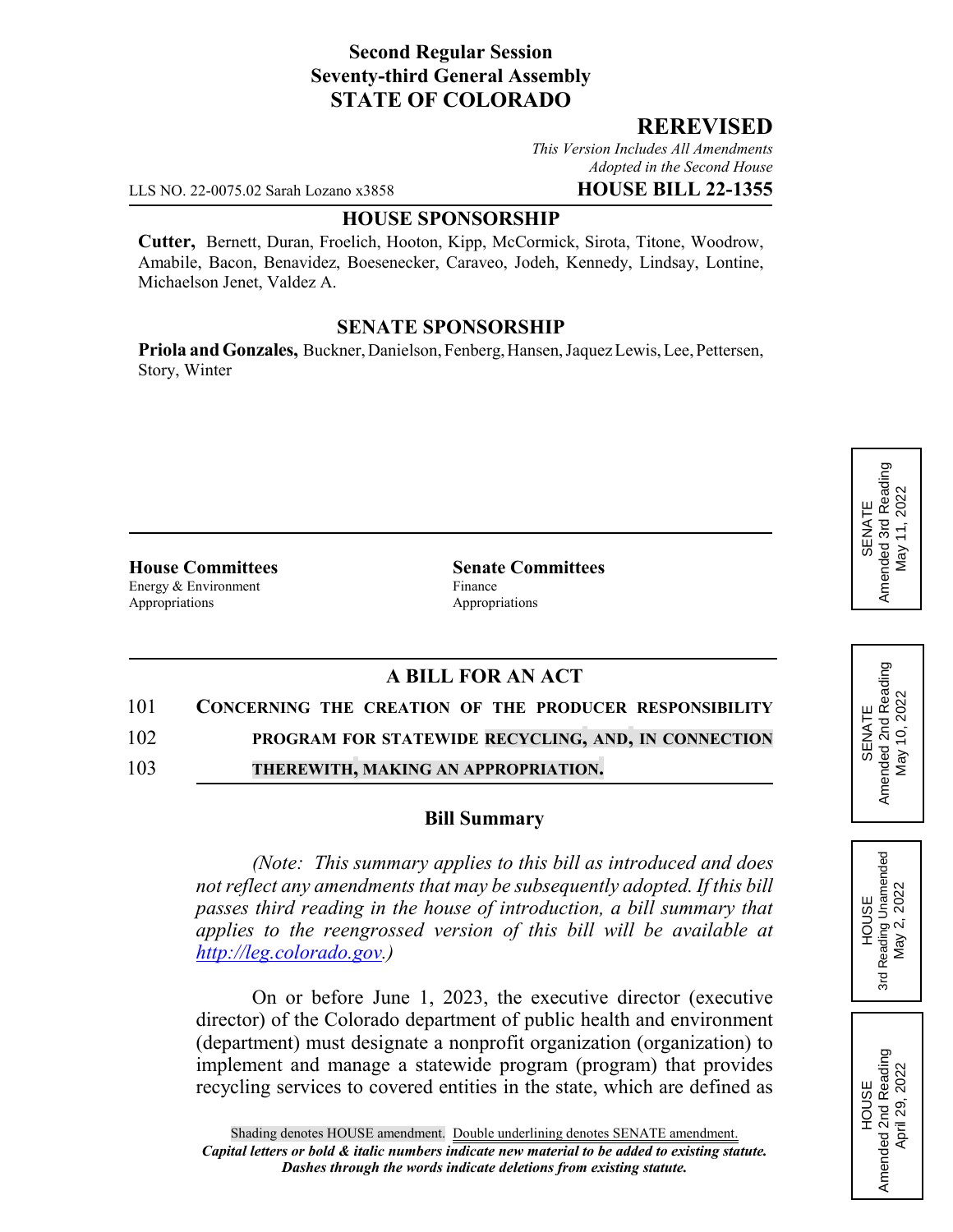# **Second Regular Session Seventy-third General Assembly STATE OF COLORADO**

# **REREVISED**

*This Version Includes All Amendments Adopted in the Second House*

LLS NO. 22-0075.02 Sarah Lozano x3858 **HOUSE BILL 22-1355**

# **HOUSE SPONSORSHIP**

**Cutter,** Bernett, Duran, Froelich, Hooton, Kipp, McCormick, Sirota, Titone, Woodrow, Amabile, Bacon, Benavidez, Boesenecker, Caraveo, Jodeh, Kennedy, Lindsay, Lontine, Michaelson Jenet, Valdez A.

## **SENATE SPONSORSHIP**

**Priola and Gonzales,** Buckner, Danielson, Fenberg, Hansen, Jaquez Lewis, Lee, Pettersen, Story, Winter

**House Committees Senate Committees** Energy & Environment Finance Appropriations **Appropriations** 

# **A BILL FOR AN ACT**

#### 101 **CONCERNING THE CREATION OF THE PRODUCER RESPONSIBILITY**

102 **PROGRAM FOR STATEWIDE RECYCLING, AND, IN CONNECTION**

103 **THEREWITH, MAKING AN APPROPRIATION.**

### **Bill Summary**

*(Note: This summary applies to this bill as introduced and does not reflect any amendments that may be subsequently adopted. If this bill passes third reading in the house of introduction, a bill summary that applies to the reengrossed version of this bill will be available at http://leg.colorado.gov.)*

On or before June 1, 2023, the executive director (executive director) of the Colorado department of public health and environment (department) must designate a nonprofit organization (organization) to implement and manage a statewide program (program) that provides recycling services to covered entities in the state, which are defined as

SENATE<br>Amended 2nd Reading<br>May 10, 2022 Amended 2nd Reading May 10, 2022

HOUSE<br>Reading Unamended<br>May 2, 2022 3rd Reading Unamended May 2, 2022

3rd

HOUSE<br>Amended 2nd Reading Amended 2nd Reading April 29, 2022

April 29, 2022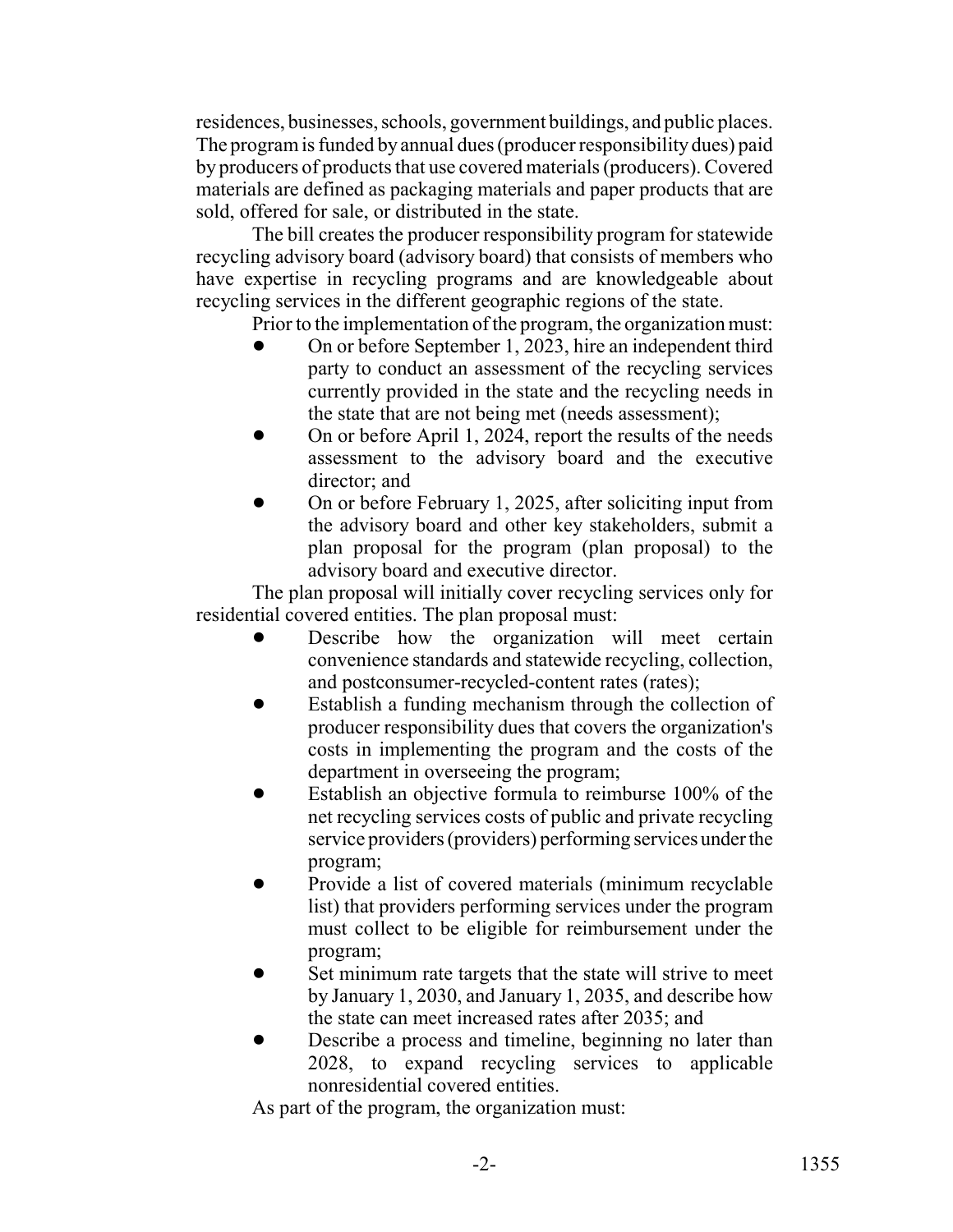residences, businesses, schools, government buildings, and public places. The program is funded by annual dues (producer responsibility dues) paid by producers of products that use covered materials (producers). Covered materials are defined as packaging materials and paper products that are sold, offered for sale, or distributed in the state.

The bill creates the producer responsibility program for statewide recycling advisory board (advisory board) that consists of members who have expertise in recycling programs and are knowledgeable about recycling services in the different geographic regions of the state.

Prior to the implementation of the program, the organization must:

- ! On or before September 1, 2023, hire an independent third party to conduct an assessment of the recycling services currently provided in the state and the recycling needs in the state that are not being met (needs assessment);
- ! On or before April 1, 2024, report the results of the needs assessment to the advisory board and the executive director; and
- ! On or before February 1, 2025, after soliciting input from the advisory board and other key stakeholders, submit a plan proposal for the program (plan proposal) to the advisory board and executive director.

The plan proposal will initially cover recycling services only for residential covered entities. The plan proposal must:

- Describe how the organization will meet certain convenience standards and statewide recycling, collection, and postconsumer-recycled-content rates (rates);
- Establish a funding mechanism through the collection of producer responsibility dues that covers the organization's costs in implementing the program and the costs of the department in overseeing the program;
- Establish an objective formula to reimburse 100% of the net recycling services costs of public and private recycling service providers (providers) performing services under the program;
- Provide a list of covered materials (minimum recyclable list) that providers performing services under the program must collect to be eligible for reimbursement under the program;
- Set minimum rate targets that the state will strive to meet by January 1, 2030, and January 1, 2035, and describe how the state can meet increased rates after 2035; and
- Describe a process and timeline, beginning no later than 2028, to expand recycling services to applicable nonresidential covered entities.

As part of the program, the organization must: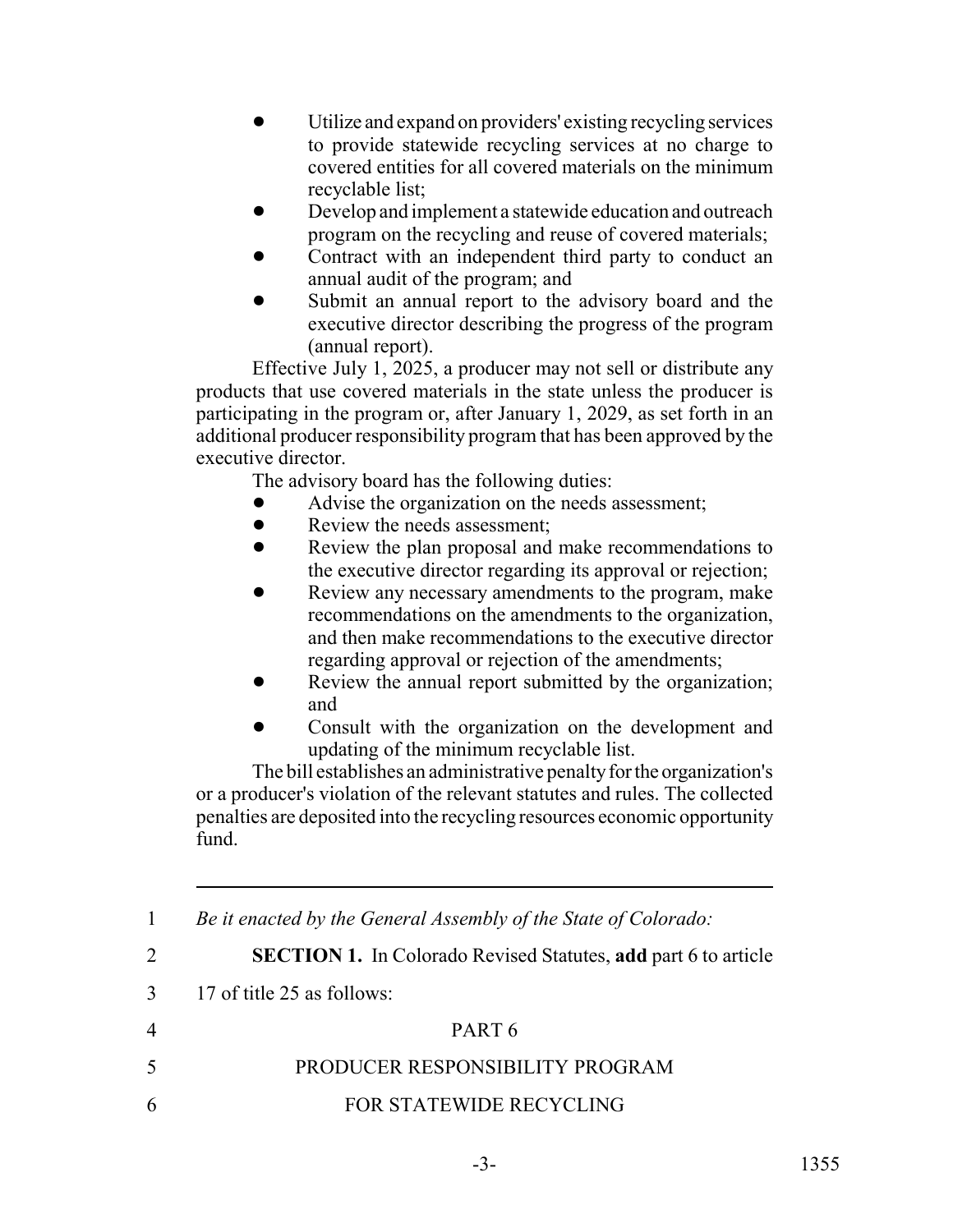- Utilize and expand on providers' existing recycling services to provide statewide recycling services at no charge to covered entities for all covered materials on the minimum recyclable list;
- ! Develop and implement a statewide education and outreach program on the recycling and reuse of covered materials;
- ! Contract with an independent third party to conduct an annual audit of the program; and
- Submit an annual report to the advisory board and the executive director describing the progress of the program (annual report).

Effective July 1, 2025, a producer may not sell or distribute any products that use covered materials in the state unless the producer is participating in the program or, after January 1, 2029, as set forth in an additional producer responsibility program that has been approved by the executive director.

The advisory board has the following duties:

- Advise the organization on the needs assessment;
- Review the needs assessment:
- Review the plan proposal and make recommendations to the executive director regarding its approval or rejection;
- Review any necessary amendments to the program, make recommendations on the amendments to the organization, and then make recommendations to the executive director regarding approval or rejection of the amendments;
- Review the annual report submitted by the organization; and
- ! Consult with the organization on the development and updating of the minimum recyclable list.

The bill establishes an administrative penalty for the organization's or a producer's violation of the relevant statutes and rules. The collected penalties are deposited into the recycling resources economic opportunity fund.

1 *Be it enacted by the General Assembly of the State of Colorado:*

2 **SECTION 1.** In Colorado Revised Statutes, **add** part 6 to article

3 17 of title 25 as follows:

# 4 PART 6 5 PRODUCER RESPONSIBILITY PROGRAM 6 FOR STATEWIDE RECYCLING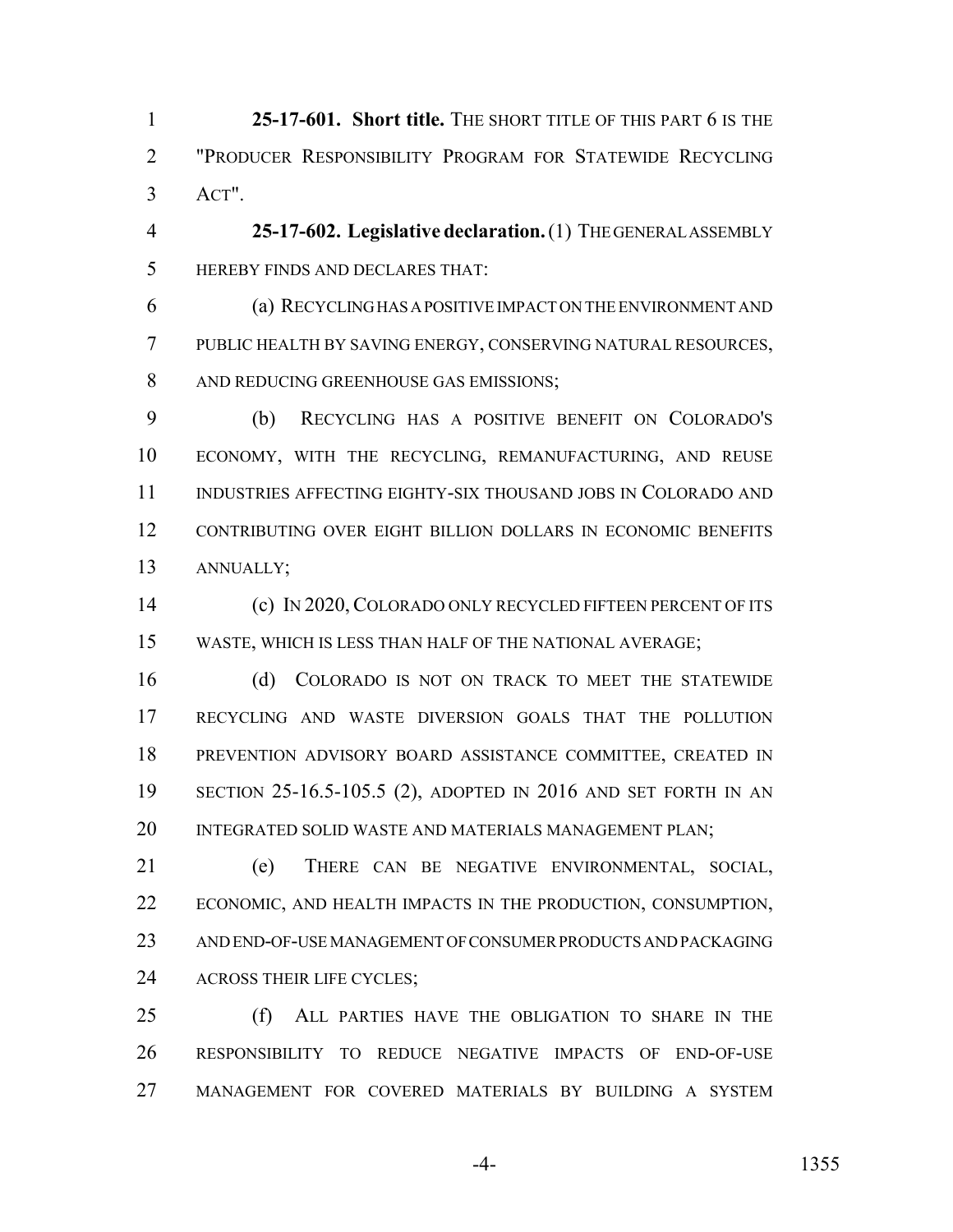**25-17-601. Short title.** THE SHORT TITLE OF THIS PART 6 IS THE "PRODUCER RESPONSIBILITY PROGRAM FOR STATEWIDE RECYCLING ACT".

 **25-17-602. Legislative declaration.** (1) THE GENERAL ASSEMBLY HEREBY FINDS AND DECLARES THAT:

 (a) RECYCLING HAS A POSITIVE IMPACT ON THE ENVIRONMENT AND PUBLIC HEALTH BY SAVING ENERGY, CONSERVING NATURAL RESOURCES, AND REDUCING GREENHOUSE GAS EMISSIONS;

 (b) RECYCLING HAS A POSITIVE BENEFIT ON COLORADO'S ECONOMY, WITH THE RECYCLING, REMANUFACTURING, AND REUSE INDUSTRIES AFFECTING EIGHTY-SIX THOUSAND JOBS IN COLORADO AND CONTRIBUTING OVER EIGHT BILLION DOLLARS IN ECONOMIC BENEFITS ANNUALLY;

 (c) IN 2020,COLORADO ONLY RECYCLED FIFTEEN PERCENT OF ITS WASTE, WHICH IS LESS THAN HALF OF THE NATIONAL AVERAGE;

 (d) COLORADO IS NOT ON TRACK TO MEET THE STATEWIDE RECYCLING AND WASTE DIVERSION GOALS THAT THE POLLUTION PREVENTION ADVISORY BOARD ASSISTANCE COMMITTEE, CREATED IN SECTION 25-16.5-105.5 (2), ADOPTED IN 2016 AND SET FORTH IN AN INTEGRATED SOLID WASTE AND MATERIALS MANAGEMENT PLAN;

 (e) THERE CAN BE NEGATIVE ENVIRONMENTAL, SOCIAL, ECONOMIC, AND HEALTH IMPACTS IN THE PRODUCTION, CONSUMPTION, AND END-OF-USE MANAGEMENT OF CONSUMER PRODUCTS AND PACKAGING ACROSS THEIR LIFE CYCLES;

 (f) ALL PARTIES HAVE THE OBLIGATION TO SHARE IN THE RESPONSIBILITY TO REDUCE NEGATIVE IMPACTS OF END-OF-USE MANAGEMENT FOR COVERED MATERIALS BY BUILDING A SYSTEM

-4- 1355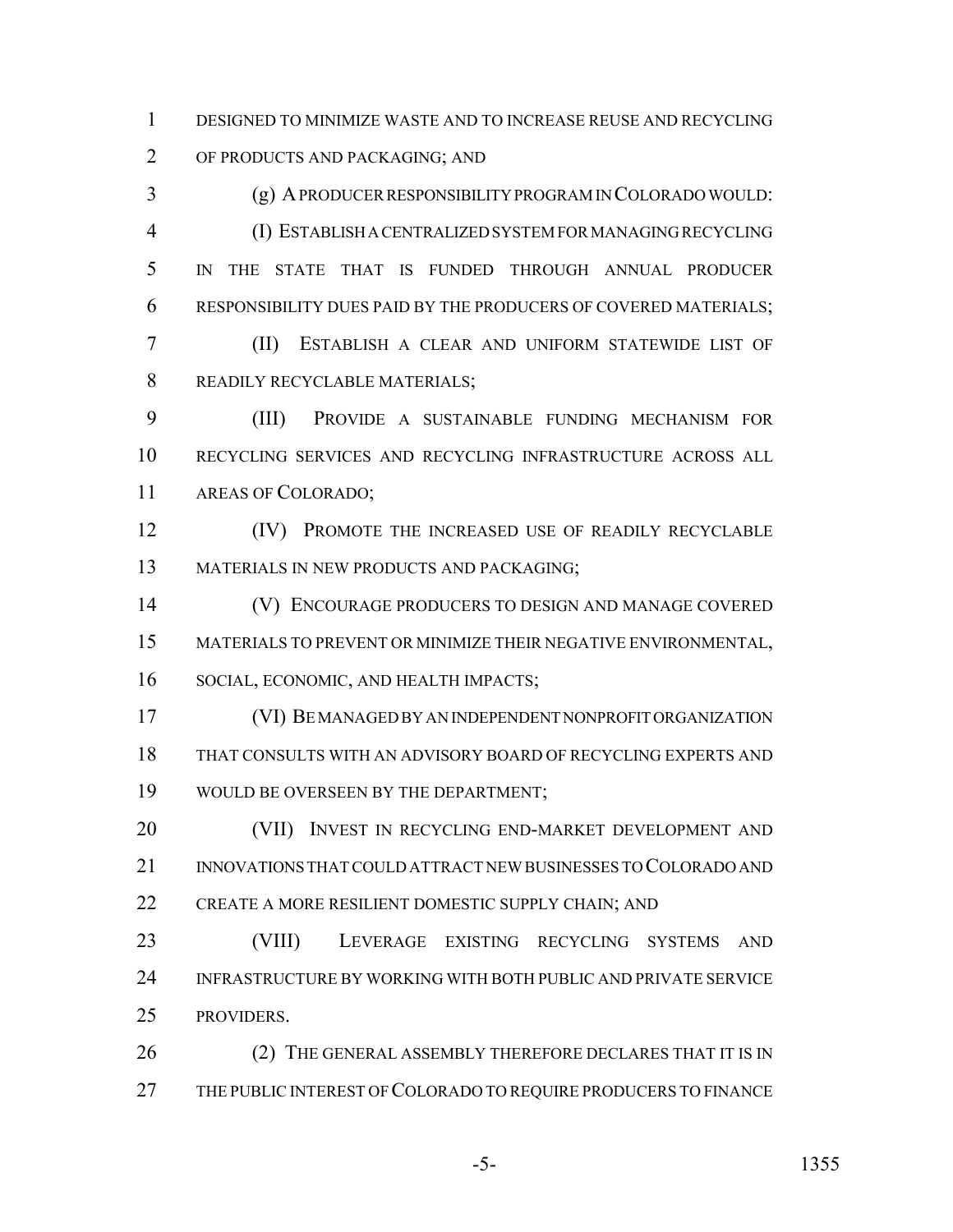DESIGNED TO MINIMIZE WASTE AND TO INCREASE REUSE AND RECYCLING OF PRODUCTS AND PACKAGING; AND

 (g) A PRODUCER RESPONSIBILITY PROGRAM IN COLORADO WOULD: (I) ESTABLISH A CENTRALIZED SYSTEM FOR MANAGING RECYCLING IN THE STATE THAT IS FUNDED THROUGH ANNUAL PRODUCER RESPONSIBILITY DUES PAID BY THE PRODUCERS OF COVERED MATERIALS;

 (II) ESTABLISH A CLEAR AND UNIFORM STATEWIDE LIST OF READILY RECYCLABLE MATERIALS;

 (III) PROVIDE A SUSTAINABLE FUNDING MECHANISM FOR RECYCLING SERVICES AND RECYCLING INFRASTRUCTURE ACROSS ALL AREAS OF COLORADO;

 (IV) PROMOTE THE INCREASED USE OF READILY RECYCLABLE MATERIALS IN NEW PRODUCTS AND PACKAGING;

 (V) ENCOURAGE PRODUCERS TO DESIGN AND MANAGE COVERED MATERIALS TO PREVENT OR MINIMIZE THEIR NEGATIVE ENVIRONMENTAL, SOCIAL, ECONOMIC, AND HEALTH IMPACTS;

 (VI) BE MANAGED BY AN INDEPENDENT NONPROFIT ORGANIZATION THAT CONSULTS WITH AN ADVISORY BOARD OF RECYCLING EXPERTS AND WOULD BE OVERSEEN BY THE DEPARTMENT;

 (VII) INVEST IN RECYCLING END-MARKET DEVELOPMENT AND 21 INNOVATIONS THAT COULD ATTRACT NEW BUSINESSES TO COLORADO AND 22 CREATE A MORE RESILIENT DOMESTIC SUPPLY CHAIN; AND

 (VIII) LEVERAGE EXISTING RECYCLING SYSTEMS AND INFRASTRUCTURE BY WORKING WITH BOTH PUBLIC AND PRIVATE SERVICE PROVIDERS.

26 (2) THE GENERAL ASSEMBLY THEREFORE DECLARES THAT IT IS IN THE PUBLIC INTEREST OF COLORADO TO REQUIRE PRODUCERS TO FINANCE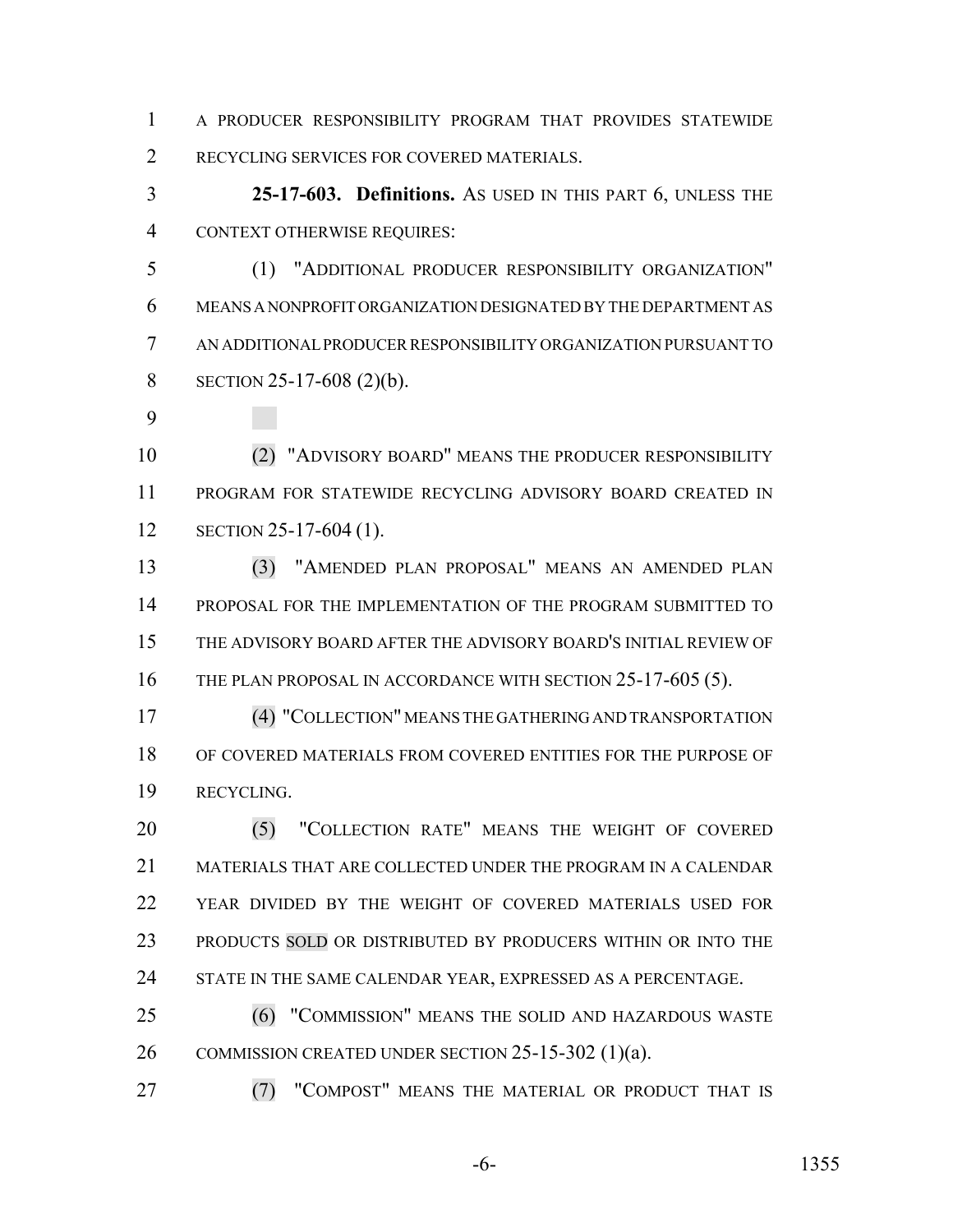A PRODUCER RESPONSIBILITY PROGRAM THAT PROVIDES STATEWIDE RECYCLING SERVICES FOR COVERED MATERIALS.

 **25-17-603. Definitions.** AS USED IN THIS PART 6, UNLESS THE CONTEXT OTHERWISE REQUIRES:

 (1) "ADDITIONAL PRODUCER RESPONSIBILITY ORGANIZATION" MEANS A NONPROFIT ORGANIZATION DESIGNATED BY THE DEPARTMENT AS AN ADDITIONAL PRODUCER RESPONSIBILITY ORGANIZATION PURSUANT TO SECTION 25-17-608 (2)(b).

 (2) "ADVISORY BOARD" MEANS THE PRODUCER RESPONSIBILITY PROGRAM FOR STATEWIDE RECYCLING ADVISORY BOARD CREATED IN SECTION 25-17-604 (1).

 (3) "AMENDED PLAN PROPOSAL" MEANS AN AMENDED PLAN PROPOSAL FOR THE IMPLEMENTATION OF THE PROGRAM SUBMITTED TO THE ADVISORY BOARD AFTER THE ADVISORY BOARD'S INITIAL REVIEW OF 16 THE PLAN PROPOSAL IN ACCORDANCE WITH SECTION 25-17-605 (5).

 (4) "COLLECTION" MEANS THE GATHERING AND TRANSPORTATION OF COVERED MATERIALS FROM COVERED ENTITIES FOR THE PURPOSE OF RECYCLING.

20 (5) "COLLECTION RATE" MEANS THE WEIGHT OF COVERED MATERIALS THAT ARE COLLECTED UNDER THE PROGRAM IN A CALENDAR YEAR DIVIDED BY THE WEIGHT OF COVERED MATERIALS USED FOR 23 PRODUCTS SOLD OR DISTRIBUTED BY PRODUCERS WITHIN OR INTO THE 24 STATE IN THE SAME CALENDAR YEAR, EXPRESSED AS A PERCENTAGE.

 (6) "COMMISSION" MEANS THE SOLID AND HAZARDOUS WASTE 26 COMMISSION CREATED UNDER SECTION 25-15-302 (1)(a).

**(7) "COMPOST" MEANS THE MATERIAL OR PRODUCT THAT IS**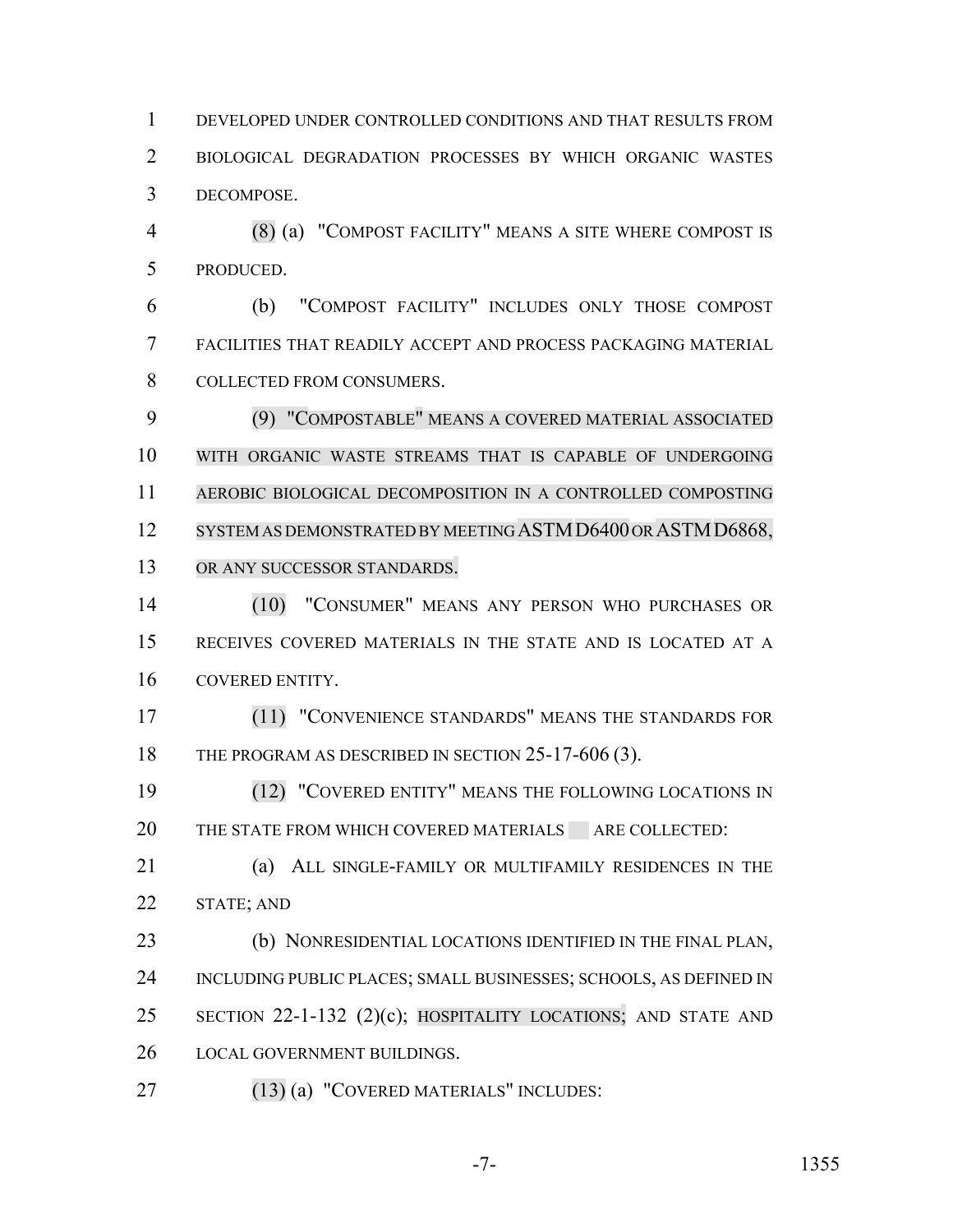DEVELOPED UNDER CONTROLLED CONDITIONS AND THAT RESULTS FROM BIOLOGICAL DEGRADATION PROCESSES BY WHICH ORGANIC WASTES DECOMPOSE.

 (8) (a) "COMPOST FACILITY" MEANS A SITE WHERE COMPOST IS PRODUCED.

 (b) "COMPOST FACILITY" INCLUDES ONLY THOSE COMPOST FACILITIES THAT READILY ACCEPT AND PROCESS PACKAGING MATERIAL COLLECTED FROM CONSUMERS.

 (9) "COMPOSTABLE" MEANS A COVERED MATERIAL ASSOCIATED WITH ORGANIC WASTE STREAMS THAT IS CAPABLE OF UNDERGOING AEROBIC BIOLOGICAL DECOMPOSITION IN A CONTROLLED COMPOSTING 12 SYSTEM AS DEMONSTRATED BY MEETING ASTM D6400 OR ASTM D6868, OR ANY SUCCESSOR STANDARDS.

 (10) "CONSUMER" MEANS ANY PERSON WHO PURCHASES OR RECEIVES COVERED MATERIALS IN THE STATE AND IS LOCATED AT A COVERED ENTITY.

 (11) "CONVENIENCE STANDARDS" MEANS THE STANDARDS FOR 18 THE PROGRAM AS DESCRIBED IN SECTION 25-17-606 (3).

**19 COVERED ENTITY" MEANS THE FOLLOWING LOCATIONS IN** 20 THE STATE FROM WHICH COVERED MATERIALS ARE COLLECTED:

 (a) ALL SINGLE-FAMILY OR MULTIFAMILY RESIDENCES IN THE STATE; AND

 (b) NONRESIDENTIAL LOCATIONS IDENTIFIED IN THE FINAL PLAN, INCLUDING PUBLIC PLACES; SMALL BUSINESSES; SCHOOLS, AS DEFINED IN SECTION 22-1-132 (2)(c); HOSPITALITY LOCATIONS; AND STATE AND LOCAL GOVERNMENT BUILDINGS.

(13) (a) "COVERED MATERIALS" INCLUDES: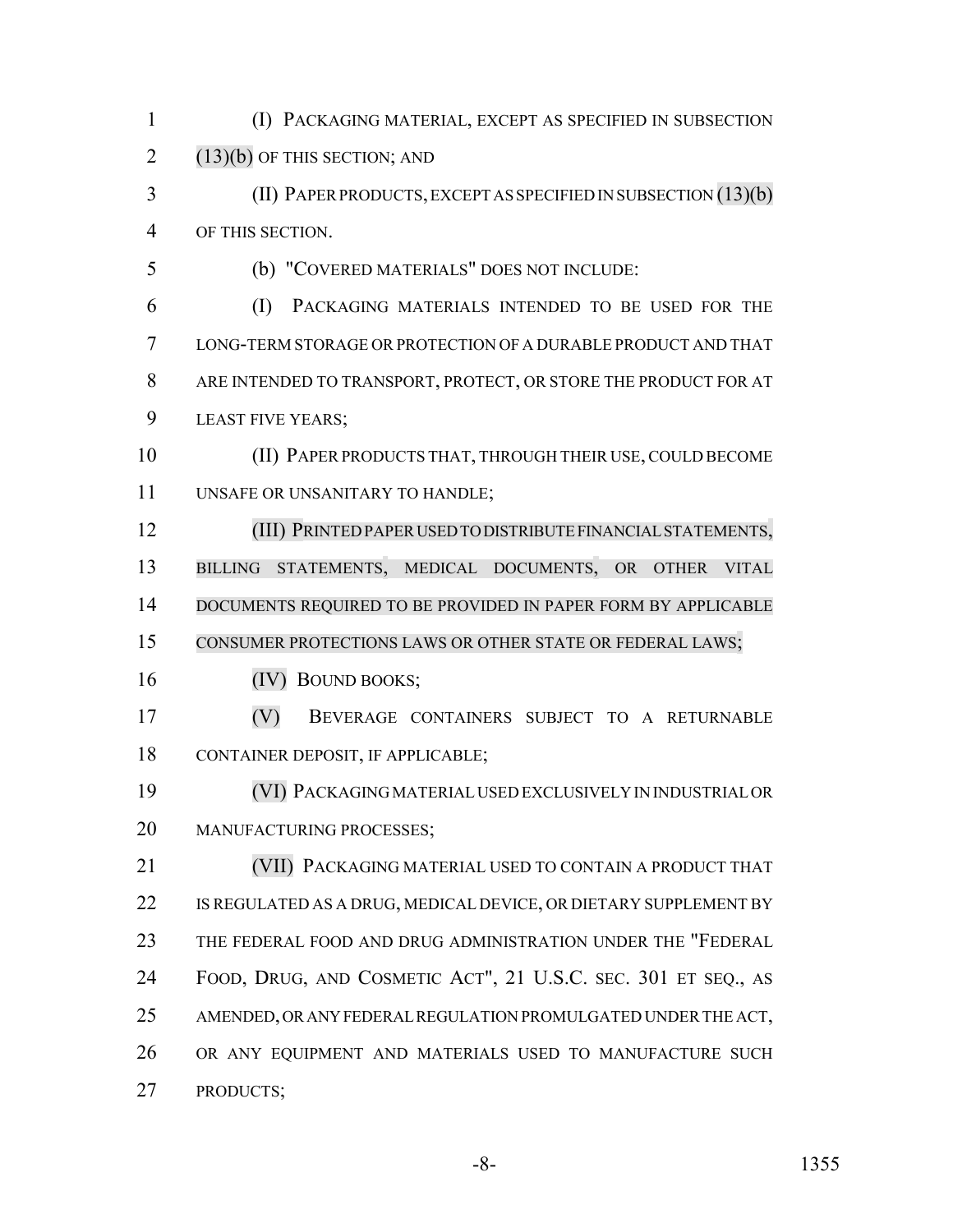(I) PACKAGING MATERIAL, EXCEPT AS SPECIFIED IN SUBSECTION  $2(13)(b)$  OF THIS SECTION; AND

 (II) PAPER PRODUCTS, EXCEPT AS SPECIFIED IN SUBSECTION (13)(b) OF THIS SECTION.

(b) "COVERED MATERIALS" DOES NOT INCLUDE:

 (I) PACKAGING MATERIALS INTENDED TO BE USED FOR THE LONG-TERM STORAGE OR PROTECTION OF A DURABLE PRODUCT AND THAT ARE INTENDED TO TRANSPORT, PROTECT, OR STORE THE PRODUCT FOR AT LEAST FIVE YEARS;

 (II) PAPER PRODUCTS THAT, THROUGH THEIR USE, COULD BECOME UNSAFE OR UNSANITARY TO HANDLE;

 (III) PRINTEDPAPER USED TO DISTRIBUTE FINANCIAL STATEMENTS, BILLING STATEMENTS, MEDICAL DOCUMENTS, OR OTHER VITAL 14 DOCUMENTS REQUIRED TO BE PROVIDED IN PAPER FORM BY APPLICABLE CONSUMER PROTECTIONS LAWS OR OTHER STATE OR FEDERAL LAWS;

(IV) BOUND BOOKS;

 (V) BEVERAGE CONTAINERS SUBJECT TO A RETURNABLE CONTAINER DEPOSIT, IF APPLICABLE;

 (VI) PACKAGING MATERIAL USED EXCLUSIVELY IN INDUSTRIAL OR MANUFACTURING PROCESSES;

 (VII) PACKAGING MATERIAL USED TO CONTAIN A PRODUCT THAT IS REGULATED AS A DRUG, MEDICAL DEVICE, OR DIETARY SUPPLEMENT BY THE FEDERAL FOOD AND DRUG ADMINISTRATION UNDER THE "FEDERAL FOOD, DRUG, AND COSMETIC ACT", 21 U.S.C. SEC. 301 ET SEQ., AS AMENDED, OR ANY FEDERAL REGULATION PROMULGATED UNDER THE ACT, OR ANY EQUIPMENT AND MATERIALS USED TO MANUFACTURE SUCH PRODUCTS;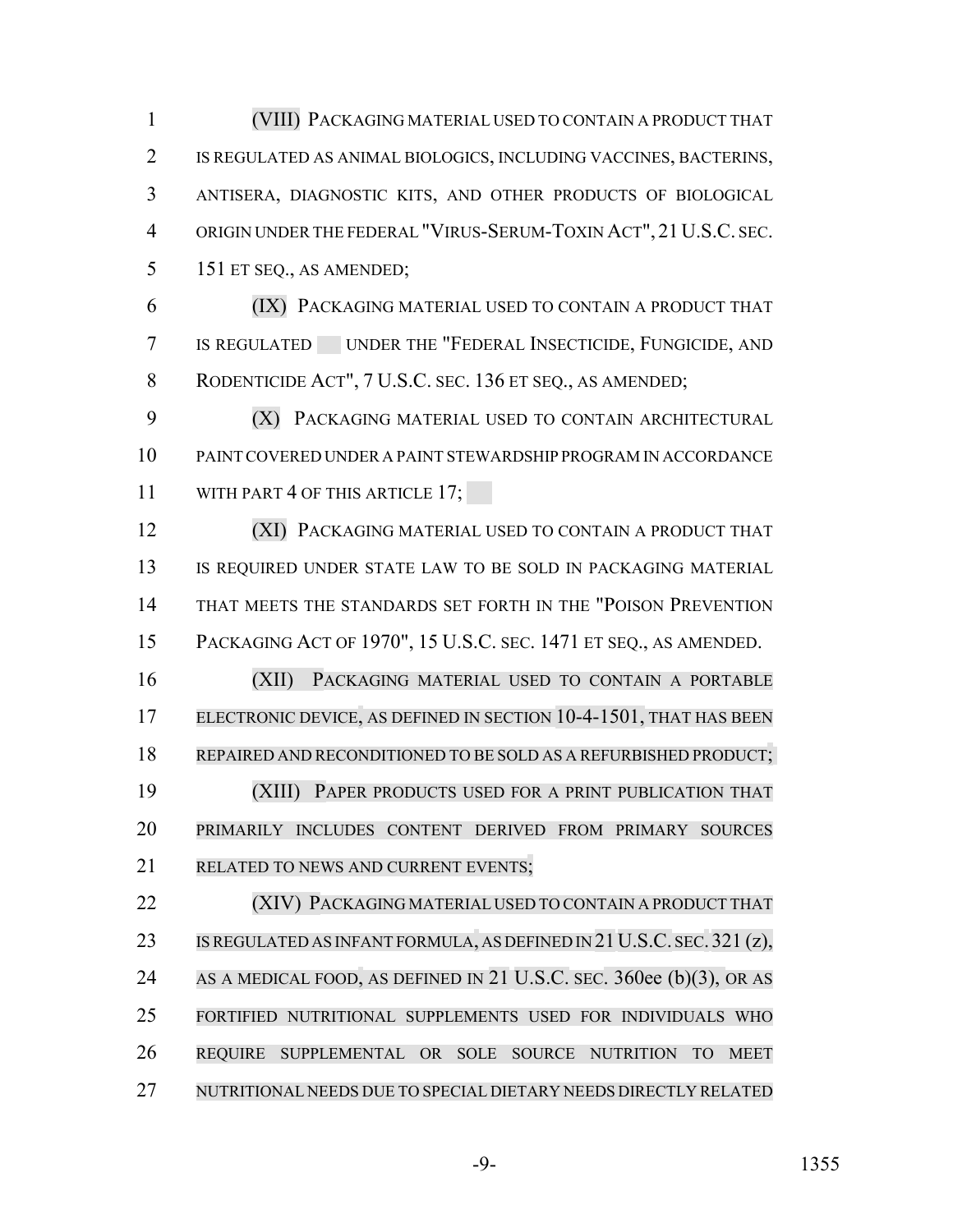(VIII) PACKAGING MATERIAL USED TO CONTAIN A PRODUCT THAT IS REGULATED AS ANIMAL BIOLOGICS, INCLUDING VACCINES, BACTERINS, ANTISERA, DIAGNOSTIC KITS, AND OTHER PRODUCTS OF BIOLOGICAL ORIGIN UNDER THE FEDERAL "VIRUS-SERUM-TOXIN ACT", 21U.S.C. SEC. 151 ET SEQ., AS AMENDED;

 (IX) PACKAGING MATERIAL USED TO CONTAIN A PRODUCT THAT IS REGULATED UNDER THE "FEDERAL INSECTICIDE, FUNGICIDE, AND 8 RODENTICIDE ACT", 7 U.S.C. SEC. 136 ET SEQ., AS AMENDED;

 (X) PACKAGING MATERIAL USED TO CONTAIN ARCHITECTURAL PAINT COVERED UNDER A PAINT STEWARDSHIP PROGRAM IN ACCORDANCE 11 WITH PART 4 OF THIS ARTICLE 17;

 (XI) PACKAGING MATERIAL USED TO CONTAIN A PRODUCT THAT 13 IS REQUIRED UNDER STATE LAW TO BE SOLD IN PACKAGING MATERIAL THAT MEETS THE STANDARDS SET FORTH IN THE "POISON PREVENTION PACKAGING ACT OF 1970", 15 U.S.C. SEC. 1471 ET SEQ., AS AMENDED.

 (XII) PACKAGING MATERIAL USED TO CONTAIN A PORTABLE 17 ELECTRONIC DEVICE, AS DEFINED IN SECTION 10-4-1501, THAT HAS BEEN REPAIRED AND RECONDITIONED TO BE SOLD AS A REFURBISHED PRODUCT; (XIII) PAPER PRODUCTS USED FOR A PRINT PUBLICATION THAT PRIMARILY INCLUDES CONTENT DERIVED FROM PRIMARY SOURCES RELATED TO NEWS AND CURRENT EVENTS;

 (XIV) PACKAGING MATERIAL USED TO CONTAIN A PRODUCT THAT 23 IS REGULATED AS INFANT FORMULA, AS DEFINED IN 21 U.S.C. SEC. 321 (z), 24 AS A MEDICAL FOOD, AS DEFINED IN 21 U.S.C. SEC. 360ee (b)(3), OR AS FORTIFIED NUTRITIONAL SUPPLEMENTS USED FOR INDIVIDUALS WHO REQUIRE SUPPLEMENTAL OR SOLE SOURCE NUTRITION TO MEET NUTRITIONAL NEEDS DUE TO SPECIAL DIETARY NEEDS DIRECTLY RELATED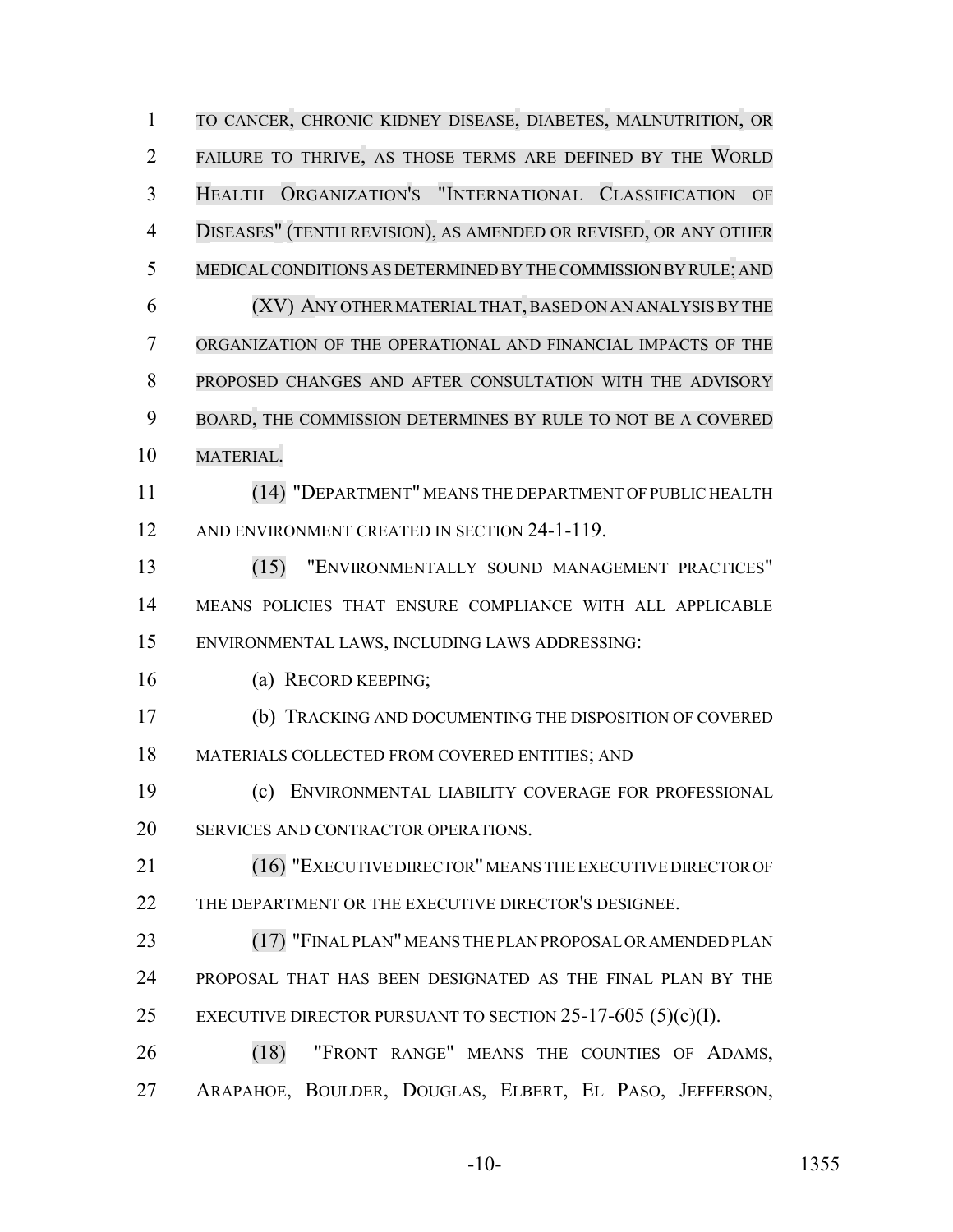TO CANCER, CHRONIC KIDNEY DISEASE, DIABETES, MALNUTRITION, OR FAILURE TO THRIVE, AS THOSE TERMS ARE DEFINED BY THE WORLD HEALTH ORGANIZATION'S "INTERNATIONAL CLASSIFICATION OF DISEASES" (TENTH REVISION), AS AMENDED OR REVISED, OR ANY OTHER MEDICALCONDITIONS AS DETERMINED BY THECOMMISSION BY RULE; AND (XV) ANY OTHER MATERIAL THAT,BASED ON AN ANALYSISBY THE ORGANIZATION OF THE OPERATIONAL AND FINANCIAL IMPACTS OF THE PROPOSED CHANGES AND AFTER CONSULTATION WITH THE ADVISORY BOARD, THE COMMISSION DETERMINES BY RULE TO NOT BE A COVERED MATERIAL. (14) "DEPARTMENT" MEANS THE DEPARTMENT OF PUBLIC HEALTH 12 AND ENVIRONMENT CREATED IN SECTION 24-1-119. (15) "ENVIRONMENTALLY SOUND MANAGEMENT PRACTICES" MEANS POLICIES THAT ENSURE COMPLIANCE WITH ALL APPLICABLE ENVIRONMENTAL LAWS, INCLUDING LAWS ADDRESSING: (a) RECORD KEEPING; (b) TRACKING AND DOCUMENTING THE DISPOSITION OF COVERED MATERIALS COLLECTED FROM COVERED ENTITIES; AND (c) ENVIRONMENTAL LIABILITY COVERAGE FOR PROFESSIONAL 20 SERVICES AND CONTRACTOR OPERATIONS. (16) "EXECUTIVE DIRECTOR" MEANS THE EXECUTIVE DIRECTOR OF 22 THE DEPARTMENT OR THE EXECUTIVE DIRECTOR'S DESIGNEE. (17) "FINAL PLAN" MEANS THE PLAN PROPOSAL OR AMENDED PLAN PROPOSAL THAT HAS BEEN DESIGNATED AS THE FINAL PLAN BY THE 25 EXECUTIVE DIRECTOR PURSUANT TO SECTION  $25-17-605$  (5)(c)(I). (18) "FRONT RANGE" MEANS THE COUNTIES OF ADAMS, ARAPAHOE, BOULDER, DOUGLAS, ELBERT, EL PASO, JEFFERSON,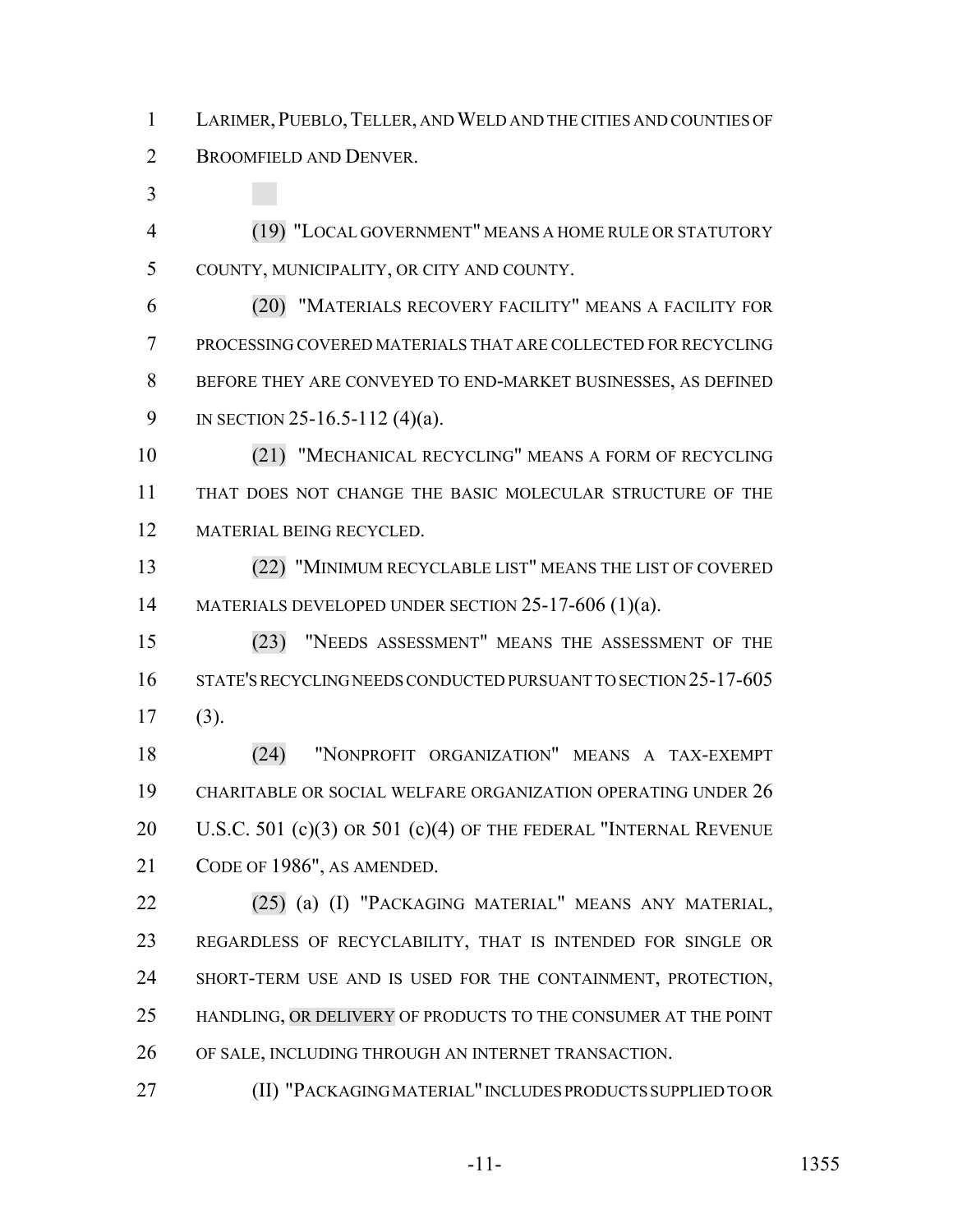LARIMER,PUEBLO,TELLER, AND WELD AND THE CITIES AND COUNTIES OF BROOMFIELD AND DENVER.

 (19) "LOCAL GOVERNMENT" MEANS A HOME RULE OR STATUTORY COUNTY, MUNICIPALITY, OR CITY AND COUNTY.

 (20) "MATERIALS RECOVERY FACILITY" MEANS A FACILITY FOR PROCESSING COVERED MATERIALS THAT ARE COLLECTED FOR RECYCLING BEFORE THEY ARE CONVEYED TO END-MARKET BUSINESSES, AS DEFINED IN SECTION 25-16.5-112 (4)(a).

 (21) "MECHANICAL RECYCLING" MEANS A FORM OF RECYCLING THAT DOES NOT CHANGE THE BASIC MOLECULAR STRUCTURE OF THE MATERIAL BEING RECYCLED.

 (22) "MINIMUM RECYCLABLE LIST" MEANS THE LIST OF COVERED 14 MATERIALS DEVELOPED UNDER SECTION 25-17-606 (1)(a).

 (23) "NEEDS ASSESSMENT" MEANS THE ASSESSMENT OF THE STATE'S RECYCLING NEEDS CONDUCTED PURSUANT TO SECTION 25-17-605 (3).

 (24) "NONPROFIT ORGANIZATION" MEANS A TAX-EXEMPT CHARITABLE OR SOCIAL WELFARE ORGANIZATION OPERATING UNDER 26 20 U.S.C. 501 (c)(3) OR 501 (c)(4) OF THE FEDERAL "INTERNAL REVENUE CODE OF 1986", AS AMENDED.

 (25) (a) (I) "PACKAGING MATERIAL" MEANS ANY MATERIAL, REGARDLESS OF RECYCLABILITY, THAT IS INTENDED FOR SINGLE OR SHORT-TERM USE AND IS USED FOR THE CONTAINMENT, PROTECTION, HANDLING, OR DELIVERY OF PRODUCTS TO THE CONSUMER AT THE POINT OF SALE, INCLUDING THROUGH AN INTERNET TRANSACTION.

(II) "PACKAGING MATERIAL" INCLUDES PRODUCTS SUPPLIED TO OR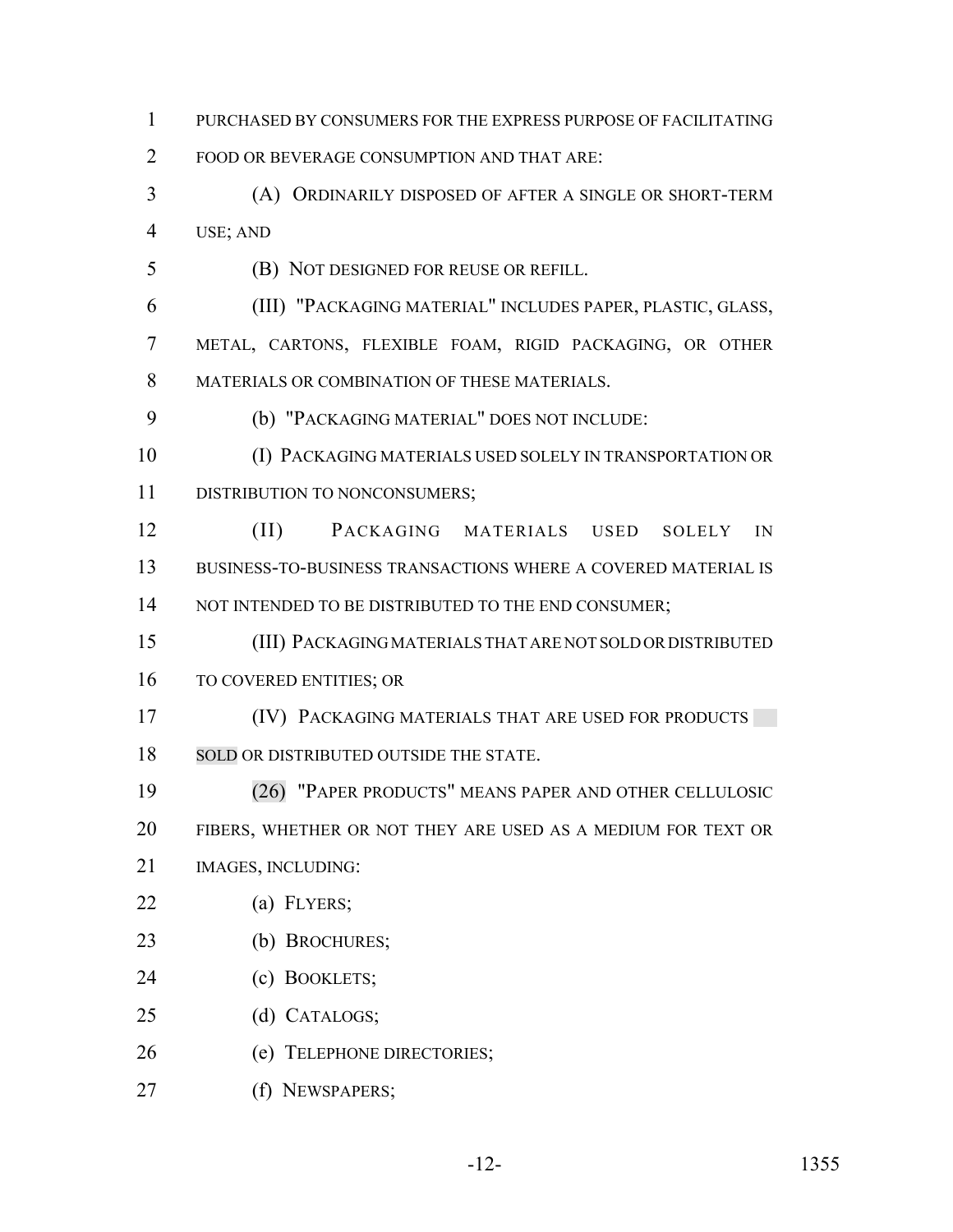PURCHASED BY CONSUMERS FOR THE EXPRESS PURPOSE OF FACILITATING FOOD OR BEVERAGE CONSUMPTION AND THAT ARE: (A) ORDINARILY DISPOSED OF AFTER A SINGLE OR SHORT-TERM USE; AND (B) NOT DESIGNED FOR REUSE OR REFILL. (III) "PACKAGING MATERIAL" INCLUDES PAPER, PLASTIC, GLASS, METAL, CARTONS, FLEXIBLE FOAM, RIGID PACKAGING, OR OTHER MATERIALS OR COMBINATION OF THESE MATERIALS. (b) "PACKAGING MATERIAL" DOES NOT INCLUDE: (I) PACKAGING MATERIALS USED SOLELY IN TRANSPORTATION OR 11 DISTRIBUTION TO NONCONSUMERS; (II) PACKAGING MATERIALS USED SOLELY IN BUSINESS-TO-BUSINESS TRANSACTIONS WHERE A COVERED MATERIAL IS 14 NOT INTENDED TO BE DISTRIBUTED TO THE END CONSUMER; (III) PACKAGING MATERIALS THAT ARE NOT SOLD OR DISTRIBUTED TO COVERED ENTITIES; OR **(IV) PACKAGING MATERIALS THAT ARE USED FOR PRODUCTS** 18 SOLD OR DISTRIBUTED OUTSIDE THE STATE. (26) "PAPER PRODUCTS" MEANS PAPER AND OTHER CELLULOSIC FIBERS, WHETHER OR NOT THEY ARE USED AS A MEDIUM FOR TEXT OR IMAGES, INCLUDING: (a) FLYERS; (b) BROCHURES; (c) BOOKLETS; (d) CATALOGS; (e) TELEPHONE DIRECTORIES; (f) NEWSPAPERS;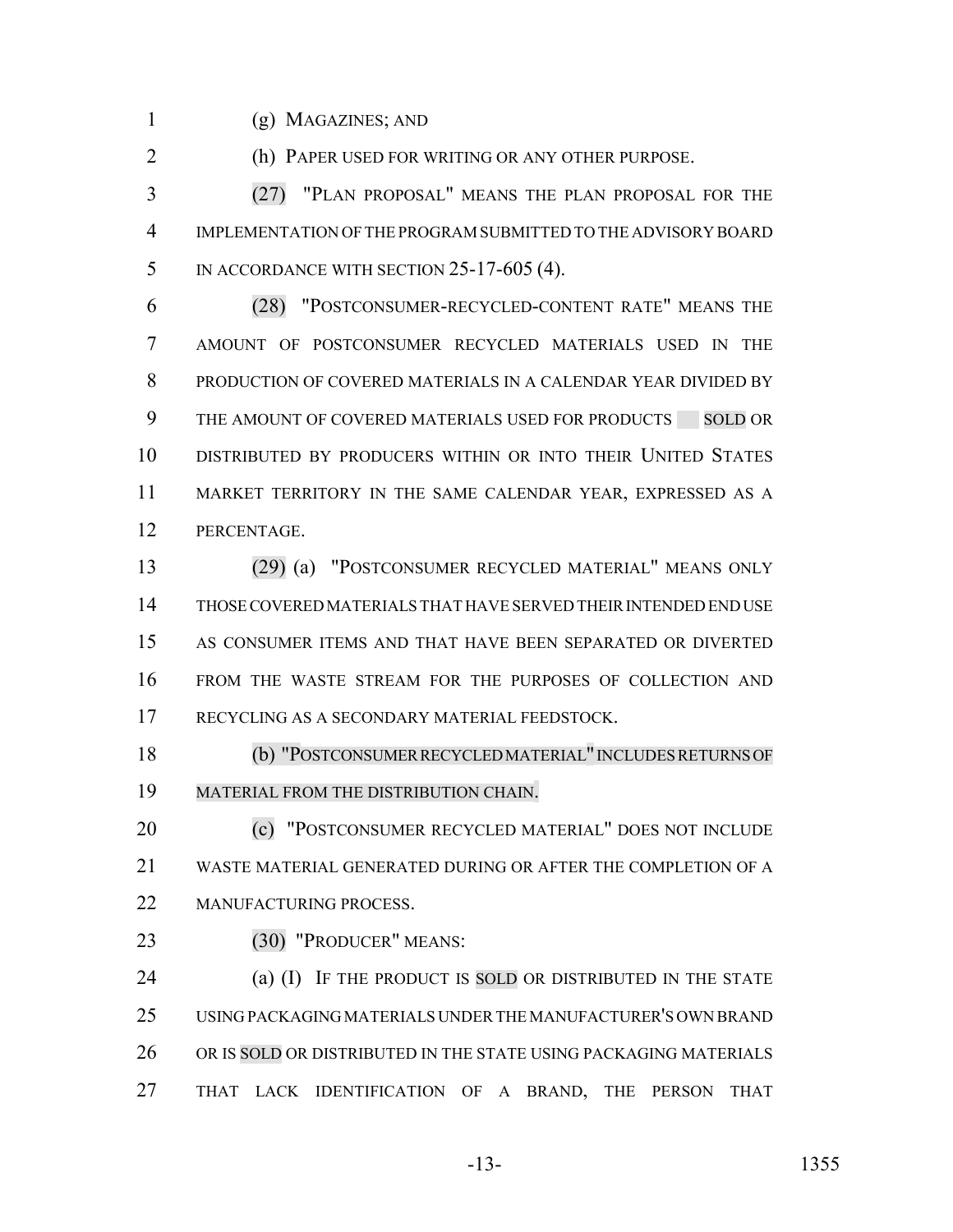(g) MAGAZINES; AND

(h) PAPER USED FOR WRITING OR ANY OTHER PURPOSE.

 (27) "PLAN PROPOSAL" MEANS THE PLAN PROPOSAL FOR THE IMPLEMENTATION OF THE PROGRAM SUBMITTED TO THE ADVISORY BOARD 5 IN ACCORDANCE WITH SECTION 25-17-605 (4).

 (28) "POSTCONSUMER-RECYCLED-CONTENT RATE" MEANS THE AMOUNT OF POSTCONSUMER RECYCLED MATERIALS USED IN THE PRODUCTION OF COVERED MATERIALS IN A CALENDAR YEAR DIVIDED BY 9 THE AMOUNT OF COVERED MATERIALS USED FOR PRODUCTS SOLD OR DISTRIBUTED BY PRODUCERS WITHIN OR INTO THEIR UNITED STATES MARKET TERRITORY IN THE SAME CALENDAR YEAR, EXPRESSED AS A PERCENTAGE.

 (29) (a) "POSTCONSUMER RECYCLED MATERIAL" MEANS ONLY THOSE COVERED MATERIALS THAT HAVE SERVED THEIR INTENDED END USE AS CONSUMER ITEMS AND THAT HAVE BEEN SEPARATED OR DIVERTED FROM THE WASTE STREAM FOR THE PURPOSES OF COLLECTION AND RECYCLING AS A SECONDARY MATERIAL FEEDSTOCK.

 (b) "POSTCONSUMER RECYCLED MATERIAL"INCLUDESRETURNS OF MATERIAL FROM THE DISTRIBUTION CHAIN.

20 (c) "POSTCONSUMER RECYCLED MATERIAL" DOES NOT INCLUDE WASTE MATERIAL GENERATED DURING OR AFTER THE COMPLETION OF A 22 MANUFACTURING PROCESS.

(30) "PRODUCER" MEANS:

24 (a) (I) IF THE PRODUCT IS SOLD OR DISTRIBUTED IN THE STATE USING PACKAGING MATERIALS UNDER THE MANUFACTURER'S OWN BRAND 26 OR IS SOLD OR DISTRIBUTED IN THE STATE USING PACKAGING MATERIALS THAT LACK IDENTIFICATION OF A BRAND, THE PERSON THAT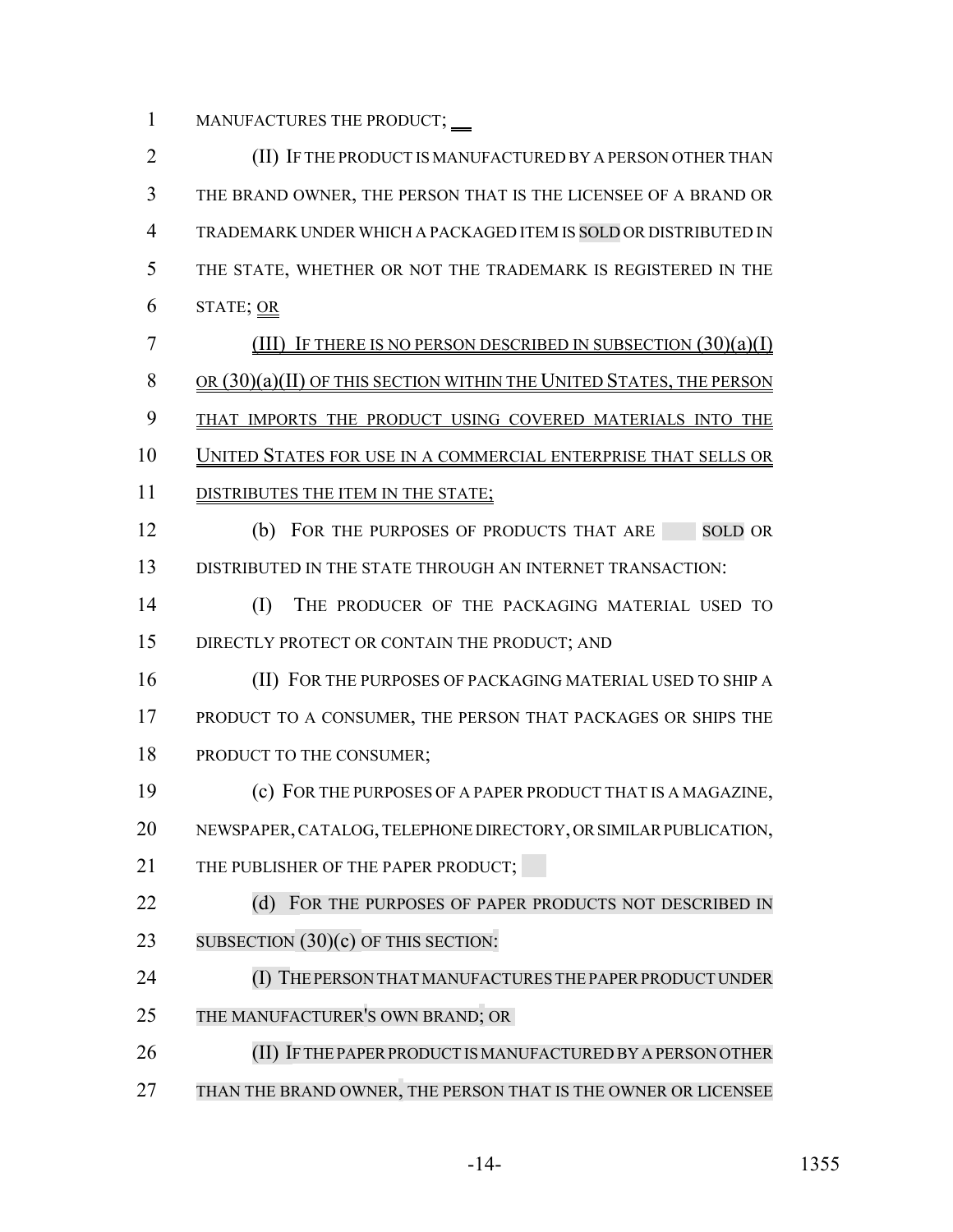1 MANUFACTURES THE PRODUCT;  $\overline{\phantom{a}}$ 

2 **(II) IF THE PRODUCT IS MANUFACTURED BY A PERSON OTHER THAN** 3 THE BRAND OWNER, THE PERSON THAT IS THE LICENSEE OF A BRAND OR 4 TRADEMARK UNDER WHICH A PACKAGED ITEM IS SOLD OR DISTRIBUTED IN 5 THE STATE, WHETHER OR NOT THE TRADEMARK IS REGISTERED IN THE 6 STATE; OR 7 (III) IF THERE IS NO PERSON DESCRIBED IN SUBSECTION  $(30)(a)(I)$ 8 OR (30)(a)(II) OF THIS SECTION WITHIN THE UNITED STATES, THE PERSON 9 THAT IMPORTS THE PRODUCT USING COVERED MATERIALS INTO THE 10 UNITED STATES FOR USE IN A COMMERCIAL ENTERPRISE THAT SELLS OR 11 DISTRIBUTES THE ITEM IN THE STATE; 12 (b) FOR THE PURPOSES OF PRODUCTS THAT ARE SOLD OR 13 DISTRIBUTED IN THE STATE THROUGH AN INTERNET TRANSACTION: 14 (I) THE PRODUCER OF THE PACKAGING MATERIAL USED TO 15 DIRECTLY PROTECT OR CONTAIN THE PRODUCT; AND 16 (II) FOR THE PURPOSES OF PACKAGING MATERIAL USED TO SHIP A 17 PRODUCT TO A CONSUMER, THE PERSON THAT PACKAGES OR SHIPS THE 18 PRODUCT TO THE CONSUMER; 19 (c) FOR THE PURPOSES OF A PAPER PRODUCT THAT IS A MAGAZINE, 20 NEWSPAPER, CATALOG, TELEPHONE DIRECTORY, OR SIMILAR PUBLICATION, 21 THE PUBLISHER OF THE PAPER PRODUCT: 22 (d) FOR THE PURPOSES OF PAPER PRODUCTS NOT DESCRIBED IN 23 SUBSECTION  $(30)(c)$  OF THIS SECTION: 24 (I) THE PERSON THAT MANUFACTURES THE PAPER PRODUCT UNDER 25 THE MANUFACTURER'S OWN BRAND; OR 26 (II) IF THE PAPER PRODUCT IS MANUFACTURED BY A PERSON OTHER 27 THAN THE BRAND OWNER, THE PERSON THAT IS THE OWNER OR LICENSEE

-14- 1355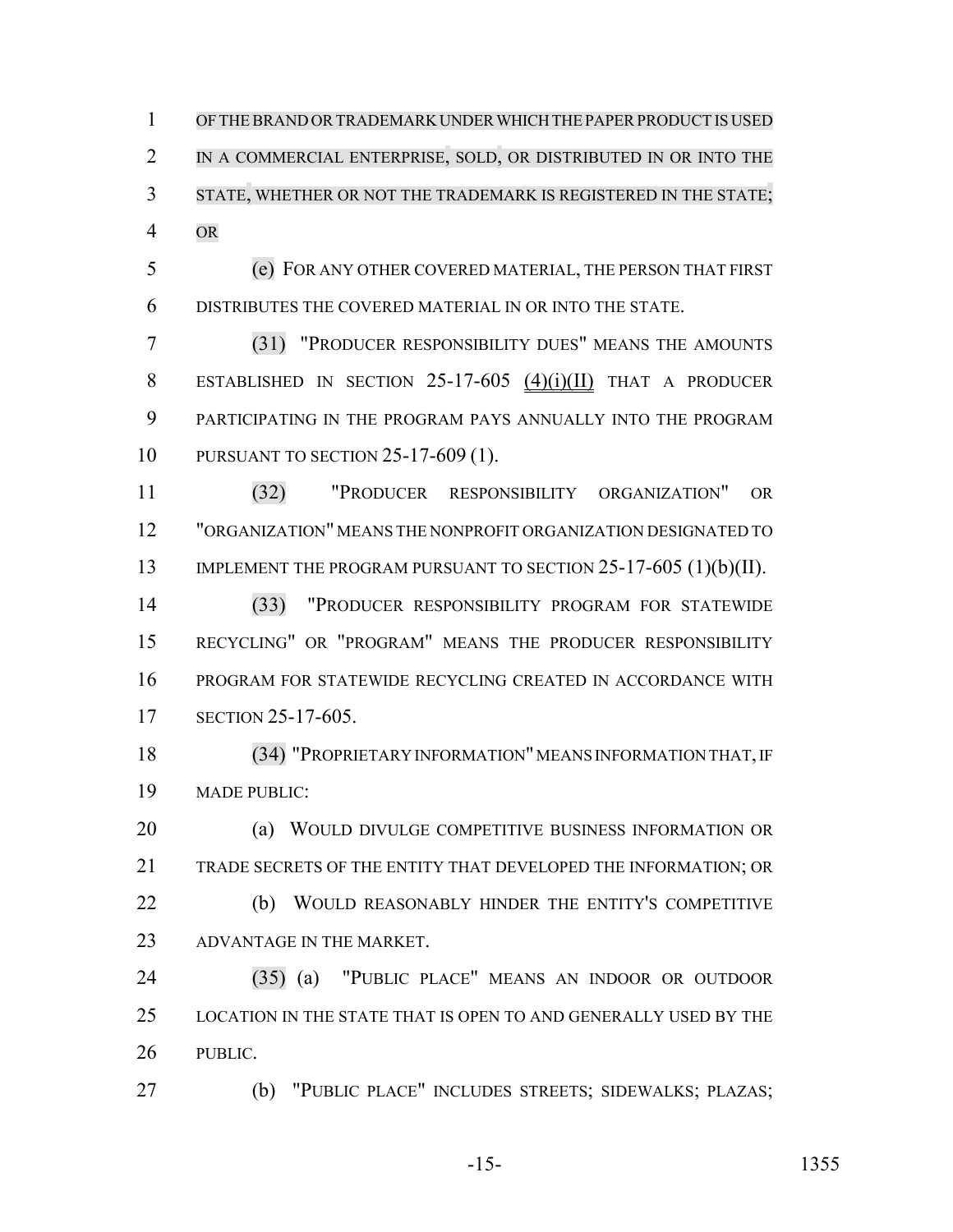OFTHEBRAND ORTRADEMARK UNDER WHICH THE PAPER PRODUCT IS USED 2 IN A COMMERCIAL ENTERPRISE, SOLD, OR DISTRIBUTED IN OR INTO THE STATE, WHETHER OR NOT THE TRADEMARK IS REGISTERED IN THE STATE; OR

 (e) FOR ANY OTHER COVERED MATERIAL, THE PERSON THAT FIRST DISTRIBUTES THE COVERED MATERIAL IN OR INTO THE STATE.

 (31) "PRODUCER RESPONSIBILITY DUES" MEANS THE AMOUNTS ESTABLISHED IN SECTION 25-17-605 (4)(i)(II) THAT A PRODUCER PARTICIPATING IN THE PROGRAM PAYS ANNUALLY INTO THE PROGRAM PURSUANT TO SECTION 25-17-609 (1).

 (32) "PRODUCER RESPONSIBILITY ORGANIZATION" OR "ORGANIZATION" MEANS THE NONPROFIT ORGANIZATION DESIGNATED TO 13 IMPLEMENT THE PROGRAM PURSUANT TO SECTION 25-17-605 (1)(b)(II).

 (33) "PRODUCER RESPONSIBILITY PROGRAM FOR STATEWIDE RECYCLING" OR "PROGRAM" MEANS THE PRODUCER RESPONSIBILITY PROGRAM FOR STATEWIDE RECYCLING CREATED IN ACCORDANCE WITH SECTION 25-17-605.

 (34) "PROPRIETARY INFORMATION" MEANS INFORMATION THAT, IF MADE PUBLIC:

 (a) WOULD DIVULGE COMPETITIVE BUSINESS INFORMATION OR TRADE SECRETS OF THE ENTITY THAT DEVELOPED THE INFORMATION; OR 22 (b) WOULD REASONABLY HINDER THE ENTITY'S COMPETITIVE

ADVANTAGE IN THE MARKET.

 (35) (a) "PUBLIC PLACE" MEANS AN INDOOR OR OUTDOOR LOCATION IN THE STATE THAT IS OPEN TO AND GENERALLY USED BY THE PUBLIC.

(b) "PUBLIC PLACE" INCLUDES STREETS; SIDEWALKS; PLAZAS;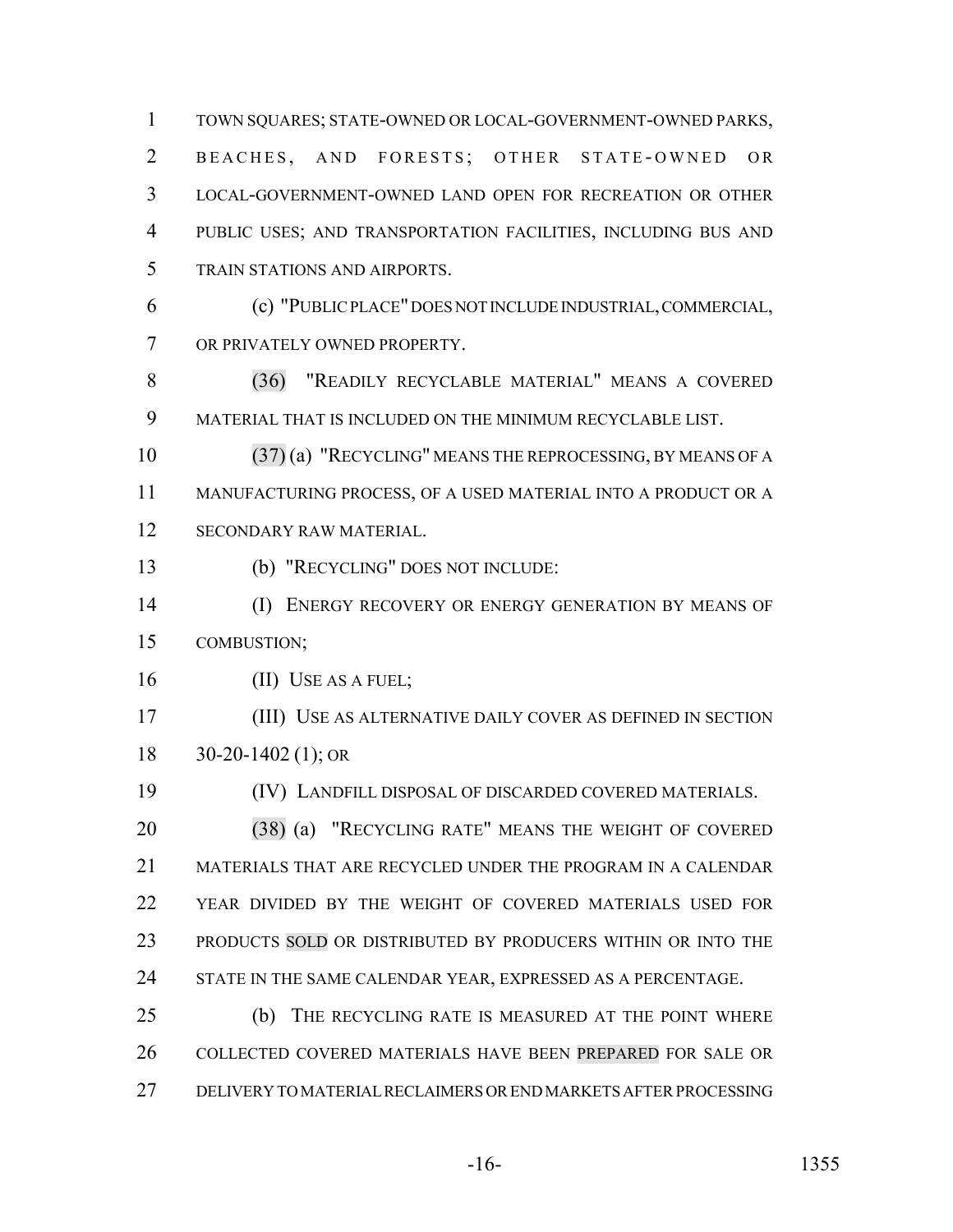TOWN SQUARES; STATE-OWNED OR LOCAL-GOVERNMENT-OWNED PARKS, 2 BEACHES, AND FORESTS; OTHER STATE-OWNED OR LOCAL-GOVERNMENT-OWNED LAND OPEN FOR RECREATION OR OTHER PUBLIC USES; AND TRANSPORTATION FACILITIES, INCLUDING BUS AND TRAIN STATIONS AND AIRPORTS. (c) "PUBLIC PLACE" DOES NOT INCLUDE INDUSTRIAL, COMMERCIAL,

OR PRIVATELY OWNED PROPERTY.

 (36) "READILY RECYCLABLE MATERIAL" MEANS A COVERED MATERIAL THAT IS INCLUDED ON THE MINIMUM RECYCLABLE LIST.

 (37) (a) "RECYCLING" MEANS THE REPROCESSING, BY MEANS OF A MANUFACTURING PROCESS, OF A USED MATERIAL INTO A PRODUCT OR A SECONDARY RAW MATERIAL.

(b) "RECYCLING" DOES NOT INCLUDE:

 (I) ENERGY RECOVERY OR ENERGY GENERATION BY MEANS OF COMBUSTION;

16 (II) USE AS A FUEL;

 (III) USE AS ALTERNATIVE DAILY COVER AS DEFINED IN SECTION 30-20-1402 (1); OR

(IV) LANDFILL DISPOSAL OF DISCARDED COVERED MATERIALS.

 (38) (a) "RECYCLING RATE" MEANS THE WEIGHT OF COVERED MATERIALS THAT ARE RECYCLED UNDER THE PROGRAM IN A CALENDAR YEAR DIVIDED BY THE WEIGHT OF COVERED MATERIALS USED FOR 23 PRODUCTS SOLD OR DISTRIBUTED BY PRODUCERS WITHIN OR INTO THE 24 STATE IN THE SAME CALENDAR YEAR, EXPRESSED AS A PERCENTAGE.

 (b) THE RECYCLING RATE IS MEASURED AT THE POINT WHERE COLLECTED COVERED MATERIALS HAVE BEEN PREPARED FOR SALE OR DELIVERY TO MATERIAL RECLAIMERS OR END MARKETS AFTER PROCESSING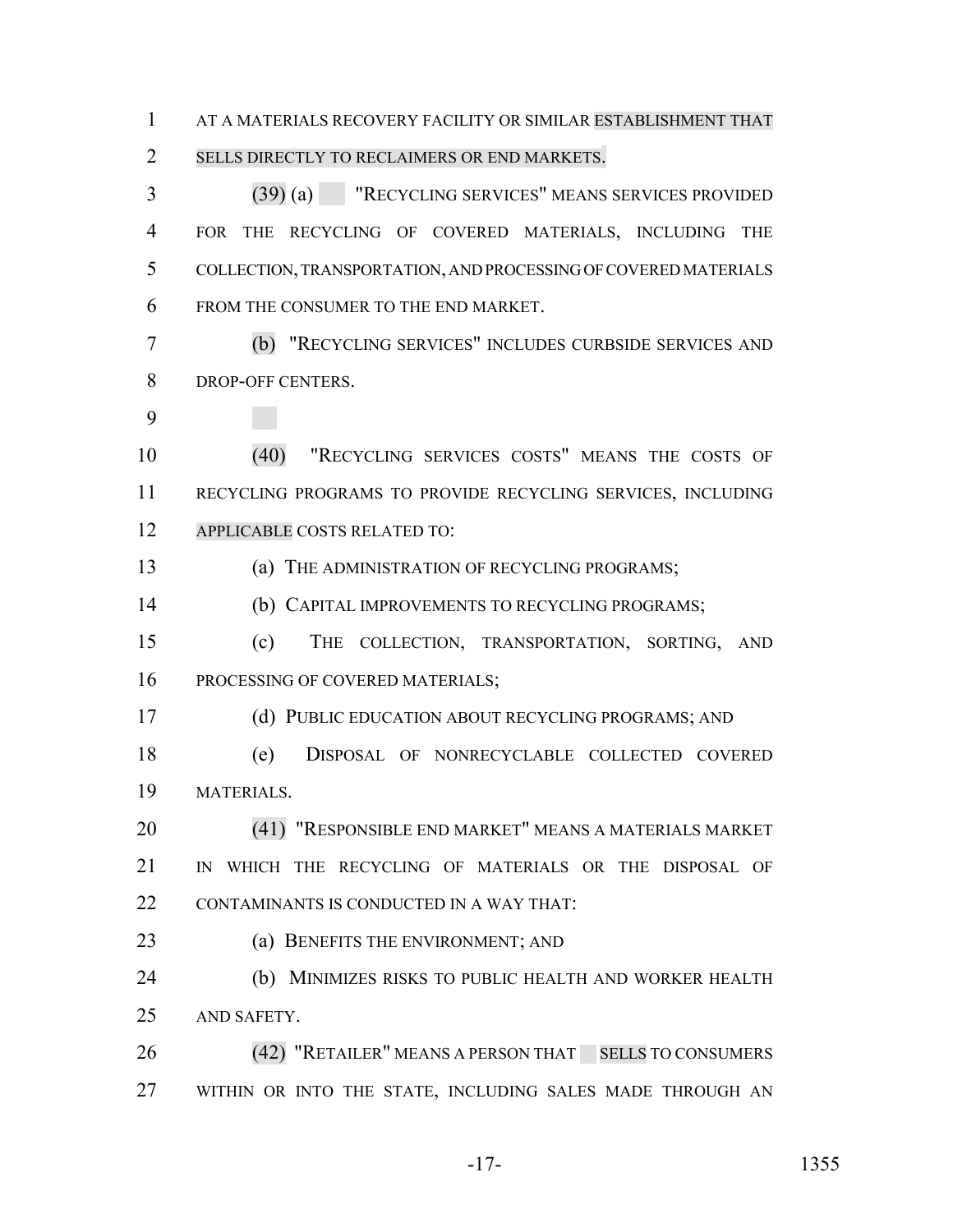AT A MATERIALS RECOVERY FACILITY OR SIMILAR ESTABLISHMENT THAT 2 SELLS DIRECTLY TO RECLAIMERS OR END MARKETS.

 (39) (a) "RECYCLING SERVICES" MEANS SERVICES PROVIDED FOR THE RECYCLING OF COVERED MATERIALS, INCLUDING THE COLLECTION, TRANSPORTATION, AND PROCESSING OF COVERED MATERIALS FROM THE CONSUMER TO THE END MARKET.

 (b) "RECYCLING SERVICES" INCLUDES CURBSIDE SERVICES AND DROP-OFF CENTERS.

 (40) "RECYCLING SERVICES COSTS" MEANS THE COSTS OF RECYCLING PROGRAMS TO PROVIDE RECYCLING SERVICES, INCLUDING APPLICABLE COSTS RELATED TO:

(a) THE ADMINISTRATION OF RECYCLING PROGRAMS;

(b) CAPITAL IMPROVEMENTS TO RECYCLING PROGRAMS;

 (c) THE COLLECTION, TRANSPORTATION, SORTING, AND 16 PROCESSING OF COVERED MATERIALS;

(d) PUBLIC EDUCATION ABOUT RECYCLING PROGRAMS; AND

 (e) DISPOSAL OF NONRECYCLABLE COLLECTED COVERED MATERIALS.

 (41) "RESPONSIBLE END MARKET" MEANS A MATERIALS MARKET IN WHICH THE RECYCLING OF MATERIALS OR THE DISPOSAL OF CONTAMINANTS IS CONDUCTED IN A WAY THAT:

23 (a) BENEFITS THE ENVIRONMENT; AND

 (b) MINIMIZES RISKS TO PUBLIC HEALTH AND WORKER HEALTH AND SAFETY.

26 (42) "RETAILER" MEANS A PERSON THAT SELLS TO CONSUMERS WITHIN OR INTO THE STATE, INCLUDING SALES MADE THROUGH AN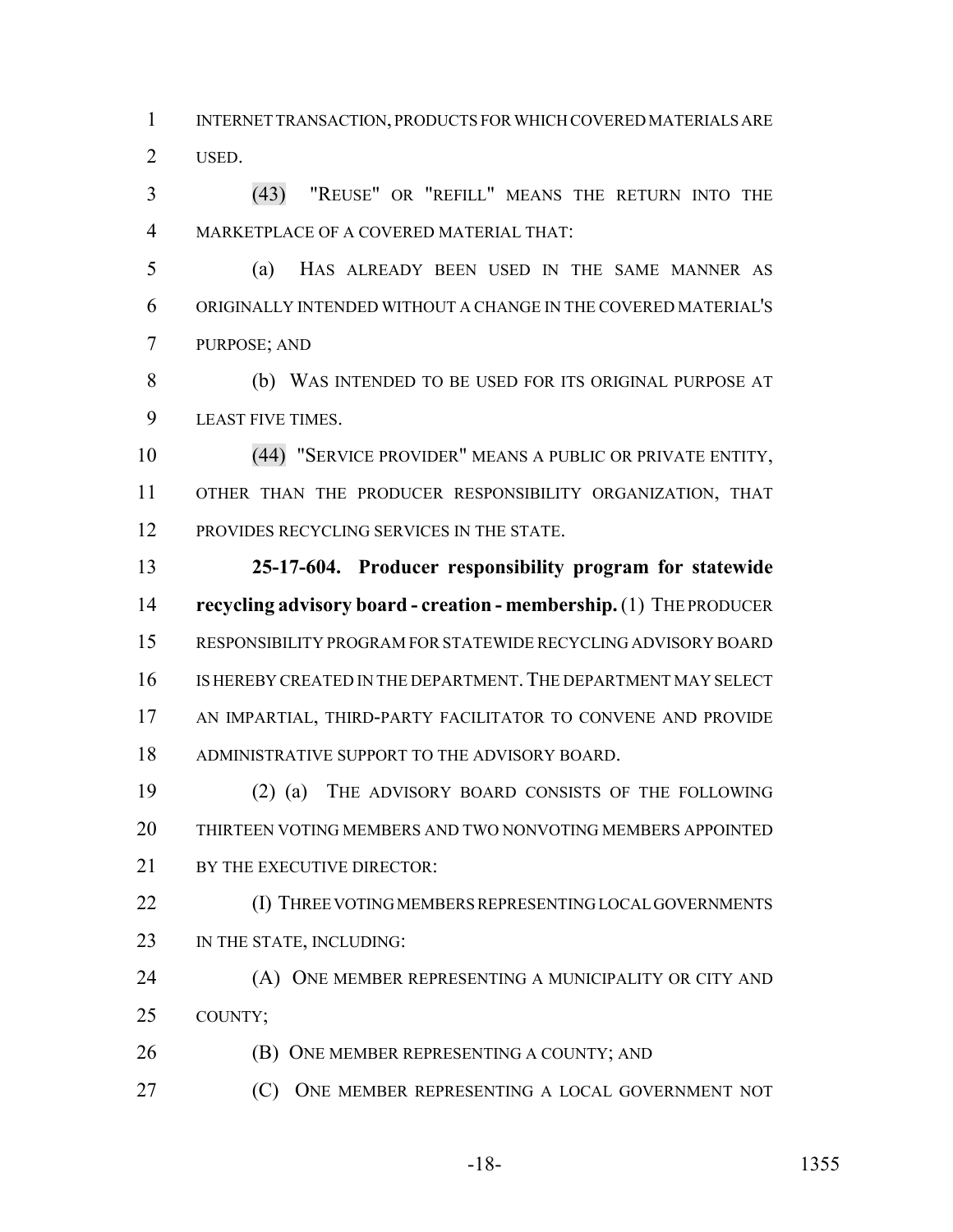INTERNET TRANSACTION, PRODUCTS FOR WHICH COVERED MATERIALS ARE USED.

 (43) "REUSE" OR "REFILL" MEANS THE RETURN INTO THE MARKETPLACE OF A COVERED MATERIAL THAT:

 (a) HAS ALREADY BEEN USED IN THE SAME MANNER AS ORIGINALLY INTENDED WITHOUT A CHANGE IN THE COVERED MATERIAL'S PURPOSE; AND

 (b) WAS INTENDED TO BE USED FOR ITS ORIGINAL PURPOSE AT LEAST FIVE TIMES.

 (44) "SERVICE PROVIDER" MEANS A PUBLIC OR PRIVATE ENTITY, OTHER THAN THE PRODUCER RESPONSIBILITY ORGANIZATION, THAT 12 PROVIDES RECYCLING SERVICES IN THE STATE.

 **25-17-604. Producer responsibility program for statewide recycling advisory board - creation - membership.** (1) THE PRODUCER RESPONSIBILITY PROGRAM FOR STATEWIDE RECYCLING ADVISORY BOARD IS HEREBY CREATED IN THE DEPARTMENT.THE DEPARTMENT MAY SELECT AN IMPARTIAL, THIRD-PARTY FACILITATOR TO CONVENE AND PROVIDE ADMINISTRATIVE SUPPORT TO THE ADVISORY BOARD.

 (2) (a) THE ADVISORY BOARD CONSISTS OF THE FOLLOWING THIRTEEN VOTING MEMBERS AND TWO NONVOTING MEMBERS APPOINTED 21 BY THE EXECUTIVE DIRECTOR:

 (I) THREE VOTING MEMBERS REPRESENTING LOCAL GOVERNMENTS 23 IN THE STATE, INCLUDING:

**(A) ONE MEMBER REPRESENTING A MUNICIPALITY OR CITY AND** COUNTY;

**(B) ONE MEMBER REPRESENTING A COUNTY; AND** 

(C) ONE MEMBER REPRESENTING A LOCAL GOVERNMENT NOT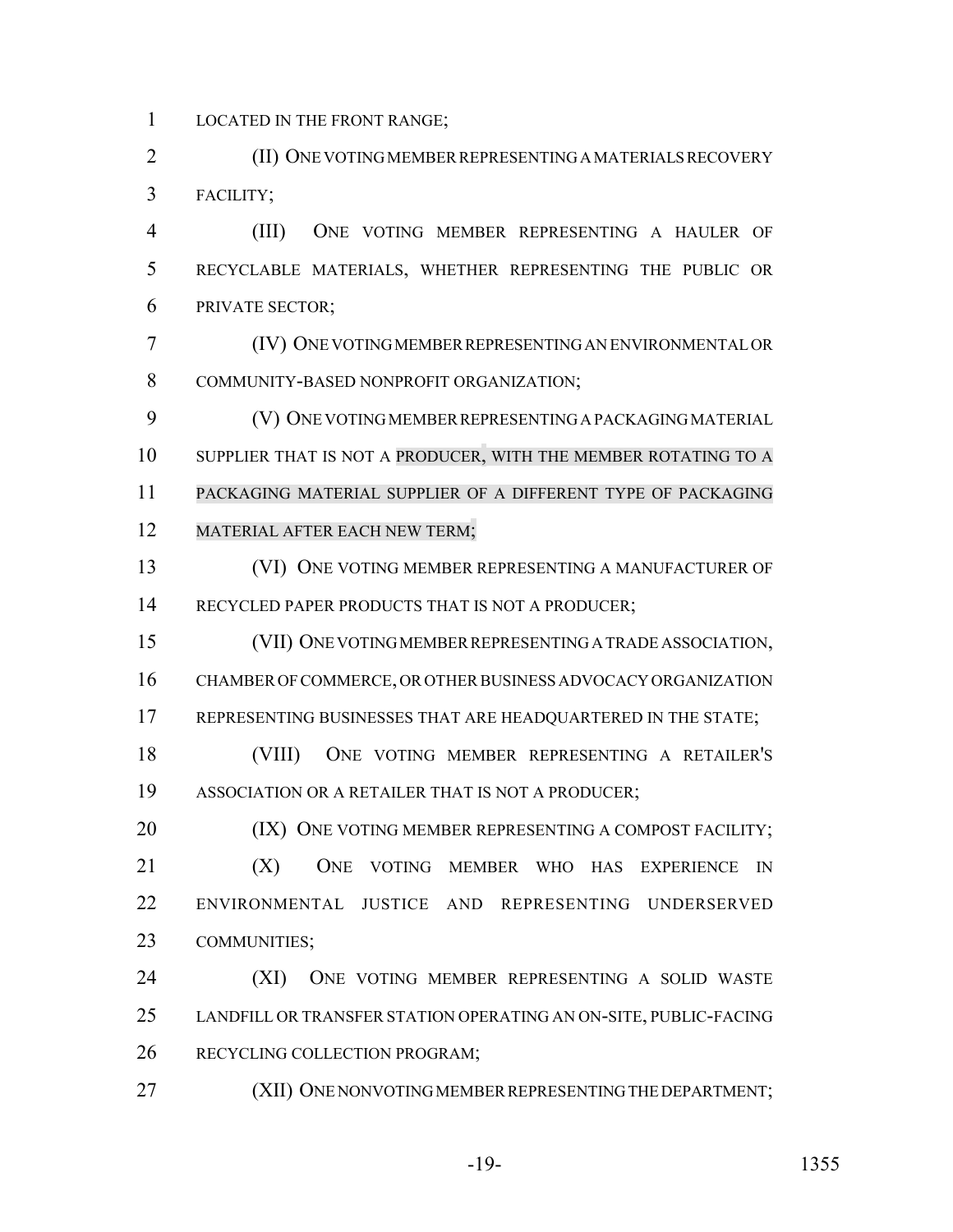LOCATED IN THE FRONT RANGE;

 (II) ONE VOTING MEMBER REPRESENTING A MATERIALS RECOVERY FACILITY;

 (III) ONE VOTING MEMBER REPRESENTING A HAULER OF RECYCLABLE MATERIALS, WHETHER REPRESENTING THE PUBLIC OR PRIVATE SECTOR;

 (IV) ONE VOTING MEMBER REPRESENTING AN ENVIRONMENTAL OR COMMUNITY-BASED NONPROFIT ORGANIZATION;

 (V) ONE VOTING MEMBER REPRESENTING A PACKAGING MATERIAL 10 SUPPLIER THAT IS NOT A PRODUCER, WITH THE MEMBER ROTATING TO A PACKAGING MATERIAL SUPPLIER OF A DIFFERENT TYPE OF PACKAGING MATERIAL AFTER EACH NEW TERM;

 (VI) ONE VOTING MEMBER REPRESENTING A MANUFACTURER OF 14 RECYCLED PAPER PRODUCTS THAT IS NOT A PRODUCER;

 (VII) ONE VOTING MEMBER REPRESENTING A TRADE ASSOCIATION, CHAMBER OF COMMERCE, OR OTHER BUSINESS ADVOCACY ORGANIZATION 17 REPRESENTING BUSINESSES THAT ARE HEADQUARTERED IN THE STATE;

 (VIII) ONE VOTING MEMBER REPRESENTING A RETAILER'S ASSOCIATION OR A RETAILER THAT IS NOT A PRODUCER;

**(IX) ONE VOTING MEMBER REPRESENTING A COMPOST FACILITY;**  (X) ONE VOTING MEMBER WHO HAS EXPERIENCE IN ENVIRONMENTAL JUSTICE AND REPRESENTING UNDERSERVED COMMUNITIES;

 (XI) ONE VOTING MEMBER REPRESENTING A SOLID WASTE LANDFILL OR TRANSFER STATION OPERATING AN ON-SITE, PUBLIC-FACING RECYCLING COLLECTION PROGRAM;

(XII) ONE NONVOTING MEMBER REPRESENTING THE DEPARTMENT;

-19- 1355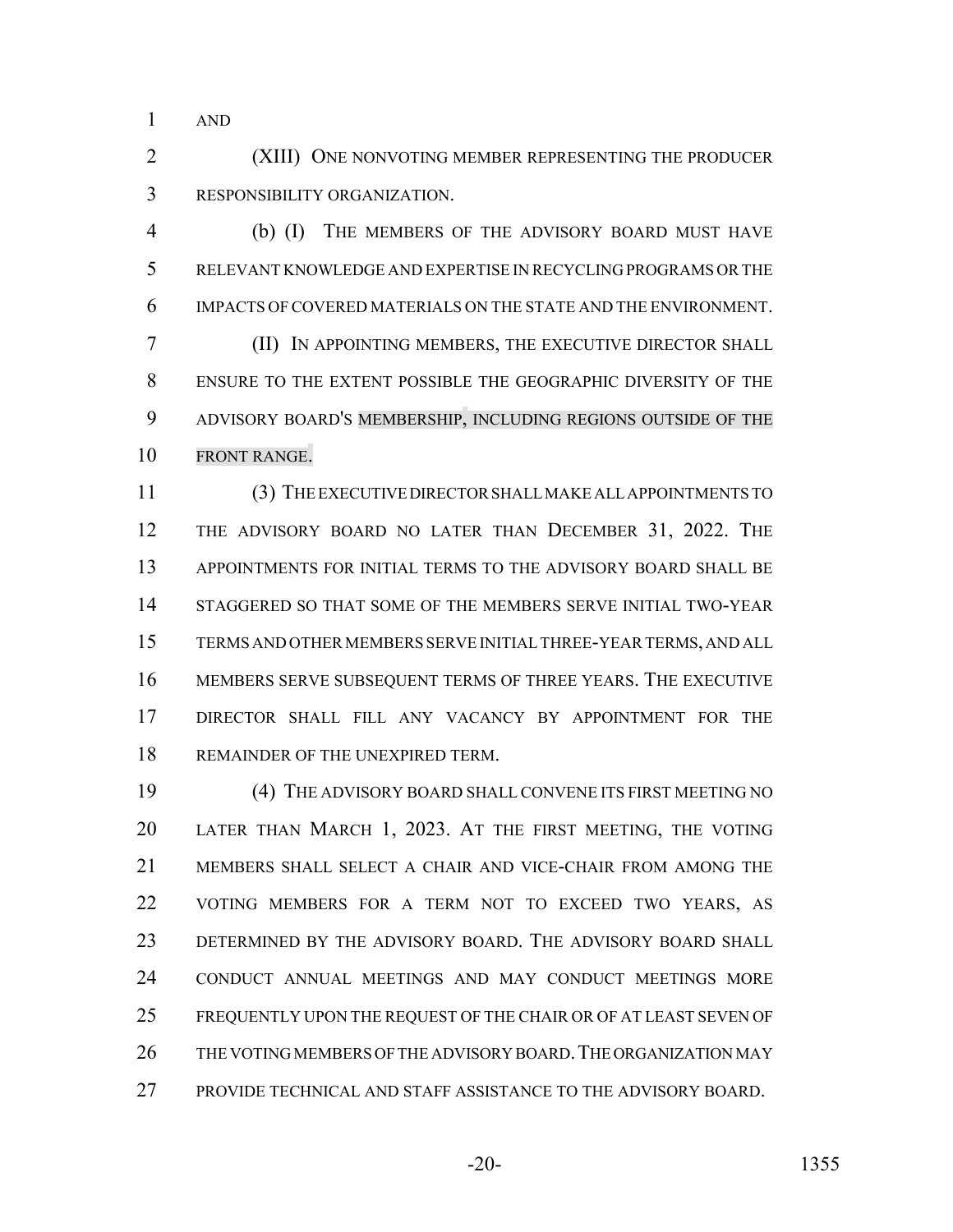AND

 (XIII) ONE NONVOTING MEMBER REPRESENTING THE PRODUCER RESPONSIBILITY ORGANIZATION.

 (b) (I) THE MEMBERS OF THE ADVISORY BOARD MUST HAVE RELEVANT KNOWLEDGE AND EXPERTISE IN RECYCLING PROGRAMS OR THE IMPACTS OF COVERED MATERIALS ON THE STATE AND THE ENVIRONMENT. (II) IN APPOINTING MEMBERS, THE EXECUTIVE DIRECTOR SHALL ENSURE TO THE EXTENT POSSIBLE THE GEOGRAPHIC DIVERSITY OF THE ADVISORY BOARD'S MEMBERSHIP, INCLUDING REGIONS OUTSIDE OF THE FRONT RANGE.

 (3) THE EXECUTIVE DIRECTOR SHALL MAKE ALL APPOINTMENTS TO 12 THE ADVISORY BOARD NO LATER THAN DECEMBER 31, 2022. THE APPOINTMENTS FOR INITIAL TERMS TO THE ADVISORY BOARD SHALL BE STAGGERED SO THAT SOME OF THE MEMBERS SERVE INITIAL TWO-YEAR TERMS AND OTHER MEMBERS SERVE INITIAL THREE-YEAR TERMS, AND ALL MEMBERS SERVE SUBSEQUENT TERMS OF THREE YEARS. THE EXECUTIVE DIRECTOR SHALL FILL ANY VACANCY BY APPOINTMENT FOR THE 18 REMAINDER OF THE UNEXPIRED TERM.

 (4) THE ADVISORY BOARD SHALL CONVENE ITS FIRST MEETING NO LATER THAN MARCH 1, 2023. AT THE FIRST MEETING, THE VOTING MEMBERS SHALL SELECT A CHAIR AND VICE-CHAIR FROM AMONG THE VOTING MEMBERS FOR A TERM NOT TO EXCEED TWO YEARS, AS DETERMINED BY THE ADVISORY BOARD. THE ADVISORY BOARD SHALL CONDUCT ANNUAL MEETINGS AND MAY CONDUCT MEETINGS MORE FREQUENTLY UPON THE REQUEST OF THE CHAIR OR OF AT LEAST SEVEN OF 26 THE VOTING MEMBERS OF THE ADVISORY BOARD. THE ORGANIZATION MAY PROVIDE TECHNICAL AND STAFF ASSISTANCE TO THE ADVISORY BOARD.

-20- 1355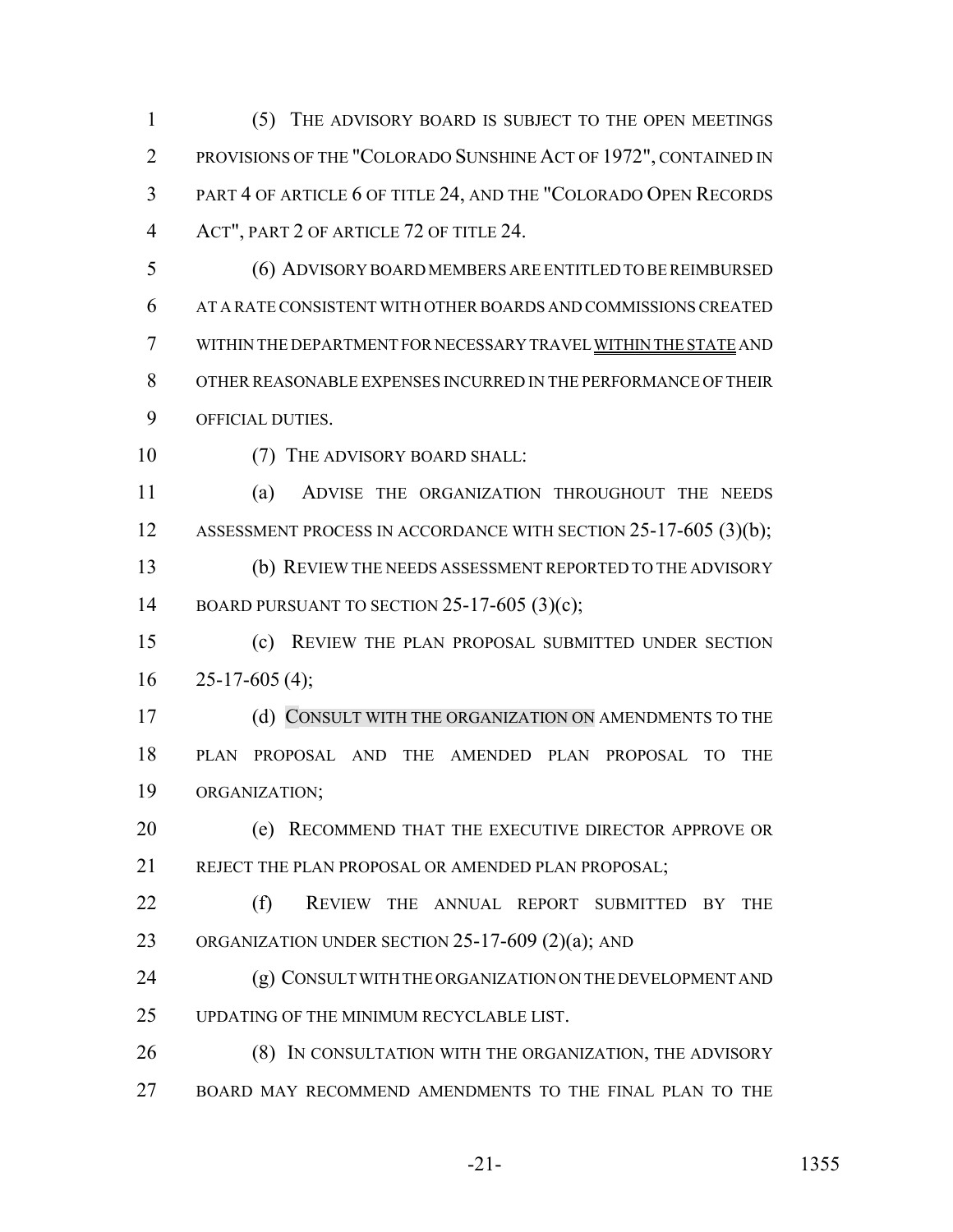(5) THE ADVISORY BOARD IS SUBJECT TO THE OPEN MEETINGS PROVISIONS OF THE "COLORADO SUNSHINE ACT OF 1972", CONTAINED IN PART 4 OF ARTICLE 6 OF TITLE 24, AND THE "COLORADO OPEN RECORDS ACT", PART 2 OF ARTICLE 72 OF TITLE 24.

 (6) ADVISORY BOARD MEMBERS ARE ENTITLED TO BE REIMBURSED AT A RATE CONSISTENT WITH OTHER BOARDS AND COMMISSIONS CREATED WITHIN THE DEPARTMENT FOR NECESSARY TRAVEL WITHIN THE STATE AND OTHER REASONABLE EXPENSES INCURRED IN THE PERFORMANCE OF THEIR OFFICIAL DUTIES.

10 (7) THE ADVISORY BOARD SHALL:

 (a) ADVISE THE ORGANIZATION THROUGHOUT THE NEEDS 12 ASSESSMENT PROCESS IN ACCORDANCE WITH SECTION 25-17-605 (3)(b); (b) REVIEW THE NEEDS ASSESSMENT REPORTED TO THE ADVISORY 14 BOARD PURSUANT TO SECTION 25-17-605 (3)(c);

 (c) REVIEW THE PLAN PROPOSAL SUBMITTED UNDER SECTION  $16 \quad 25-17-605(4);$ 

17 (d) CONSULT WITH THE ORGANIZATION ON AMENDMENTS TO THE PLAN PROPOSAL AND THE AMENDED PLAN PROPOSAL TO THE ORGANIZATION;

 (e) RECOMMEND THAT THE EXECUTIVE DIRECTOR APPROVE OR 21 REJECT THE PLAN PROPOSAL OR AMENDED PLAN PROPOSAL:

 (f) REVIEW THE ANNUAL REPORT SUBMITTED BY THE ORGANIZATION UNDER SECTION 25-17-609 (2)(a); AND

 (g) CONSULT WITH THE ORGANIZATION ON THE DEVELOPMENT AND UPDATING OF THE MINIMUM RECYCLABLE LIST.

26 (8) IN CONSULTATION WITH THE ORGANIZATION, THE ADVISORY BOARD MAY RECOMMEND AMENDMENTS TO THE FINAL PLAN TO THE

-21- 1355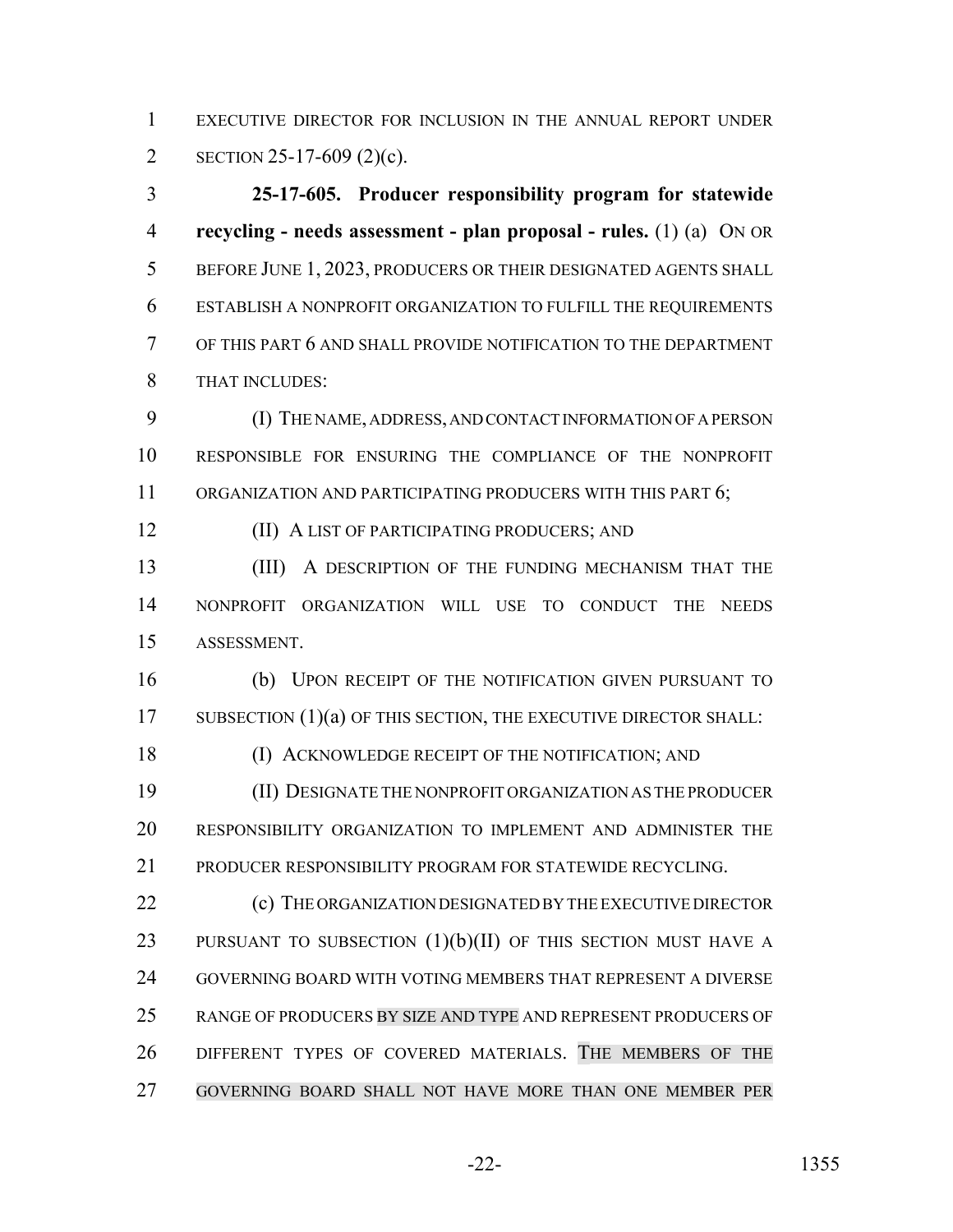EXECUTIVE DIRECTOR FOR INCLUSION IN THE ANNUAL REPORT UNDER SECTION 25-17-609 (2)(c).

 **25-17-605. Producer responsibility program for statewide recycling - needs assessment - plan proposal - rules.** (1) (a) ON OR 5 BEFORE JUNE 1, 2023, PRODUCERS OR THEIR DESIGNATED AGENTS SHALL ESTABLISH A NONPROFIT ORGANIZATION TO FULFILL THE REQUIREMENTS OF THIS PART 6 AND SHALL PROVIDE NOTIFICATION TO THE DEPARTMENT THAT INCLUDES:

 (I) THE NAME, ADDRESS, AND CONTACT INFORMATION OF A PERSON RESPONSIBLE FOR ENSURING THE COMPLIANCE OF THE NONPROFIT 11 ORGANIZATION AND PARTICIPATING PRODUCERS WITH THIS PART 6;

(II) A LIST OF PARTICIPATING PRODUCERS; AND

13 (III) A DESCRIPTION OF THE FUNDING MECHANISM THAT THE NONPROFIT ORGANIZATION WILL USE TO CONDUCT THE NEEDS ASSESSMENT.

 (b) UPON RECEIPT OF THE NOTIFICATION GIVEN PURSUANT TO 17 SUBSECTION (1)(a) OF THIS SECTION, THE EXECUTIVE DIRECTOR SHALL:

18 (I) ACKNOWLEDGE RECEIPT OF THE NOTIFICATION; AND

 (II) DESIGNATE THE NONPROFIT ORGANIZATION AS THE PRODUCER RESPONSIBILITY ORGANIZATION TO IMPLEMENT AND ADMINISTER THE PRODUCER RESPONSIBILITY PROGRAM FOR STATEWIDE RECYCLING.

 (c) THE ORGANIZATION DESIGNATED BY THE EXECUTIVE DIRECTOR 23 PURSUANT TO SUBSECTION  $(1)(b)(II)$  of this section must have a GOVERNING BOARD WITH VOTING MEMBERS THAT REPRESENT A DIVERSE RANGE OF PRODUCERS BY SIZE AND TYPE AND REPRESENT PRODUCERS OF DIFFERENT TYPES OF COVERED MATERIALS. THE MEMBERS OF THE GOVERNING BOARD SHALL NOT HAVE MORE THAN ONE MEMBER PER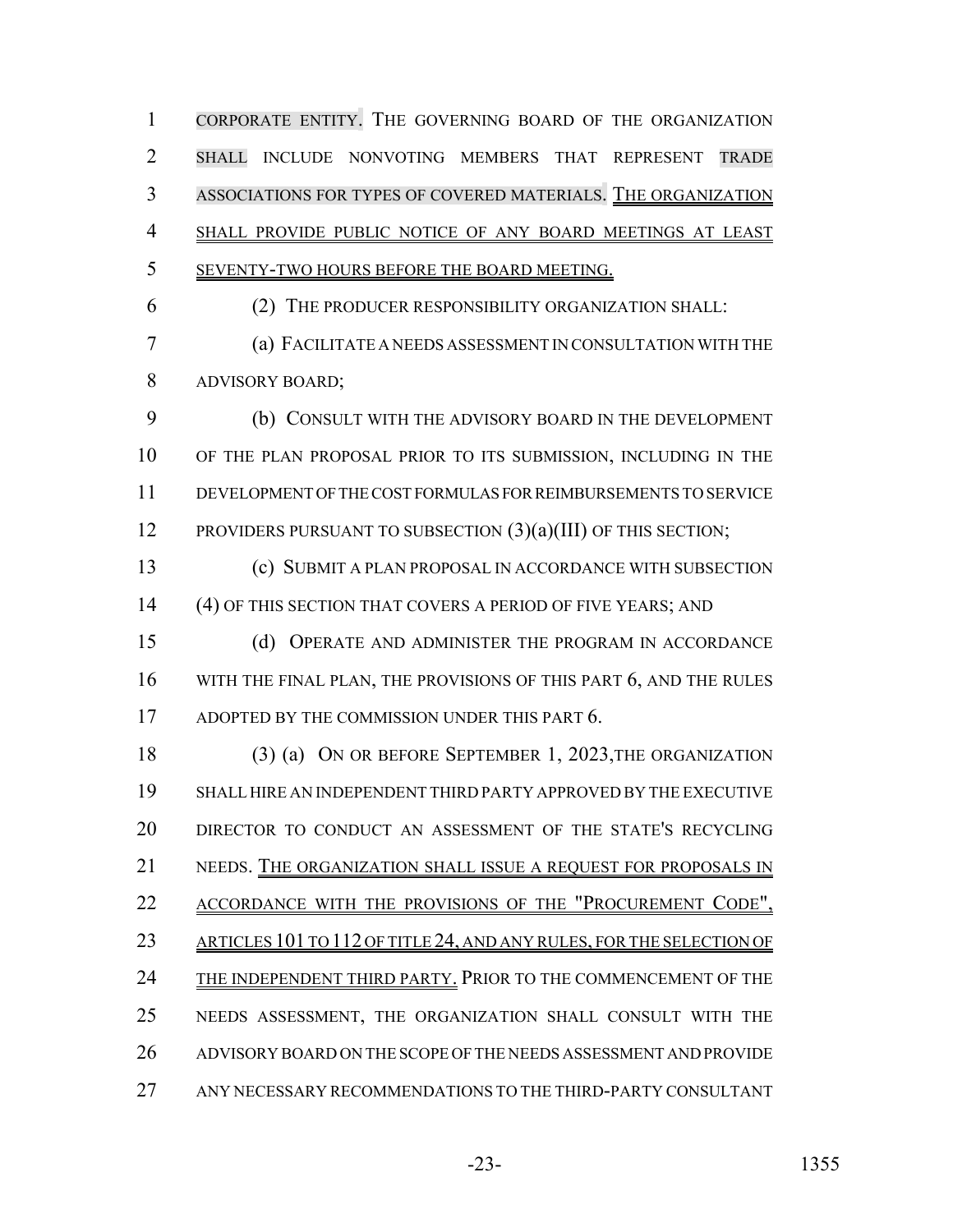CORPORATE ENTITY. THE GOVERNING BOARD OF THE ORGANIZATION SHALL INCLUDE NONVOTING MEMBERS THAT REPRESENT TRADE ASSOCIATIONS FOR TYPES OF COVERED MATERIALS. THE ORGANIZATION SHALL PROVIDE PUBLIC NOTICE OF ANY BOARD MEETINGS AT LEAST SEVENTY-TWO HOURS BEFORE THE BOARD MEETING. (2) THE PRODUCER RESPONSIBILITY ORGANIZATION SHALL: (a) FACILITATE A NEEDS ASSESSMENT IN CONSULTATION WITH THE

ADVISORY BOARD;

 (b) CONSULT WITH THE ADVISORY BOARD IN THE DEVELOPMENT OF THE PLAN PROPOSAL PRIOR TO ITS SUBMISSION, INCLUDING IN THE DEVELOPMENT OF THE COST FORMULAS FOR REIMBURSEMENTS TO SERVICE 12 PROVIDERS PURSUANT TO SUBSECTION  $(3)(a)(III)$  OF THIS SECTION;

 (c) SUBMIT A PLAN PROPOSAL IN ACCORDANCE WITH SUBSECTION (4) OF THIS SECTION THAT COVERS A PERIOD OF FIVE YEARS; AND

 (d) OPERATE AND ADMINISTER THE PROGRAM IN ACCORDANCE 16 WITH THE FINAL PLAN, THE PROVISIONS OF THIS PART 6, AND THE RULES 17 ADOPTED BY THE COMMISSION UNDER THIS PART 6.

 (3) (a) ON OR BEFORE SEPTEMBER 1, 2023,THE ORGANIZATION SHALL HIRE AN INDEPENDENT THIRD PARTY APPROVED BY THE EXECUTIVE DIRECTOR TO CONDUCT AN ASSESSMENT OF THE STATE'S RECYCLING NEEDS. THE ORGANIZATION SHALL ISSUE A REQUEST FOR PROPOSALS IN 22 ACCORDANCE WITH THE PROVISIONS OF THE "PROCUREMENT CODE", 23 ARTICLES 101 TO 112 OF TITLE 24, AND ANY RULES, FOR THE SELECTION OF 24 THE INDEPENDENT THIRD PARTY. PRIOR TO THE COMMENCEMENT OF THE NEEDS ASSESSMENT, THE ORGANIZATION SHALL CONSULT WITH THE ADVISORY BOARD ON THE SCOPE OF THE NEEDS ASSESSMENT AND PROVIDE ANY NECESSARY RECOMMENDATIONS TO THE THIRD-PARTY CONSULTANT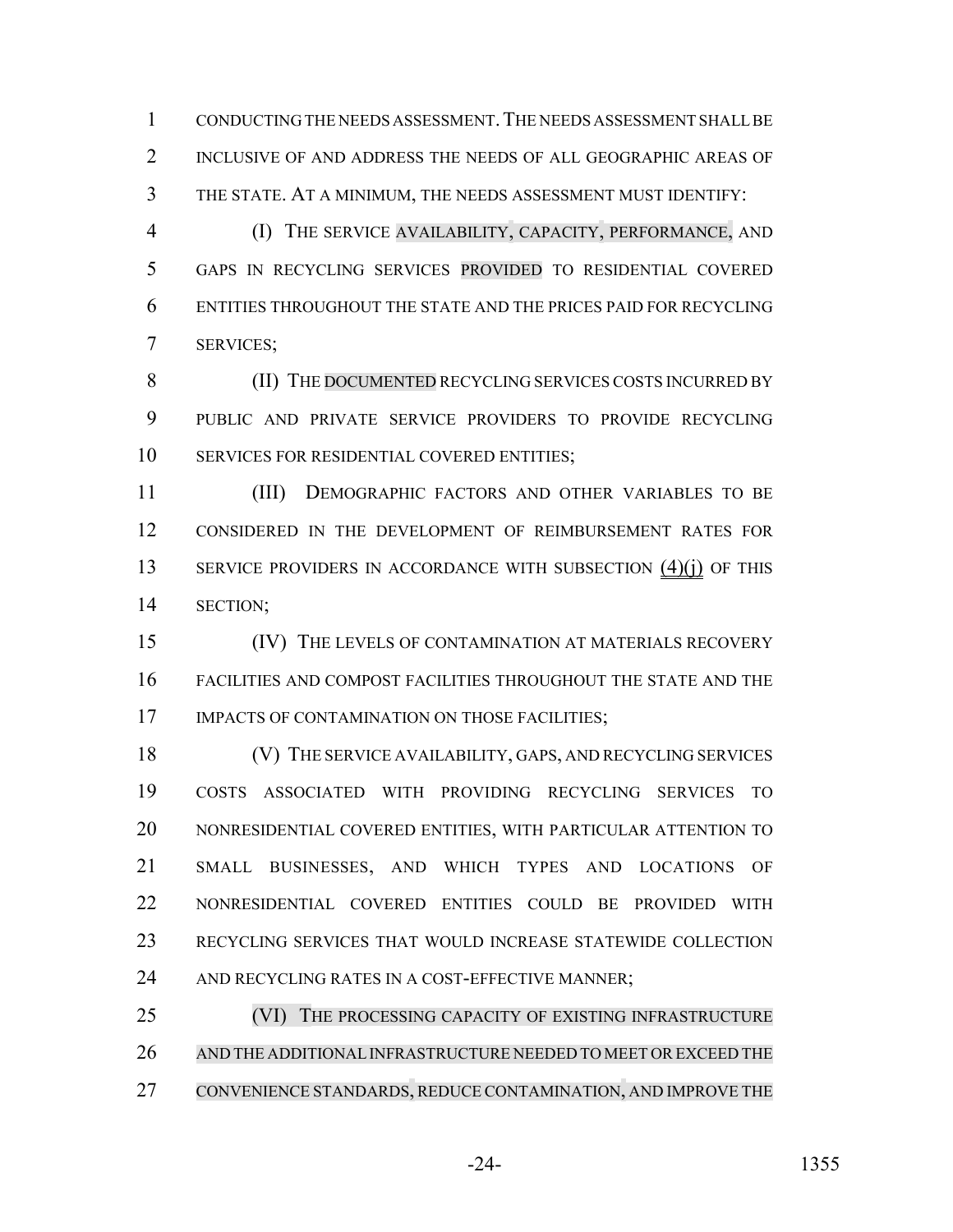CONDUCTING THE NEEDS ASSESSMENT.THE NEEDS ASSESSMENT SHALL BE INCLUSIVE OF AND ADDRESS THE NEEDS OF ALL GEOGRAPHIC AREAS OF THE STATE. AT A MINIMUM, THE NEEDS ASSESSMENT MUST IDENTIFY:

 (I) THE SERVICE AVAILABILITY, CAPACITY, PERFORMANCE, AND GAPS IN RECYCLING SERVICES PROVIDED TO RESIDENTIAL COVERED ENTITIES THROUGHOUT THE STATE AND THE PRICES PAID FOR RECYCLING SERVICES;

8 (II) THE DOCUMENTED RECYCLING SERVICES COSTS INCURRED BY PUBLIC AND PRIVATE SERVICE PROVIDERS TO PROVIDE RECYCLING SERVICES FOR RESIDENTIAL COVERED ENTITIES;

 (III) DEMOGRAPHIC FACTORS AND OTHER VARIABLES TO BE CONSIDERED IN THE DEVELOPMENT OF REIMBURSEMENT RATES FOR 13 SERVICE PROVIDERS IN ACCORDANCE WITH SUBSECTION (4)(j) OF THIS SECTION;

 (IV) THE LEVELS OF CONTAMINATION AT MATERIALS RECOVERY FACILITIES AND COMPOST FACILITIES THROUGHOUT THE STATE AND THE 17 IMPACTS OF CONTAMINATION ON THOSE FACILITIES;

 (V) THE SERVICE AVAILABILITY, GAPS, AND RECYCLING SERVICES COSTS ASSOCIATED WITH PROVIDING RECYCLING SERVICES TO NONRESIDENTIAL COVERED ENTITIES, WITH PARTICULAR ATTENTION TO SMALL BUSINESSES, AND WHICH TYPES AND LOCATIONS OF NONRESIDENTIAL COVERED ENTITIES COULD BE PROVIDED WITH RECYCLING SERVICES THAT WOULD INCREASE STATEWIDE COLLECTION 24 AND RECYCLING RATES IN A COST-EFFECTIVE MANNER;

25 (VI) THE PROCESSING CAPACITY OF EXISTING INFRASTRUCTURE AND THE ADDITIONALINFRASTRUCTURE NEEDED TO MEET OREXCEED THE CONVENIENCE STANDARDS, REDUCE CONTAMINATION, AND IMPROVE THE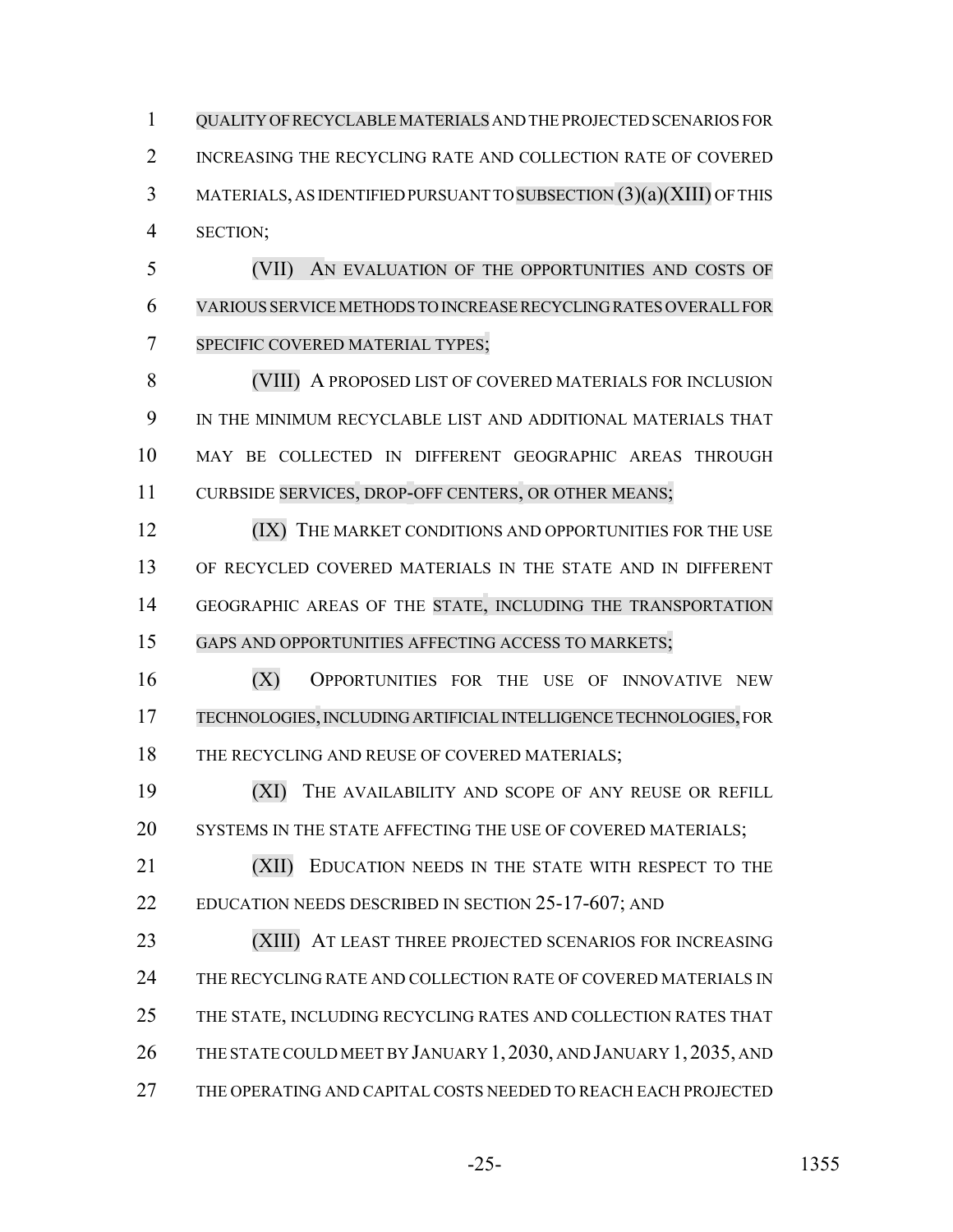QUALITY OFRECYCLABLE MATERIALS AND THE PROJECTED SCENARIOS FOR 2 INCREASING THE RECYCLING RATE AND COLLECTION RATE OF COVERED MATERIALS, AS IDENTIFIED PURSUANT TO SUBSECTION (3)(a)(XIII) OF THIS SECTION;

 (VII) AN EVALUATION OF THE OPPORTUNITIES AND COSTS OF VARIOUS SERVICE METHODS TO INCREASE RECYCLING RATES OVERALL FOR SPECIFIC COVERED MATERIAL TYPES;

 (VIII) A PROPOSED LIST OF COVERED MATERIALS FOR INCLUSION IN THE MINIMUM RECYCLABLE LIST AND ADDITIONAL MATERIALS THAT MAY BE COLLECTED IN DIFFERENT GEOGRAPHIC AREAS THROUGH 11 CURBSIDE SERVICES, DROP-OFF CENTERS, OR OTHER MEANS;

**(IX)** THE MARKET CONDITIONS AND OPPORTUNITIES FOR THE USE OF RECYCLED COVERED MATERIALS IN THE STATE AND IN DIFFERENT GEOGRAPHIC AREAS OF THE STATE, INCLUDING THE TRANSPORTATION GAPS AND OPPORTUNITIES AFFECTING ACCESS TO MARKETS;

 (X) OPPORTUNITIES FOR THE USE OF INNOVATIVE NEW TECHNOLOGIES, INCLUDING ARTIFICIAL INTELLIGENCE TECHNOLOGIES, FOR 18 THE RECYCLING AND REUSE OF COVERED MATERIALS;

 (XI) THE AVAILABILITY AND SCOPE OF ANY REUSE OR REFILL 20 SYSTEMS IN THE STATE AFFECTING THE USE OF COVERED MATERIALS;

21 (XII) EDUCATION NEEDS IN THE STATE WITH RESPECT TO THE 22 EDUCATION NEEDS DESCRIBED IN SECTION 25-17-607; AND

 (XIII) AT LEAST THREE PROJECTED SCENARIOS FOR INCREASING THE RECYCLING RATE AND COLLECTION RATE OF COVERED MATERIALS IN THE STATE, INCLUDING RECYCLING RATES AND COLLECTION RATES THAT THE STATE COULD MEET BY JANUARY 1, 2030, AND JANUARY 1, 2035, AND THE OPERATING AND CAPITAL COSTS NEEDED TO REACH EACH PROJECTED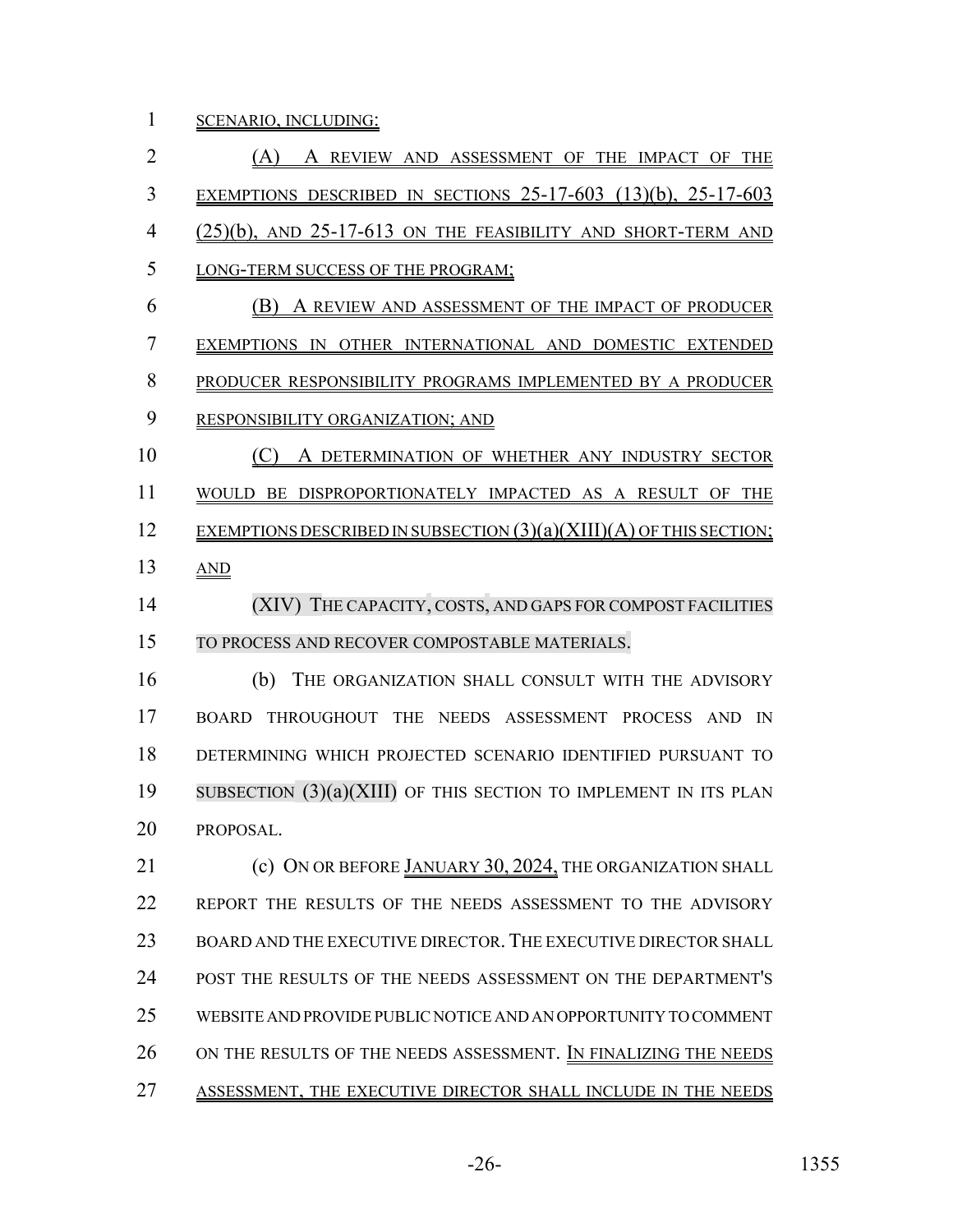SCENARIO, INCLUDING:

 (A) A REVIEW AND ASSESSMENT OF THE IMPACT OF THE EXEMPTIONS DESCRIBED IN SECTIONS 25-17-603 (13)(b), 25-17-603 4 (25)(b), AND 25-17-613 ON THE FEASIBILITY AND SHORT-TERM AND LONG-TERM SUCCESS OF THE PROGRAM; (B) A REVIEW AND ASSESSMENT OF THE IMPACT OF PRODUCER EXEMPTIONS IN OTHER INTERNATIONAL AND DOMESTIC EXTENDED PRODUCER RESPONSIBILITY PROGRAMS IMPLEMENTED BY A PRODUCER RESPONSIBILITY ORGANIZATION; AND (C) A DETERMINATION OF WHETHER ANY INDUSTRY SECTOR WOULD BE DISPROPORTIONATELY IMPACTED AS A RESULT OF THE 12 EXEMPTIONS DESCRIBED IN SUBSECTION  $(3)(a)(XIII)(A)$  OF THIS SECTION; AND (XIV) THE CAPACITY, COSTS, AND GAPS FOR COMPOST FACILITIES TO PROCESS AND RECOVER COMPOSTABLE MATERIALS. (b) THE ORGANIZATION SHALL CONSULT WITH THE ADVISORY BOARD THROUGHOUT THE NEEDS ASSESSMENT PROCESS AND IN DETERMINING WHICH PROJECTED SCENARIO IDENTIFIED PURSUANT TO SUBSECTION (3)(a)(XIII) OF THIS SECTION TO IMPLEMENT IN ITS PLAN PROPOSAL. **(c) ON OR BEFORE JANUARY 30, 2024, THE ORGANIZATION SHALL**  REPORT THE RESULTS OF THE NEEDS ASSESSMENT TO THE ADVISORY BOARD AND THE EXECUTIVE DIRECTOR. THE EXECUTIVE DIRECTOR SHALL POST THE RESULTS OF THE NEEDS ASSESSMENT ON THE DEPARTMENT'S WEBSITE AND PROVIDE PUBLIC NOTICE AND AN OPPORTUNITY TO COMMENT

- ON THE RESULTS OF THE NEEDS ASSESSMENT. IN FINALIZING THE NEEDS
- ASSESSMENT, THE EXECUTIVE DIRECTOR SHALL INCLUDE IN THE NEEDS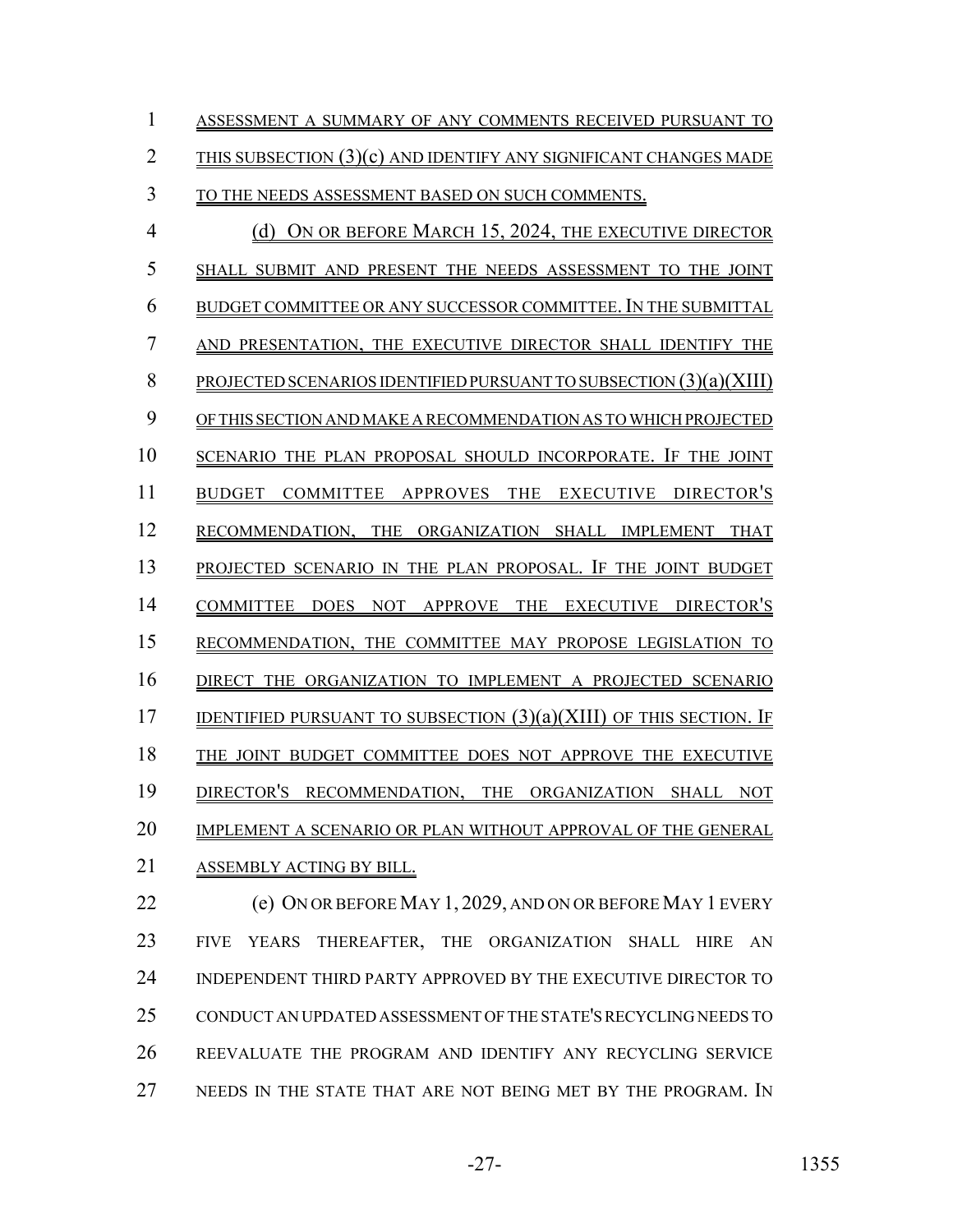| 1              | ASSESSMENT A SUMMARY OF ANY COMMENTS RECEIVED PURSUANT TO                  |
|----------------|----------------------------------------------------------------------------|
| $\overline{2}$ | THIS SUBSECTION $(3)(c)$ AND IDENTIFY ANY SIGNIFICANT CHANGES MADE         |
| 3              | TO THE NEEDS ASSESSMENT BASED ON SUCH COMMENTS.                            |
| 4              | ON OR BEFORE MARCH 15, 2024, THE EXECUTIVE DIRECTOR<br>(d)                 |
| 5              | SHALL SUBMIT AND PRESENT THE NEEDS ASSESSMENT TO THE JOINT                 |
| 6              | BUDGET COMMITTEE OR ANY SUCCESSOR COMMITTEE. IN THE SUBMITTAL              |
| 7              | AND PRESENTATION, THE EXECUTIVE DIRECTOR SHALL IDENTIFY THE                |
| 8              | PROJECTED SCENARIOS IDENTIFIED PURSUANT TO SUBSECTION $(3)(a)(XIII)$       |
| 9              | OF THIS SECTION AND MAKE A RECOMMENDATION AS TO WHICH PROJECTED            |
| 10             | SCENARIO THE PLAN PROPOSAL SHOULD INCORPORATE. IF THE JOINT                |
| 11             | APPROVES THE<br>EXECUTIVE DIRECTOR'S<br><b>COMMITTEE</b><br>BUDGET         |
| 12             | RECOMMENDATION, THE ORGANIZATION SHALL IMPLEMENT<br>THAT                   |
| 13             | PROJECTED SCENARIO IN THE PLAN PROPOSAL. IF THE JOINT BUDGET               |
| 14             | NOT APPROVE THE<br>EXECUTIVE DIRECTOR'S<br><b>COMMITTEE</b><br><b>DOES</b> |
| 15             | RECOMMENDATION, THE COMMITTEE MAY PROPOSE LEGISLATION TO                   |
| 16             | DIRECT THE ORGANIZATION TO IMPLEMENT A PROJECTED SCENARIO                  |
| 17             | IDENTIFIED PURSUANT TO SUBSECTION $(3)(a)(XIII)$ OF THIS SECTION. IF       |
| 18             | THE JOINT BUDGET COMMITTEE DOES NOT APPROVE THE EXECUTIVE                  |
| 19             | DIRECTOR'S RECOMMENDATION, THE ORGANIZATION SHALL<br><b>NOT</b>            |
| 20             | IMPLEMENT A SCENARIO OR PLAN WITHOUT APPROVAL OF THE GENERAL               |
| 21             | ASSEMBLY ACTING BY BILL.                                                   |
| 22             | (e) ON OR BEFORE MAY 1, 2029, AND ON OR BEFORE MAY 1 EVERY                 |
|                |                                                                            |

 FIVE YEARS THEREAFTER, THE ORGANIZATION SHALL HIRE AN INDEPENDENT THIRD PARTY APPROVED BY THE EXECUTIVE DIRECTOR TO CONDUCT AN UPDATED ASSESSMENT OF THE STATE'S RECYCLING NEEDS TO REEVALUATE THE PROGRAM AND IDENTIFY ANY RECYCLING SERVICE 27 NEEDS IN THE STATE THAT ARE NOT BEING MET BY THE PROGRAM. IN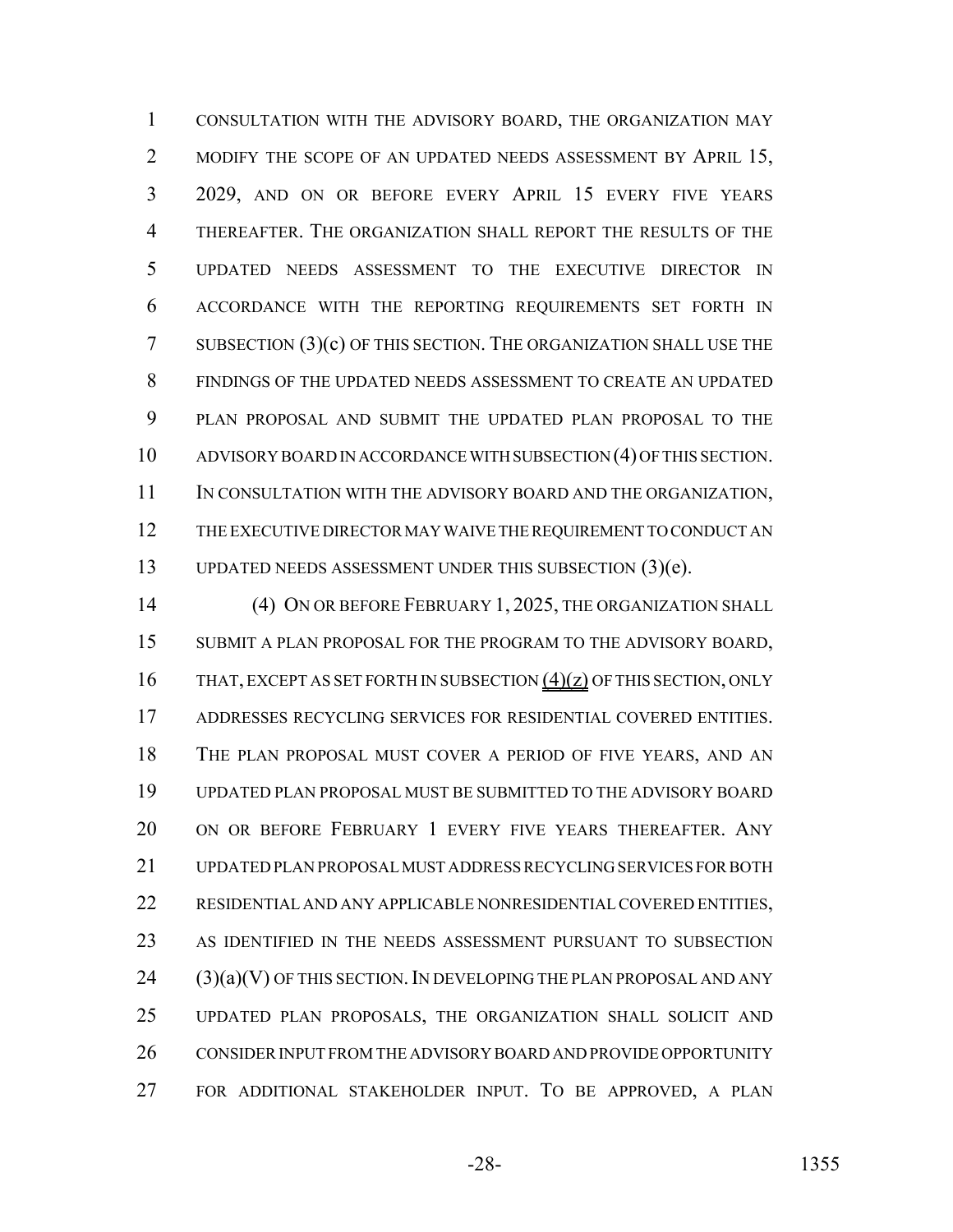CONSULTATION WITH THE ADVISORY BOARD, THE ORGANIZATION MAY 2 MODIFY THE SCOPE OF AN UPDATED NEEDS ASSESSMENT BY APRIL 15, 2029, AND ON OR BEFORE EVERY APRIL 15 EVERY FIVE YEARS THEREAFTER. THE ORGANIZATION SHALL REPORT THE RESULTS OF THE UPDATED NEEDS ASSESSMENT TO THE EXECUTIVE DIRECTOR IN ACCORDANCE WITH THE REPORTING REQUIREMENTS SET FORTH IN SUBSECTION (3)(c) OF THIS SECTION. THE ORGANIZATION SHALL USE THE FINDINGS OF THE UPDATED NEEDS ASSESSMENT TO CREATE AN UPDATED PLAN PROPOSAL AND SUBMIT THE UPDATED PLAN PROPOSAL TO THE ADVISORY BOARD IN ACCORDANCE WITH SUBSECTION (4) OF THIS SECTION. 11 IN CONSULTATION WITH THE ADVISORY BOARD AND THE ORGANIZATION, THE EXECUTIVE DIRECTOR MAY WAIVE THE REQUIREMENT TO CONDUCT AN UPDATED NEEDS ASSESSMENT UNDER THIS SUBSECTION (3)(e).

 (4) ON OR BEFORE FEBRUARY 1, 2025, THE ORGANIZATION SHALL SUBMIT A PLAN PROPOSAL FOR THE PROGRAM TO THE ADVISORY BOARD, 16 THAT, EXCEPT AS SET FORTH IN SUBSECTION (4)(z) OF THIS SECTION, ONLY ADDRESSES RECYCLING SERVICES FOR RESIDENTIAL COVERED ENTITIES. THE PLAN PROPOSAL MUST COVER A PERIOD OF FIVE YEARS, AND AN UPDATED PLAN PROPOSAL MUST BE SUBMITTED TO THE ADVISORY BOARD ON OR BEFORE FEBRUARY 1 EVERY FIVE YEARS THEREAFTER. ANY UPDATED PLAN PROPOSAL MUST ADDRESS RECYCLING SERVICES FOR BOTH RESIDENTIAL AND ANY APPLICABLE NONRESIDENTIAL COVERED ENTITIES, AS IDENTIFIED IN THE NEEDS ASSESSMENT PURSUANT TO SUBSECTION (3)(a)(V) OF THIS SECTION. IN DEVELOPING THE PLAN PROPOSAL AND ANY UPDATED PLAN PROPOSALS, THE ORGANIZATION SHALL SOLICIT AND 26 CONSIDER INPUT FROM THE ADVISORY BOARD AND PROVIDE OPPORTUNITY FOR ADDITIONAL STAKEHOLDER INPUT. TO BE APPROVED, A PLAN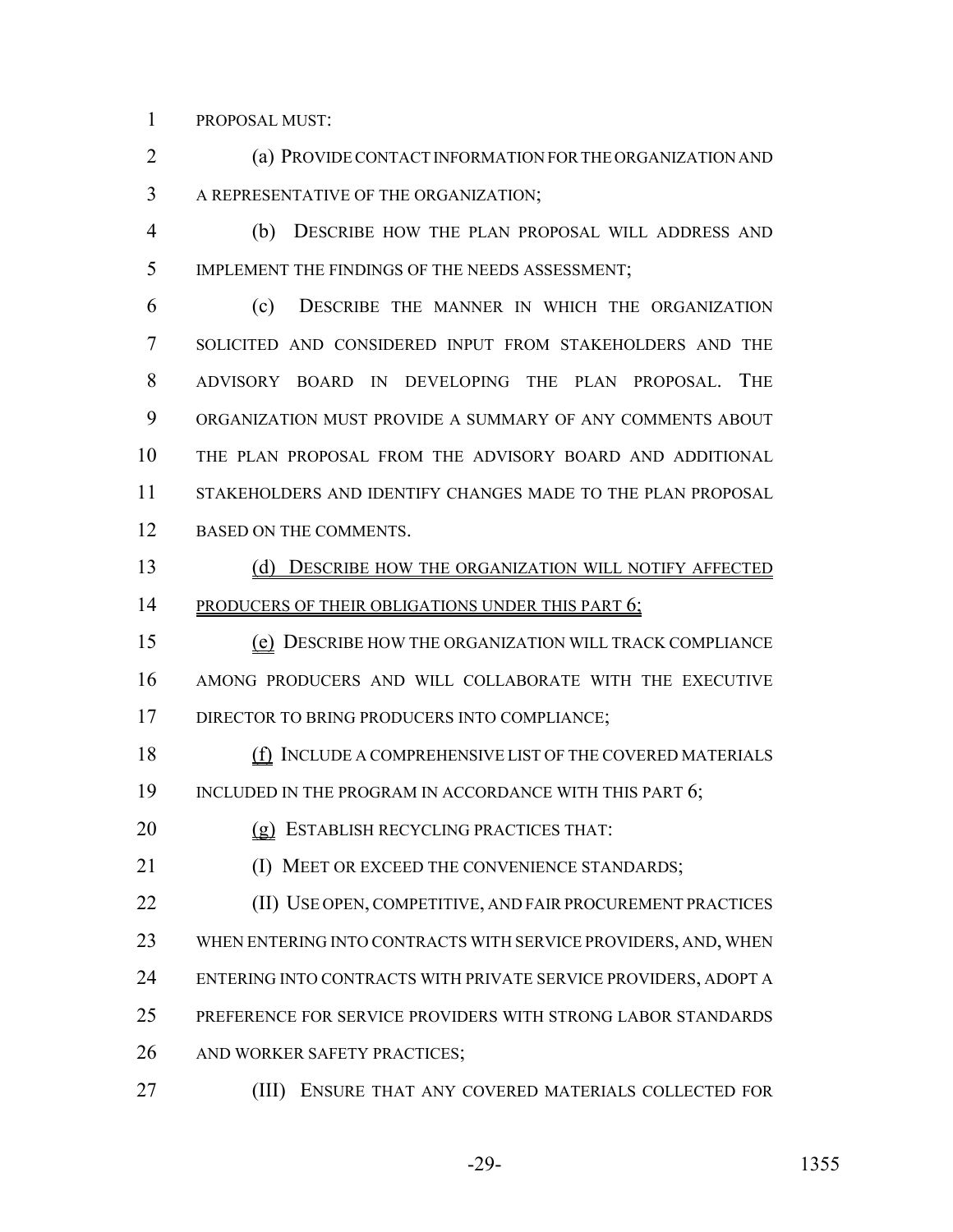PROPOSAL MUST:

 (a) PROVIDE CONTACT INFORMATION FOR THE ORGANIZATION AND A REPRESENTATIVE OF THE ORGANIZATION;

 (b) DESCRIBE HOW THE PLAN PROPOSAL WILL ADDRESS AND IMPLEMENT THE FINDINGS OF THE NEEDS ASSESSMENT;

 (c) DESCRIBE THE MANNER IN WHICH THE ORGANIZATION SOLICITED AND CONSIDERED INPUT FROM STAKEHOLDERS AND THE ADVISORY BOARD IN DEVELOPING THE PLAN PROPOSAL. THE ORGANIZATION MUST PROVIDE A SUMMARY OF ANY COMMENTS ABOUT THE PLAN PROPOSAL FROM THE ADVISORY BOARD AND ADDITIONAL STAKEHOLDERS AND IDENTIFY CHANGES MADE TO THE PLAN PROPOSAL 12 BASED ON THE COMMENTS.

 (d) DESCRIBE HOW THE ORGANIZATION WILL NOTIFY AFFECTED 14 PRODUCERS OF THEIR OBLIGATIONS UNDER THIS PART 6;

 (e) DESCRIBE HOW THE ORGANIZATION WILL TRACK COMPLIANCE AMONG PRODUCERS AND WILL COLLABORATE WITH THE EXECUTIVE 17 DIRECTOR TO BRING PRODUCERS INTO COMPLIANCE;

 (f) INCLUDE A COMPREHENSIVE LIST OF THE COVERED MATERIALS 19 INCLUDED IN THE PROGRAM IN ACCORDANCE WITH THIS PART 6;

20 (g) ESTABLISH RECYCLING PRACTICES THAT:

21 (I) MEET OR EXCEED THE CONVENIENCE STANDARDS;

**(II) USE OPEN, COMPETITIVE, AND FAIR PROCUREMENT PRACTICES** 

WHEN ENTERING INTO CONTRACTS WITH SERVICE PROVIDERS, AND, WHEN

ENTERING INTO CONTRACTS WITH PRIVATE SERVICE PROVIDERS, ADOPT A

PREFERENCE FOR SERVICE PROVIDERS WITH STRONG LABOR STANDARDS

26 AND WORKER SAFETY PRACTICES;

(III) ENSURE THAT ANY COVERED MATERIALS COLLECTED FOR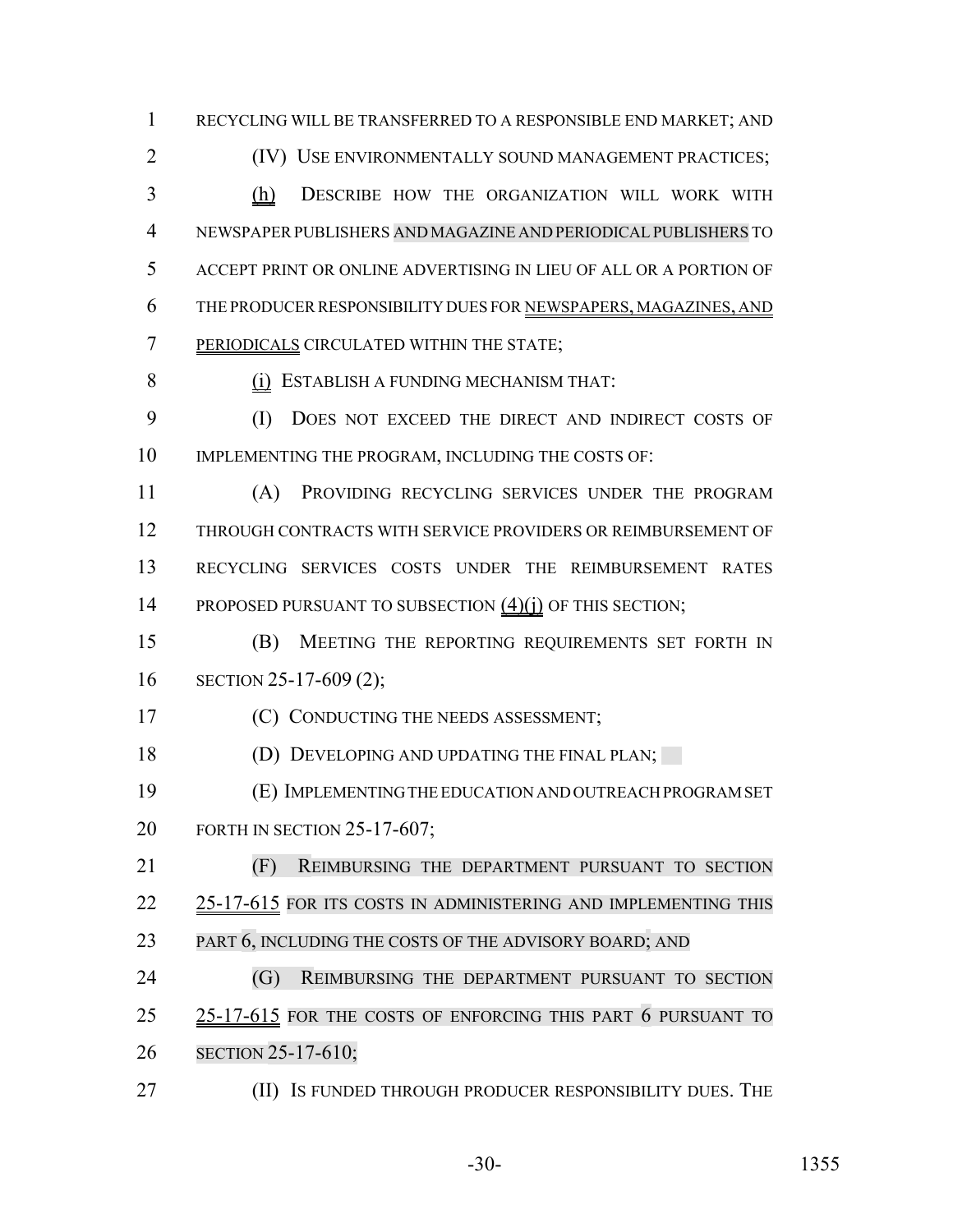RECYCLING WILL BE TRANSFERRED TO A RESPONSIBLE END MARKET; AND

**(IV)** USE ENVIRONMENTALLY SOUND MANAGEMENT PRACTICES; 3 (h) DESCRIBE HOW THE ORGANIZATION WILL WORK WITH NEWSPAPER PUBLISHERS AND MAGAZINE AND PERIODICALPUBLISHERS TO ACCEPT PRINT OR ONLINE ADVERTISING IN LIEU OF ALL OR A PORTION OF THE PRODUCER RESPONSIBILITY DUES FOR NEWSPAPERS, MAGAZINES, AND PERIODICALS CIRCULATED WITHIN THE STATE;

(i) ESTABLISH A FUNDING MECHANISM THAT:

 (I) DOES NOT EXCEED THE DIRECT AND INDIRECT COSTS OF IMPLEMENTING THE PROGRAM, INCLUDING THE COSTS OF:

 (A) PROVIDING RECYCLING SERVICES UNDER THE PROGRAM THROUGH CONTRACTS WITH SERVICE PROVIDERS OR REIMBURSEMENT OF RECYCLING SERVICES COSTS UNDER THE REIMBURSEMENT RATES 14 PROPOSED PURSUANT TO SUBSECTION (4)(j) OF THIS SECTION;

 (B) MEETING THE REPORTING REQUIREMENTS SET FORTH IN SECTION 25-17-609 (2);

**(C) CONDUCTING THE NEEDS ASSESSMENT;** 

18 (D) DEVELOPING AND UPDATING THE FINAL PLAN;

 (E) IMPLEMENTING THE EDUCATION AND OUTREACH PROGRAM SET FORTH IN SECTION 25-17-607;

 (F) REIMBURSING THE DEPARTMENT PURSUANT TO SECTION 22 25-17-615 FOR ITS COSTS IN ADMINISTERING AND IMPLEMENTING THIS 23 PART 6, INCLUDING THE COSTS OF THE ADVISORY BOARD; AND

 (G) REIMBURSING THE DEPARTMENT PURSUANT TO SECTION 25 25-17-615 FOR THE COSTS OF ENFORCING THIS PART 6 PURSUANT TO SECTION 25-17-610;

**(II) IS FUNDED THROUGH PRODUCER RESPONSIBILITY DUES. THE**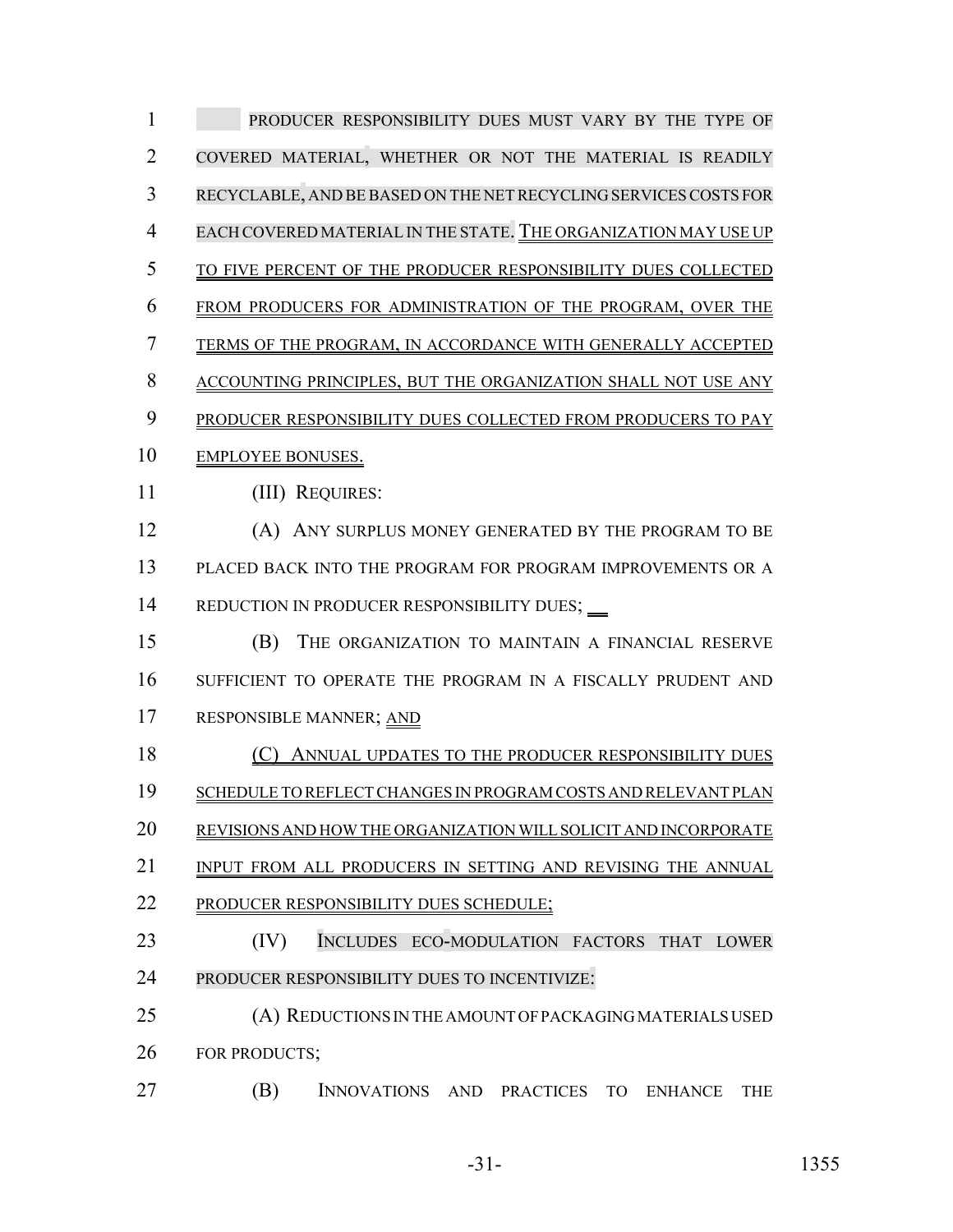| 1              | PRODUCER RESPONSIBILITY DUES MUST VARY BY THE TYPE OF                                                    |
|----------------|----------------------------------------------------------------------------------------------------------|
| 2              | COVERED MATERIAL, WHETHER OR NOT THE MATERIAL IS READILY                                                 |
| 3              | RECYCLABLE, AND BE BASED ON THE NET RECYCLING SERVICES COSTS FOR                                         |
| $\overline{4}$ | EACH COVERED MATERIAL IN THE STATE. THE ORGANIZATION MAY USE UP                                          |
| 5              | TO FIVE PERCENT OF THE PRODUCER RESPONSIBILITY DUES COLLECTED                                            |
| 6              | FROM PRODUCERS FOR ADMINISTRATION OF THE PROGRAM, OVER THE                                               |
| 7              | TERMS OF THE PROGRAM, IN ACCORDANCE WITH GENERALLY ACCEPTED                                              |
| 8              | ACCOUNTING PRINCIPLES, BUT THE ORGANIZATION SHALL NOT USE ANY                                            |
| 9              | PRODUCER RESPONSIBILITY DUES COLLECTED FROM PRODUCERS TO PAY                                             |
| 10             | <b>EMPLOYEE BONUSES.</b>                                                                                 |
| 11             | (III) REQUIRES:                                                                                          |
| 12             | (A) ANY SURPLUS MONEY GENERATED BY THE PROGRAM TO BE                                                     |
| 13             | PLACED BACK INTO THE PROGRAM FOR PROGRAM IMPROVEMENTS OR A                                               |
| 14             | REDUCTION IN PRODUCER RESPONSIBILITY DUES; __                                                            |
| 15             | (B)<br>THE ORGANIZATION TO MAINTAIN A FINANCIAL RESERVE                                                  |
| 16             | SUFFICIENT TO OPERATE THE PROGRAM IN A FISCALLY PRUDENT AND                                              |
| 17             | RESPONSIBLE MANNER; AND                                                                                  |
| 18             | ANNUAL UPDATES TO THE PRODUCER RESPONSIBILITY DUES                                                       |
| 19             | SCHEDULE TO REFLECT CHANGES IN PROGRAM COSTS AND RELEVANT PLAN                                           |
| 20             | REVISIONS AND HOW THE ORGANIZATION WILL SOLICIT AND INCORPORATE                                          |
| 21             | INPUT FROM ALL PRODUCERS IN SETTING AND REVISING THE ANNUAL                                              |
| 22             | PRODUCER RESPONSIBILITY DUES SCHEDULE;                                                                   |
| 23             | (IV)<br><b>INCLUDES</b><br>ECO-MODULATION FACTORS<br><b>THAT</b><br><b>LOWER</b>                         |
| 24             | PRODUCER RESPONSIBILITY DUES TO INCENTIVIZE:                                                             |
| 25             | (A) REDUCTIONS IN THE AMOUNT OF PACKAGING MATERIALS USED                                                 |
| 26             | FOR PRODUCTS;                                                                                            |
| 27             | (B)<br><b>INNOVATIONS</b><br><b>AND</b><br><b>PRACTICES</b><br><b>TO</b><br><b>ENHANCE</b><br><b>THE</b> |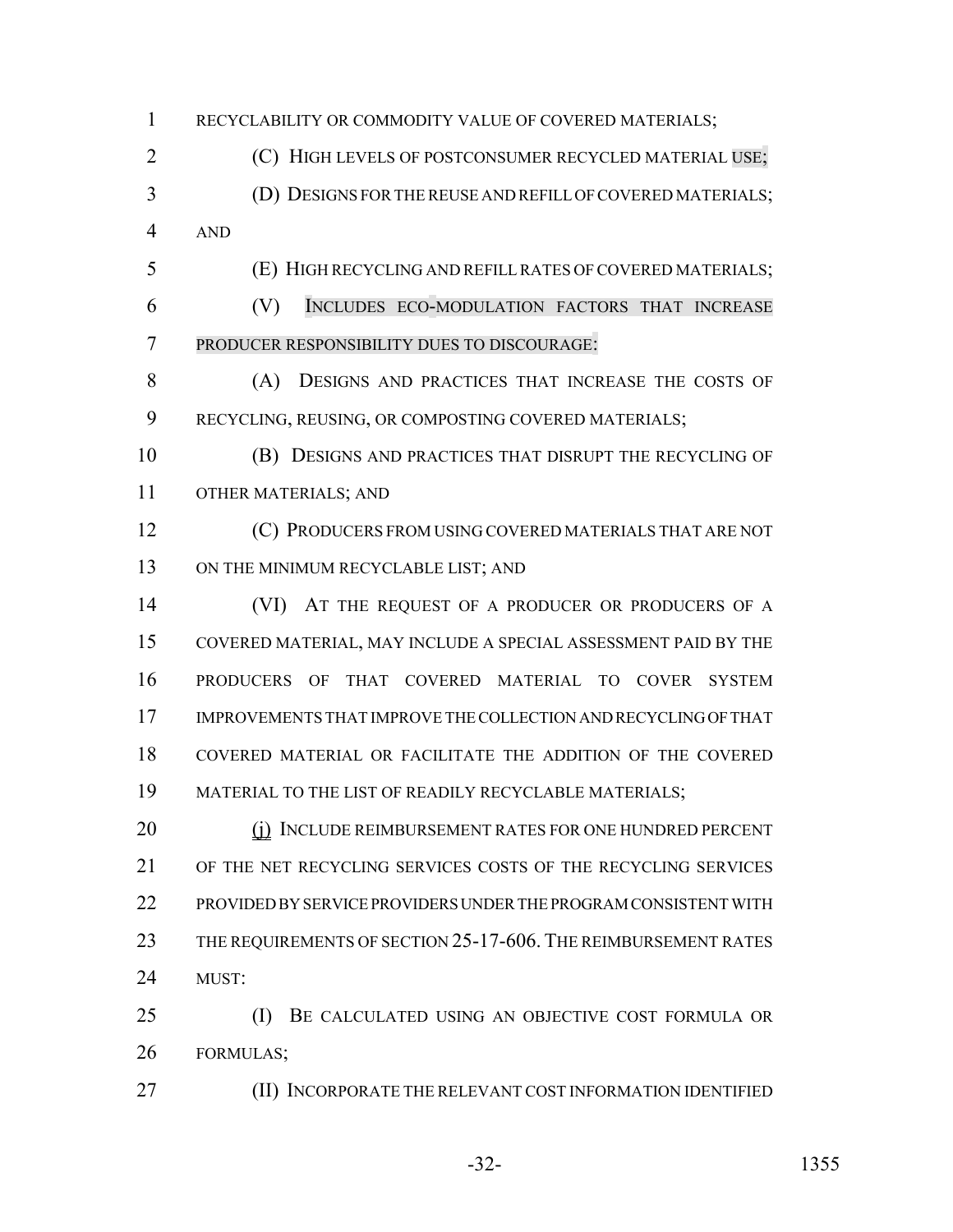RECYCLABILITY OR COMMODITY VALUE OF COVERED MATERIALS; 2 (C) HIGH LEVELS OF POSTCONSUMER RECYCLED MATERIAL USE; (D) DESIGNS FOR THE REUSE AND REFILL OF COVERED MATERIALS; AND (E) HIGH RECYCLING AND REFILL RATES OF COVERED MATERIALS; (V) INCLUDES ECO-MODULATION FACTORS THAT INCREASE PRODUCER RESPONSIBILITY DUES TO DISCOURAGE: (A) DESIGNS AND PRACTICES THAT INCREASE THE COSTS OF RECYCLING, REUSING, OR COMPOSTING COVERED MATERIALS; (B) DESIGNS AND PRACTICES THAT DISRUPT THE RECYCLING OF OTHER MATERIALS; AND (C) PRODUCERS FROM USING COVERED MATERIALS THAT ARE NOT 13 ON THE MINIMUM RECYCLABLE LIST; AND 14 (VI) AT THE REQUEST OF A PRODUCER OR PRODUCERS OF A COVERED MATERIAL, MAY INCLUDE A SPECIAL ASSESSMENT PAID BY THE PRODUCERS OF THAT COVERED MATERIAL TO COVER SYSTEM IMPROVEMENTS THAT IMPROVE THE COLLECTION AND RECYCLING OF THAT COVERED MATERIAL OR FACILITATE THE ADDITION OF THE COVERED MATERIAL TO THE LIST OF READILY RECYCLABLE MATERIALS; 20 (j) INCLUDE REIMBURSEMENT RATES FOR ONE HUNDRED PERCENT OF THE NET RECYCLING SERVICES COSTS OF THE RECYCLING SERVICES PROVIDED BY SERVICE PROVIDERS UNDER THE PROGRAM CONSISTENT WITH 23 THE REQUIREMENTS OF SECTION 25-17-606. THE REIMBURSEMENT RATES MUST: (I) BE CALCULATED USING AN OBJECTIVE COST FORMULA OR FORMULAS; (II) INCORPORATE THE RELEVANT COST INFORMATION IDENTIFIED

-32- 1355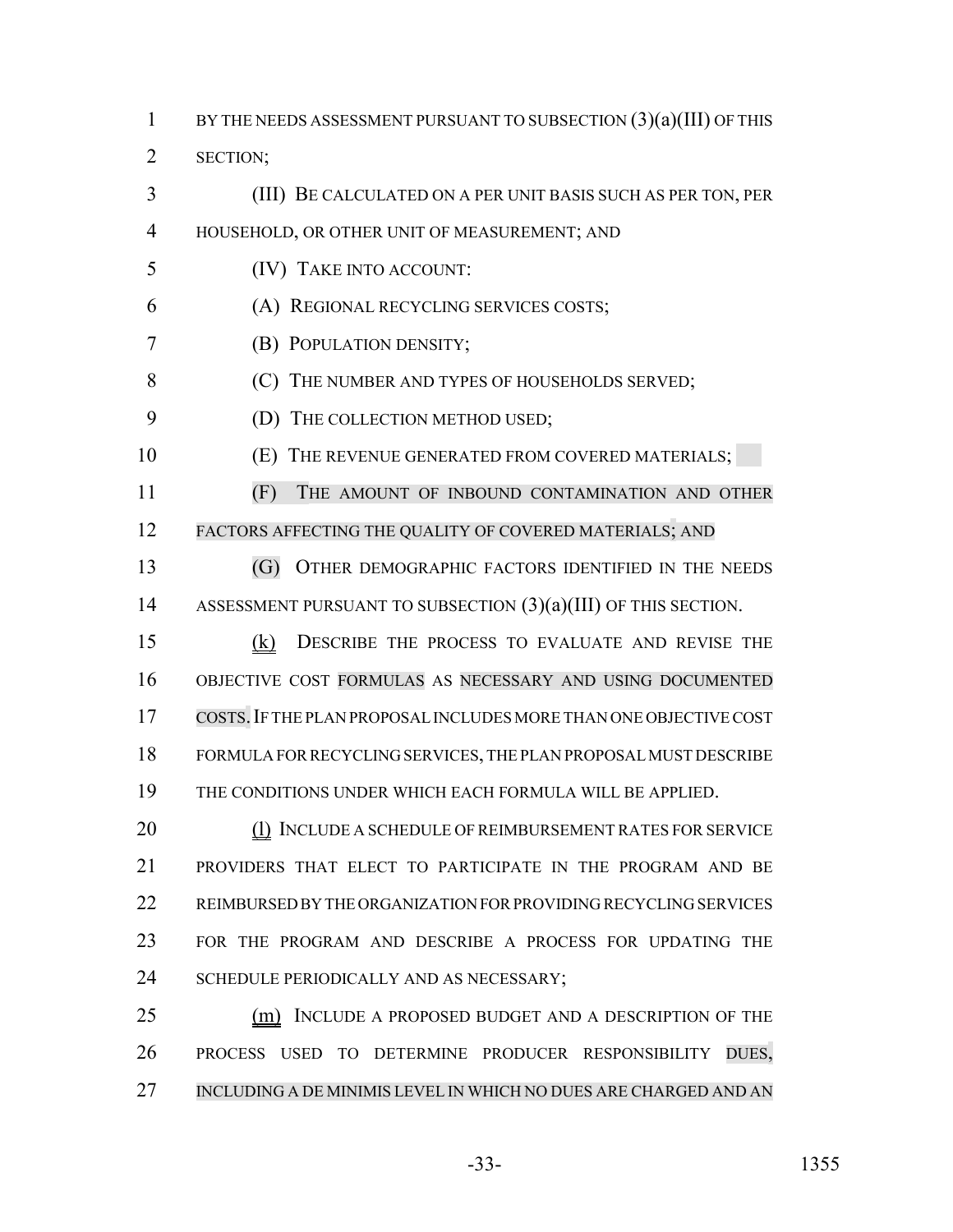1 BY THE NEEDS ASSESSMENT PURSUANT TO SUBSECTION  $(3)(a)(III)$  OF THIS

SECTION;

 (III) BE CALCULATED ON A PER UNIT BASIS SUCH AS PER TON, PER HOUSEHOLD, OR OTHER UNIT OF MEASUREMENT; AND (IV) TAKE INTO ACCOUNT:

(A) REGIONAL RECYCLING SERVICES COSTS;

(B) POPULATION DENSITY;

8 (C) THE NUMBER AND TYPES OF HOUSEHOLDS SERVED;

9 (D) THE COLLECTION METHOD USED;

**(E) THE REVENUE GENERATED FROM COVERED MATERIALS;** 

 (F) THE AMOUNT OF INBOUND CONTAMINATION AND OTHER 12 FACTORS AFFECTING THE QUALITY OF COVERED MATERIALS; AND

 (G) OTHER DEMOGRAPHIC FACTORS IDENTIFIED IN THE NEEDS ASSESSMENT PURSUANT TO SUBSECTION (3)(a)(III) OF THIS SECTION.

 (k) DESCRIBE THE PROCESS TO EVALUATE AND REVISE THE OBJECTIVE COST FORMULAS AS NECESSARY AND USING DOCUMENTED COSTS.IF THE PLAN PROPOSAL INCLUDES MORE THAN ONE OBJECTIVE COST FORMULA FOR RECYCLING SERVICES, THE PLAN PROPOSAL MUST DESCRIBE THE CONDITIONS UNDER WHICH EACH FORMULA WILL BE APPLIED.

20 (1) INCLUDE A SCHEDULE OF REIMBURSEMENT RATES FOR SERVICE PROVIDERS THAT ELECT TO PARTICIPATE IN THE PROGRAM AND BE REIMBURSED BY THE ORGANIZATION FOR PROVIDING RECYCLING SERVICES FOR THE PROGRAM AND DESCRIBE A PROCESS FOR UPDATING THE 24 SCHEDULE PERIODICALLY AND AS NECESSARY;

25 (m) INCLUDE A PROPOSED BUDGET AND A DESCRIPTION OF THE PROCESS USED TO DETERMINE PRODUCER RESPONSIBILITY DUES, INCLUDING A DE MINIMIS LEVEL IN WHICH NO DUES ARE CHARGED AND AN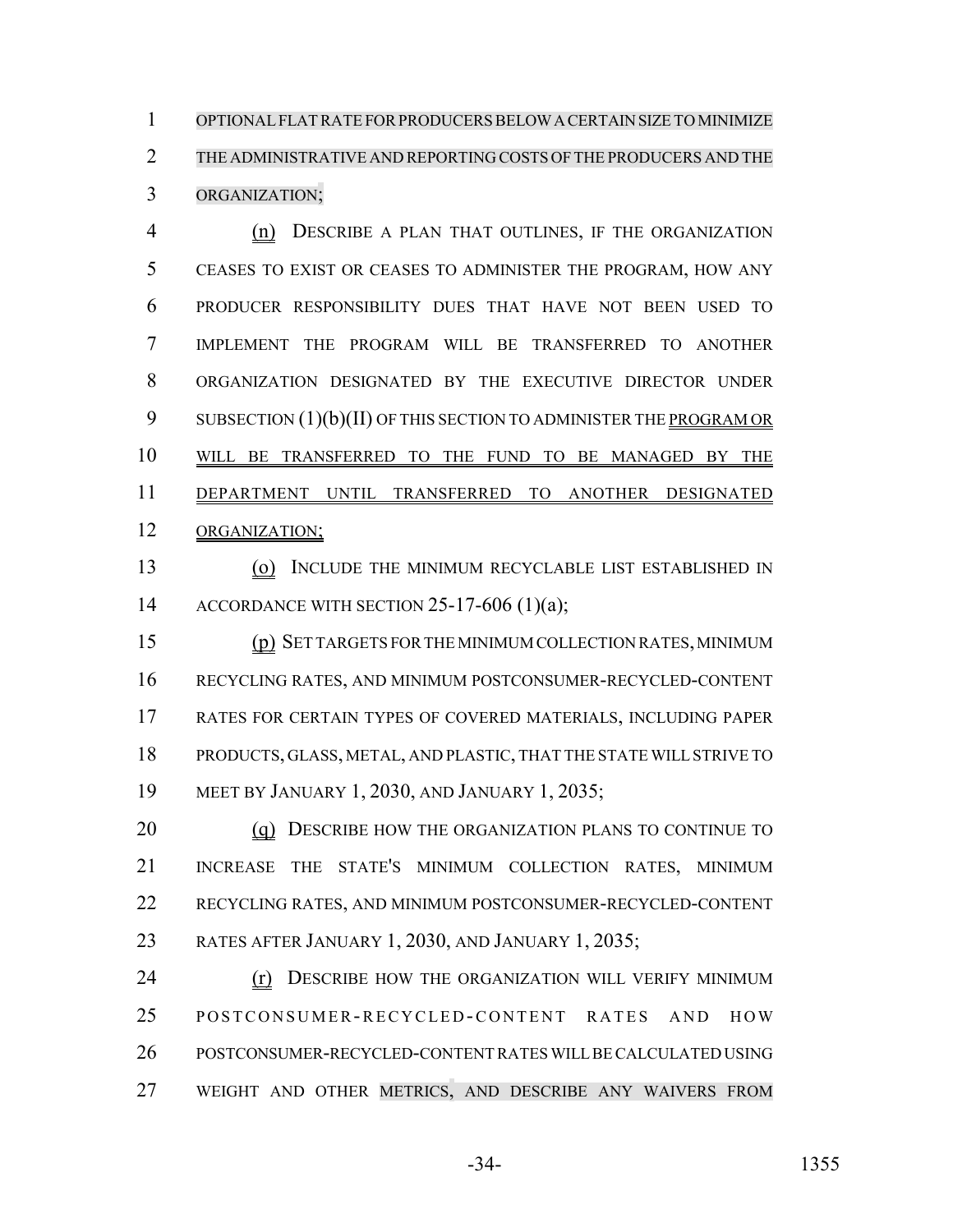OPTIONALFLATRATE FORPRODUCERSBELOW A CERTAIN SIZE TO MINIMIZE THE ADMINISTRATIVE AND REPORTING COSTS OF THE PRODUCERS AND THE ORGANIZATION;

 (n) DESCRIBE A PLAN THAT OUTLINES, IF THE ORGANIZATION CEASES TO EXIST OR CEASES TO ADMINISTER THE PROGRAM, HOW ANY PRODUCER RESPONSIBILITY DUES THAT HAVE NOT BEEN USED TO IMPLEMENT THE PROGRAM WILL BE TRANSFERRED TO ANOTHER ORGANIZATION DESIGNATED BY THE EXECUTIVE DIRECTOR UNDER 9 SUBSECTION  $(1)(b)(II)$  OF THIS SECTION TO ADMINISTER THE PROGRAM OR WILL BE TRANSFERRED TO THE FUND TO BE MANAGED BY THE DEPARTMENT UNTIL TRANSFERRED TO ANOTHER DESIGNATED ORGANIZATION;

 (o) INCLUDE THE MINIMUM RECYCLABLE LIST ESTABLISHED IN 14 ACCORDANCE WITH SECTION  $25-17-606$  (1)(a);

 (p) SET TARGETS FOR THE MINIMUM COLLECTION RATES, MINIMUM RECYCLING RATES, AND MINIMUM POSTCONSUMER-RECYCLED-CONTENT RATES FOR CERTAIN TYPES OF COVERED MATERIALS, INCLUDING PAPER PRODUCTS, GLASS, METAL, AND PLASTIC, THAT THE STATE WILL STRIVE TO MEET BY JANUARY 1, 2030, AND JANUARY 1, 2035;

20 (q) DESCRIBE HOW THE ORGANIZATION PLANS TO CONTINUE TO INCREASE THE STATE'S MINIMUM COLLECTION RATES, MINIMUM RECYCLING RATES, AND MINIMUM POSTCONSUMER-RECYCLED-CONTENT RATES AFTER JANUARY 1, 2030, AND JANUARY 1, 2035;

**(r) DESCRIBE HOW THE ORGANIZATION WILL VERIFY MINIMUM**  POSTCONSUMER-RECYCLED -CONTENT RATES AND HOW POSTCONSUMER-RECYCLED-CONTENT RATES WILL BE CALCULATED USING WEIGHT AND OTHER METRICS, AND DESCRIBE ANY WAIVERS FROM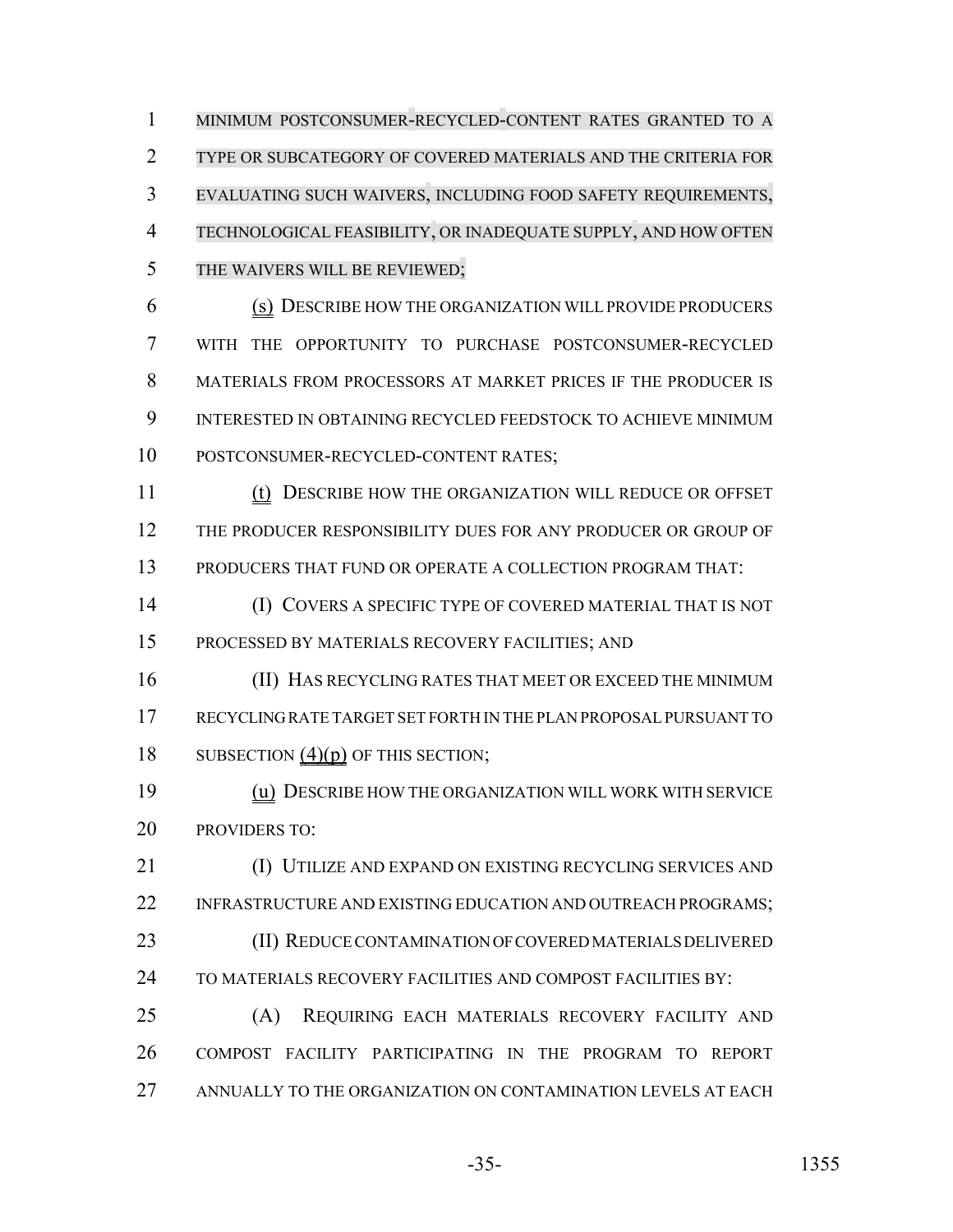MINIMUM POSTCONSUMER-RECYCLED-CONTENT RATES GRANTED TO A TYPE OR SUBCATEGORY OF COVERED MATERIALS AND THE CRITERIA FOR EVALUATING SUCH WAIVERS, INCLUDING FOOD SAFETY REQUIREMENTS, TECHNOLOGICAL FEASIBILITY, OR INADEQUATE SUPPLY, AND HOW OFTEN THE WAIVERS WILL BE REVIEWED;

 (s) DESCRIBE HOW THE ORGANIZATION WILL PROVIDE PRODUCERS WITH THE OPPORTUNITY TO PURCHASE POSTCONSUMER-RECYCLED 8 MATERIALS FROM PROCESSORS AT MARKET PRICES IF THE PRODUCER IS INTERESTED IN OBTAINING RECYCLED FEEDSTOCK TO ACHIEVE MINIMUM POSTCONSUMER-RECYCLED-CONTENT RATES;

 (t) DESCRIBE HOW THE ORGANIZATION WILL REDUCE OR OFFSET THE PRODUCER RESPONSIBILITY DUES FOR ANY PRODUCER OR GROUP OF PRODUCERS THAT FUND OR OPERATE A COLLECTION PROGRAM THAT:

 (I) COVERS A SPECIFIC TYPE OF COVERED MATERIAL THAT IS NOT PROCESSED BY MATERIALS RECOVERY FACILITIES; AND

 (II) HAS RECYCLING RATES THAT MEET OR EXCEED THE MINIMUM RECYCLING RATE TARGET SET FORTH IN THE PLAN PROPOSAL PURSUANT TO 18 SUBSECTION (4)(p) OF THIS SECTION;

 (u) DESCRIBE HOW THE ORGANIZATION WILL WORK WITH SERVICE PROVIDERS TO:

 (I) UTILIZE AND EXPAND ON EXISTING RECYCLING SERVICES AND 22 INFRASTRUCTURE AND EXISTING EDUCATION AND OUTREACH PROGRAMS; (II) REDUCE CONTAMINATION OF COVERED MATERIALS DELIVERED TO MATERIALS RECOVERY FACILITIES AND COMPOST FACILITIES BY:

 (A) REQUIRING EACH MATERIALS RECOVERY FACILITY AND COMPOST FACILITY PARTICIPATING IN THE PROGRAM TO REPORT ANNUALLY TO THE ORGANIZATION ON CONTAMINATION LEVELS AT EACH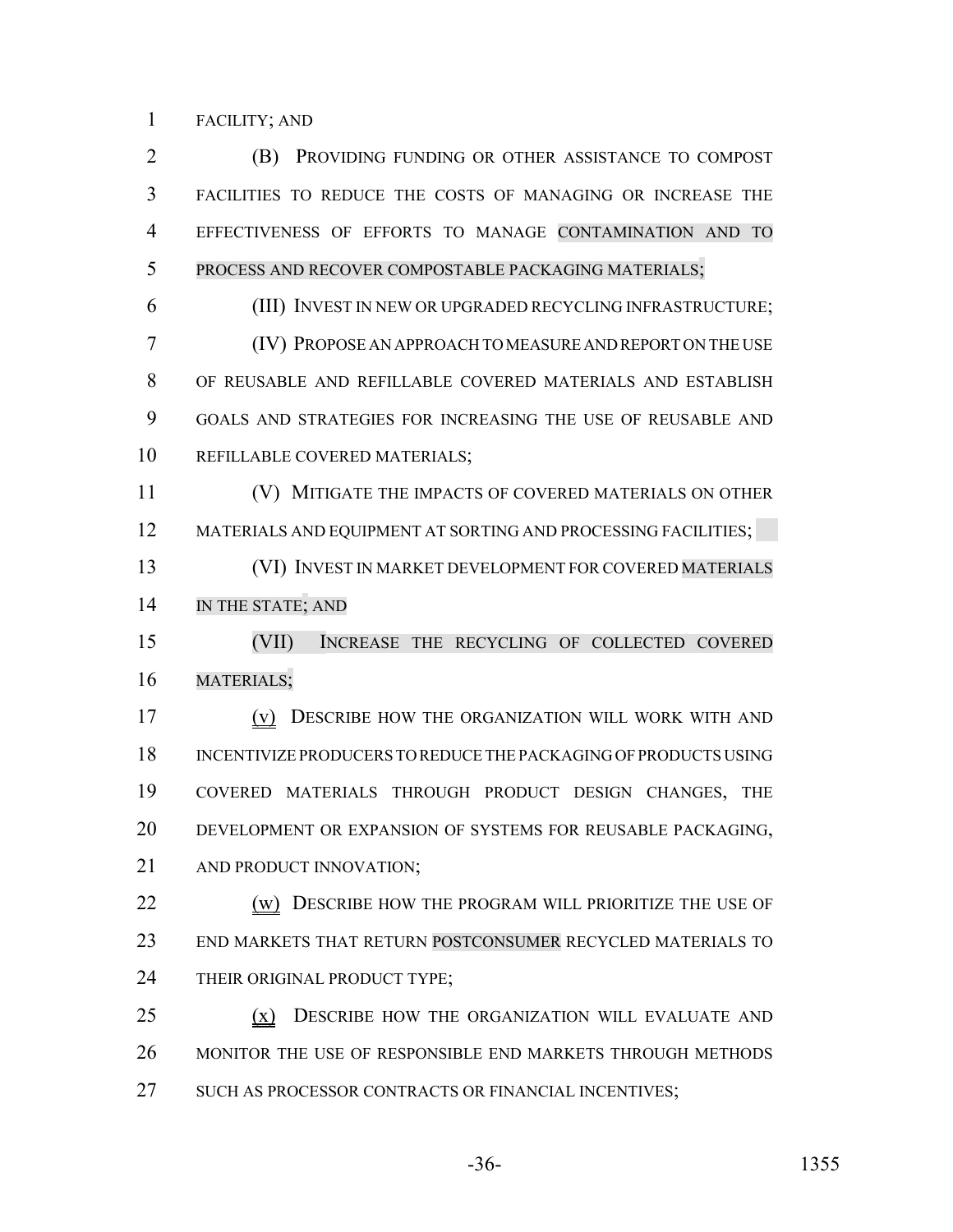#### FACILITY; AND

 (B) PROVIDING FUNDING OR OTHER ASSISTANCE TO COMPOST FACILITIES TO REDUCE THE COSTS OF MANAGING OR INCREASE THE EFFECTIVENESS OF EFFORTS TO MANAGE CONTAMINATION AND TO PROCESS AND RECOVER COMPOSTABLE PACKAGING MATERIALS; (III) INVEST IN NEW OR UPGRADED RECYCLING INFRASTRUCTURE; (IV) PROPOSE AN APPROACH TO MEASURE AND REPORT ON THE USE OF REUSABLE AND REFILLABLE COVERED MATERIALS AND ESTABLISH

 GOALS AND STRATEGIES FOR INCREASING THE USE OF REUSABLE AND REFILLABLE COVERED MATERIALS;

 (V) MITIGATE THE IMPACTS OF COVERED MATERIALS ON OTHER MATERIALS AND EQUIPMENT AT SORTING AND PROCESSING FACILITIES;

 (VI) INVEST IN MARKET DEVELOPMENT FOR COVERED MATERIALS IN THE STATE; AND

 (VII) INCREASE THE RECYCLING OF COLLECTED COVERED MATERIALS;

 (v) DESCRIBE HOW THE ORGANIZATION WILL WORK WITH AND INCENTIVIZE PRODUCERS TO REDUCE THE PACKAGING OF PRODUCTS USING COVERED MATERIALS THROUGH PRODUCT DESIGN CHANGES, THE DEVELOPMENT OR EXPANSION OF SYSTEMS FOR REUSABLE PACKAGING, 21 AND PRODUCT INNOVATION:

**(w) DESCRIBE HOW THE PROGRAM WILL PRIORITIZE THE USE OF**  END MARKETS THAT RETURN POSTCONSUMER RECYCLED MATERIALS TO 24 THEIR ORIGINAL PRODUCT TYPE;

25 (x) DESCRIBE HOW THE ORGANIZATION WILL EVALUATE AND MONITOR THE USE OF RESPONSIBLE END MARKETS THROUGH METHODS 27 SUCH AS PROCESSOR CONTRACTS OR FINANCIAL INCENTIVES;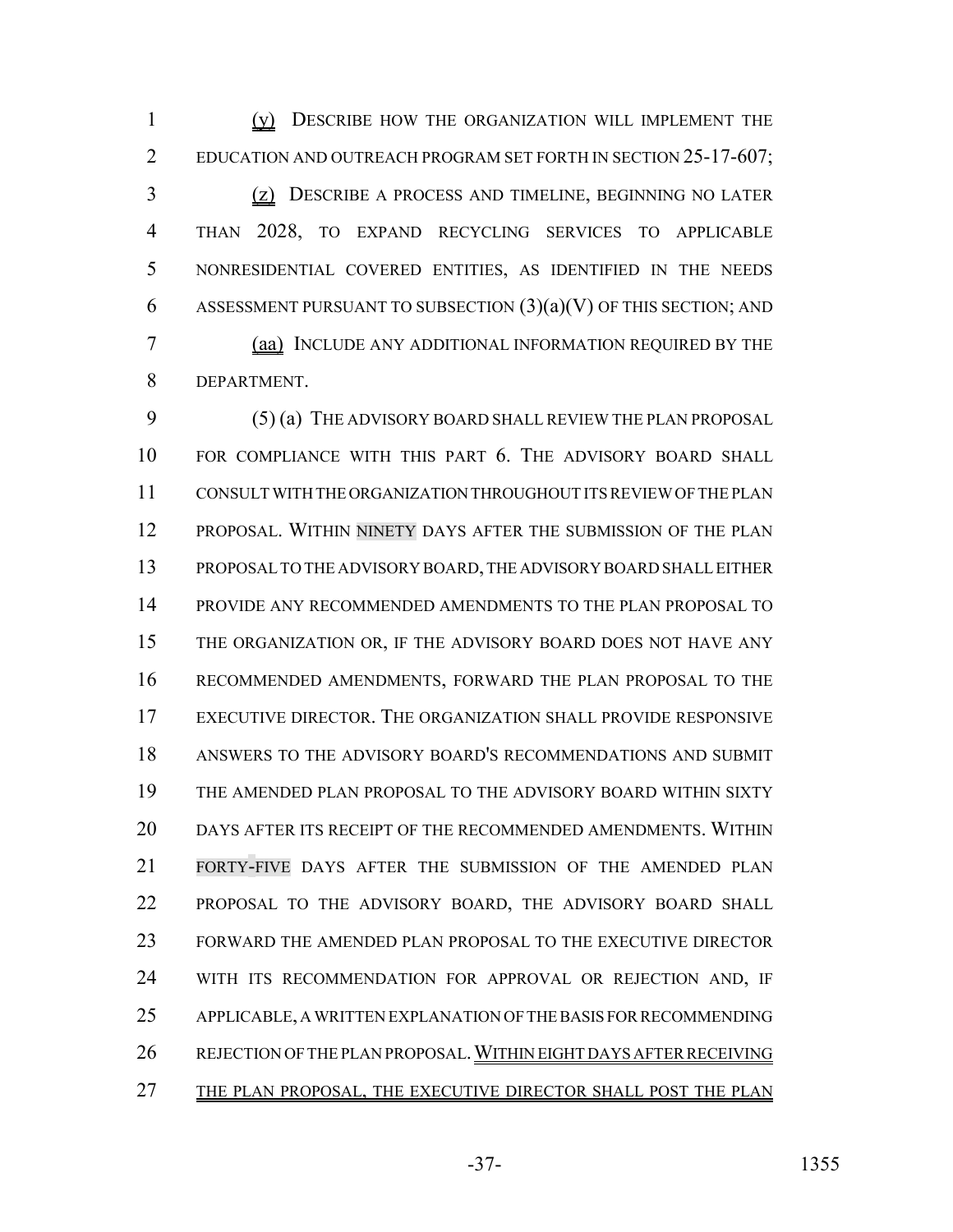(y) DESCRIBE HOW THE ORGANIZATION WILL IMPLEMENT THE EDUCATION AND OUTREACH PROGRAM SET FORTH IN SECTION 25-17-607; (z) DESCRIBE A PROCESS AND TIMELINE, BEGINNING NO LATER THAN 2028, TO EXPAND RECYCLING SERVICES TO APPLICABLE NONRESIDENTIAL COVERED ENTITIES, AS IDENTIFIED IN THE NEEDS 6 ASSESSMENT PURSUANT TO SUBSECTION  $(3)(a)(V)$  OF THIS SECTION; AND (aa) INCLUDE ANY ADDITIONAL INFORMATION REQUIRED BY THE DEPARTMENT.

 (5) (a) THE ADVISORY BOARD SHALL REVIEW THE PLAN PROPOSAL FOR COMPLIANCE WITH THIS PART 6. THE ADVISORY BOARD SHALL CONSULT WITH THE ORGANIZATION THROUGHOUT ITS REVIEW OF THE PLAN 12 PROPOSAL. WITHIN NINETY DAYS AFTER THE SUBMISSION OF THE PLAN PROPOSAL TO THE ADVISORY BOARD, THE ADVISORY BOARD SHALL EITHER PROVIDE ANY RECOMMENDED AMENDMENTS TO THE PLAN PROPOSAL TO THE ORGANIZATION OR, IF THE ADVISORY BOARD DOES NOT HAVE ANY RECOMMENDED AMENDMENTS, FORWARD THE PLAN PROPOSAL TO THE EXECUTIVE DIRECTOR. THE ORGANIZATION SHALL PROVIDE RESPONSIVE ANSWERS TO THE ADVISORY BOARD'S RECOMMENDATIONS AND SUBMIT THE AMENDED PLAN PROPOSAL TO THE ADVISORY BOARD WITHIN SIXTY DAYS AFTER ITS RECEIPT OF THE RECOMMENDED AMENDMENTS. WITHIN FORTY-FIVE DAYS AFTER THE SUBMISSION OF THE AMENDED PLAN PROPOSAL TO THE ADVISORY BOARD, THE ADVISORY BOARD SHALL FORWARD THE AMENDED PLAN PROPOSAL TO THE EXECUTIVE DIRECTOR WITH ITS RECOMMENDATION FOR APPROVAL OR REJECTION AND, IF APPLICABLE, A WRITTEN EXPLANATION OF THE BASIS FOR RECOMMENDING REJECTION OF THE PLAN PROPOSAL.WITHIN EIGHT DAYS AFTER RECEIVING THE PLAN PROPOSAL, THE EXECUTIVE DIRECTOR SHALL POST THE PLAN

-37- 1355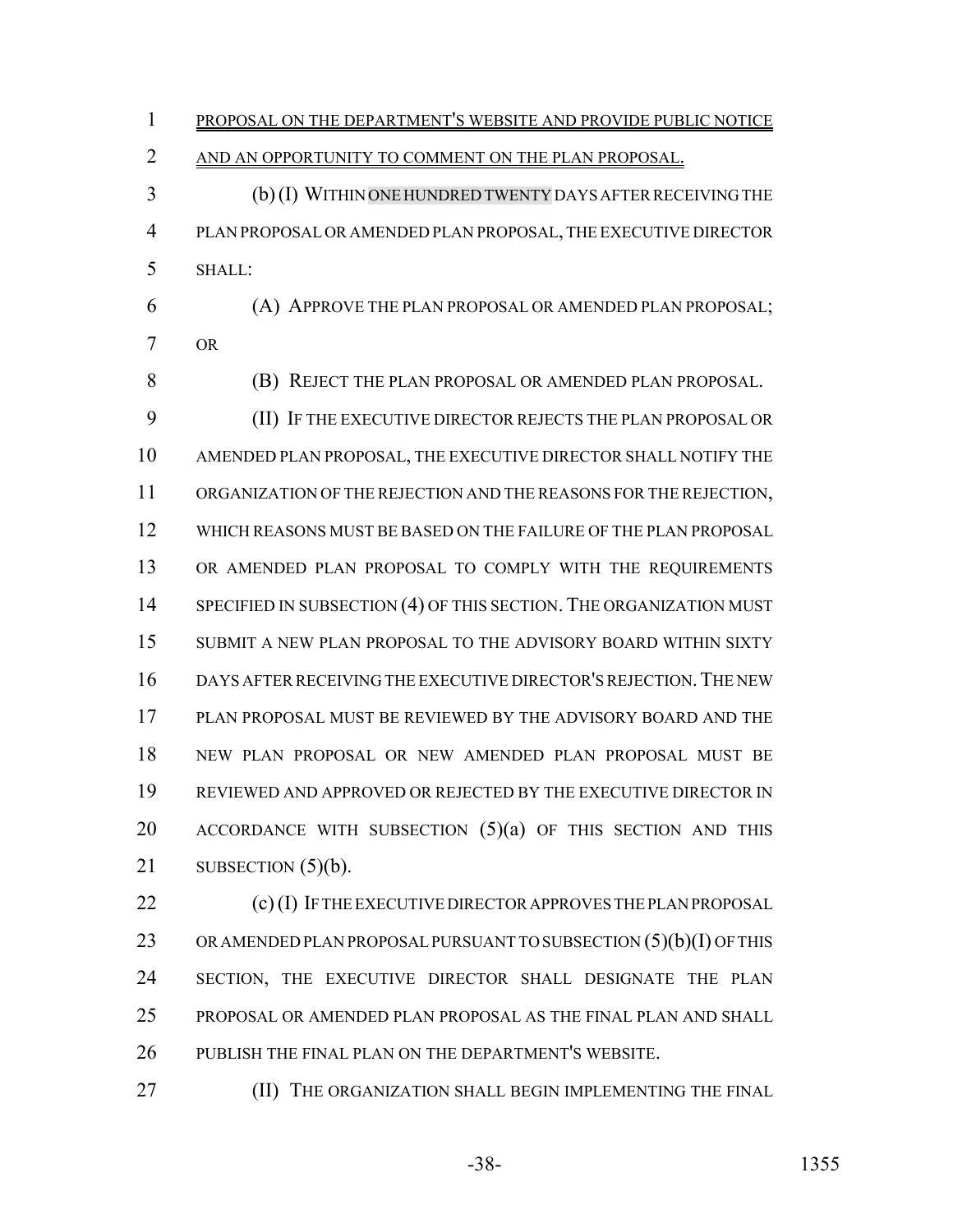PROPOSAL ON THE DEPARTMENT'S WEBSITE AND PROVIDE PUBLIC NOTICE AND AN OPPORTUNITY TO COMMENT ON THE PLAN PROPOSAL. (b) (I) WITHIN ONE HUNDREDTWENTY DAYS AFTER RECEIVING THE PLAN PROPOSAL OR AMENDED PLAN PROPOSAL, THE EXECUTIVE DIRECTOR SHALL: (A) APPROVE THE PLAN PROPOSAL OR AMENDED PLAN PROPOSAL; OR (B) REJECT THE PLAN PROPOSAL OR AMENDED PLAN PROPOSAL. (II) IF THE EXECUTIVE DIRECTOR REJECTS THE PLAN PROPOSAL OR AMENDED PLAN PROPOSAL, THE EXECUTIVE DIRECTOR SHALL NOTIFY THE ORGANIZATION OF THE REJECTION AND THE REASONS FOR THE REJECTION, WHICH REASONS MUST BE BASED ON THE FAILURE OF THE PLAN PROPOSAL OR AMENDED PLAN PROPOSAL TO COMPLY WITH THE REQUIREMENTS 14 SPECIFIED IN SUBSECTION (4) OF THIS SECTION. THE ORGANIZATION MUST SUBMIT A NEW PLAN PROPOSAL TO THE ADVISORY BOARD WITHIN SIXTY DAYS AFTER RECEIVING THE EXECUTIVE DIRECTOR'S REJECTION.THE NEW PLAN PROPOSAL MUST BE REVIEWED BY THE ADVISORY BOARD AND THE NEW PLAN PROPOSAL OR NEW AMENDED PLAN PROPOSAL MUST BE REVIEWED AND APPROVED OR REJECTED BY THE EXECUTIVE DIRECTOR IN 20 ACCORDANCE WITH SUBSECTION (5)(a) OF THIS SECTION AND THIS 21 SUBSECTION  $(5)(b)$ . 22 (c) (I) IF THE EXECUTIVE DIRECTOR APPROVES THE PLAN PROPOSAL

23 OR AMENDED PLAN PROPOSAL PURSUANT TO SUBSECTION  $(5)(b)(I)$  OF THIS SECTION, THE EXECUTIVE DIRECTOR SHALL DESIGNATE THE PLAN PROPOSAL OR AMENDED PLAN PROPOSAL AS THE FINAL PLAN AND SHALL PUBLISH THE FINAL PLAN ON THE DEPARTMENT'S WEBSITE.

**(II) THE ORGANIZATION SHALL BEGIN IMPLEMENTING THE FINAL**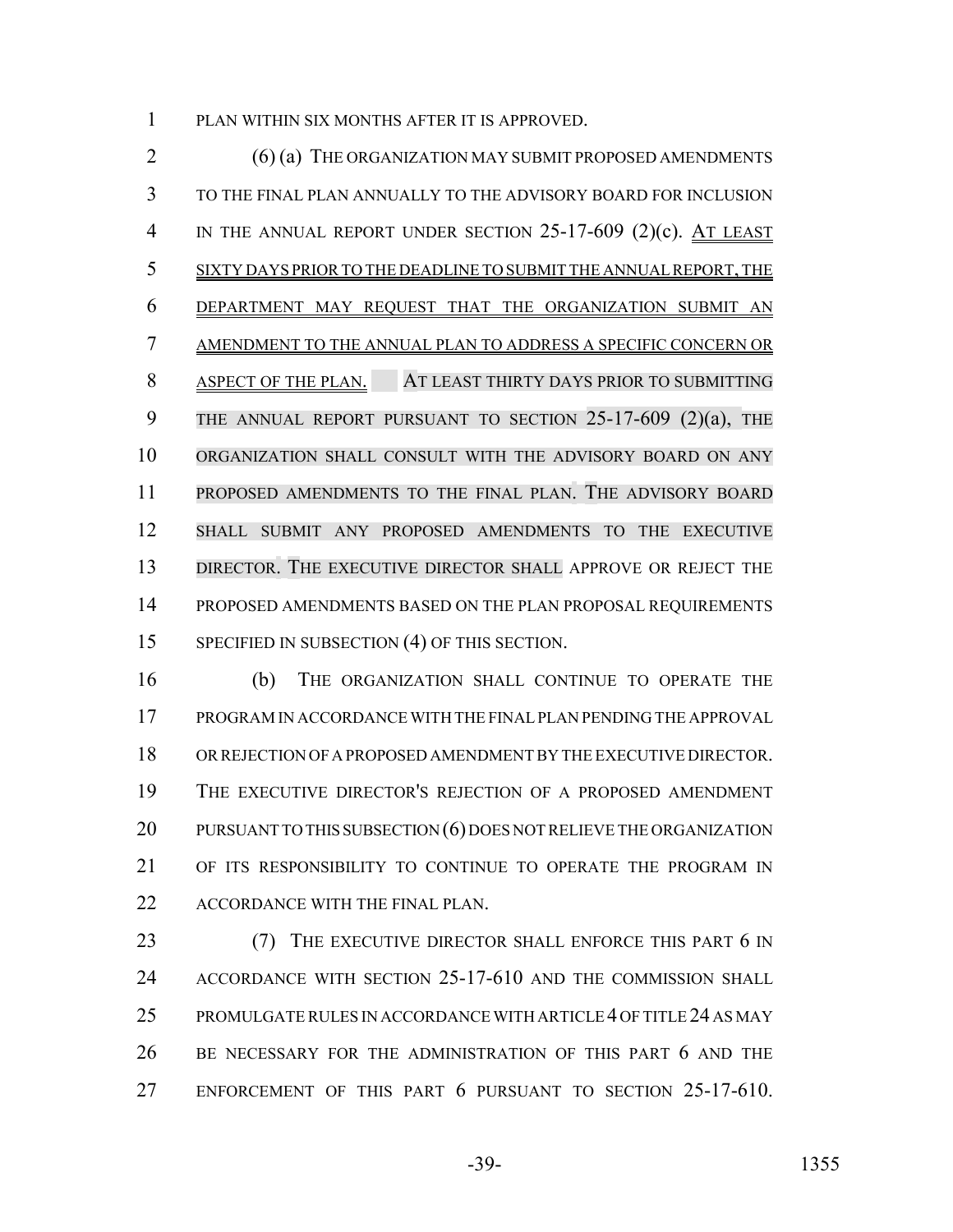PLAN WITHIN SIX MONTHS AFTER IT IS APPROVED.

2 (6) (a) THE ORGANIZATION MAY SUBMIT PROPOSED AMENDMENTS TO THE FINAL PLAN ANNUALLY TO THE ADVISORY BOARD FOR INCLUSION 4 IN THE ANNUAL REPORT UNDER SECTION 25-17-609 (2)(c). AT LEAST SIXTY DAYS PRIOR TO THE DEADLINE TO SUBMIT THE ANNUAL REPORT, THE DEPARTMENT MAY REQUEST THAT THE ORGANIZATION SUBMIT AN AMENDMENT TO THE ANNUAL PLAN TO ADDRESS A SPECIFIC CONCERN OR ASPECT OF THE PLAN. AT LEAST THIRTY DAYS PRIOR TO SUBMITTING 9 THE ANNUAL REPORT PURSUANT TO SECTION 25-17-609 (2)(a), THE ORGANIZATION SHALL CONSULT WITH THE ADVISORY BOARD ON ANY PROPOSED AMENDMENTS TO THE FINAL PLAN. THE ADVISORY BOARD SHALL SUBMIT ANY PROPOSED AMENDMENTS TO THE EXECUTIVE DIRECTOR. THE EXECUTIVE DIRECTOR SHALL APPROVE OR REJECT THE PROPOSED AMENDMENTS BASED ON THE PLAN PROPOSAL REQUIREMENTS 15 SPECIFIED IN SUBSECTION (4) OF THIS SECTION.

 (b) THE ORGANIZATION SHALL CONTINUE TO OPERATE THE PROGRAM IN ACCORDANCE WITH THE FINAL PLAN PENDING THE APPROVAL OR REJECTION OF A PROPOSED AMENDMENT BY THE EXECUTIVE DIRECTOR. THE EXECUTIVE DIRECTOR'S REJECTION OF A PROPOSED AMENDMENT 20 PURSUANT TO THIS SUBSECTION (6) DOES NOT RELIEVE THE ORGANIZATION OF ITS RESPONSIBILITY TO CONTINUE TO OPERATE THE PROGRAM IN ACCORDANCE WITH THE FINAL PLAN.

23 (7) THE EXECUTIVE DIRECTOR SHALL ENFORCE THIS PART 6 IN ACCORDANCE WITH SECTION 25-17-610 AND THE COMMISSION SHALL PROMULGATE RULES IN ACCORDANCE WITH ARTICLE 4 OF TITLE 24 AS MAY BE NECESSARY FOR THE ADMINISTRATION OF THIS PART 6 AND THE ENFORCEMENT OF THIS PART 6 PURSUANT TO SECTION 25-17-610.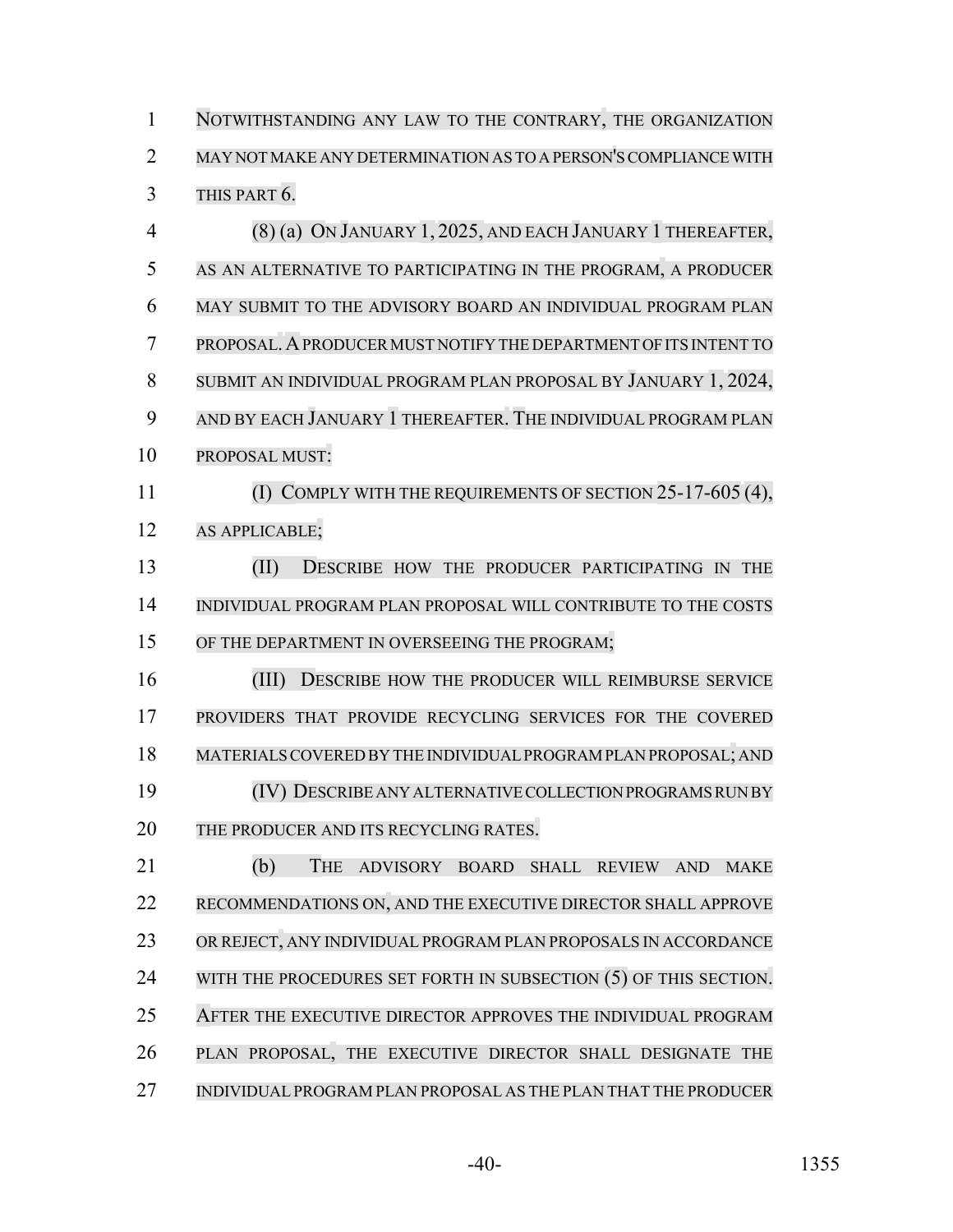NOTWITHSTANDING ANY LAW TO THE CONTRARY, THE ORGANIZATION MAY NOT MAKE ANY DETERMINATION AS TO A PERSON'S COMPLIANCE WITH THIS PART 6. (8) (a) ON JANUARY 1, 2025, AND EACH JANUARY 1 THEREAFTER, AS AN ALTERNATIVE TO PARTICIPATING IN THE PROGRAM, A PRODUCER MAY SUBMIT TO THE ADVISORY BOARD AN INDIVIDUAL PROGRAM PLAN PROPOSAL.APRODUCERMUST NOTIFY THE DEPARTMENT OF ITS INTENT TO SUBMIT AN INDIVIDUAL PROGRAM PLAN PROPOSAL BY JANUARY 1, 2024, AND BY EACH JANUARY 1 THEREAFTER. THE INDIVIDUAL PROGRAM PLAN PROPOSAL MUST: (I) COMPLY WITH THE REQUIREMENTS OF SECTION 25-17-605 (4), AS APPLICABLE; (II) DESCRIBE HOW THE PRODUCER PARTICIPATING IN THE INDIVIDUAL PROGRAM PLAN PROPOSAL WILL CONTRIBUTE TO THE COSTS 15 OF THE DEPARTMENT IN OVERSEEING THE PROGRAM; 16 (III) DESCRIBE HOW THE PRODUCER WILL REIMBURSE SERVICE PROVIDERS THAT PROVIDE RECYCLING SERVICES FOR THE COVERED MATERIALSCOVERED BY THE INDIVIDUALPROGRAM PLAN PROPOSAL; AND

 (IV) DESCRIBEANYALTERNATIVE COLLECTION PROGRAMS RUN BY THE PRODUCER AND ITS RECYCLING RATES.

 (b) THE ADVISORY BOARD SHALL REVIEW AND MAKE RECOMMENDATIONS ON, AND THE EXECUTIVE DIRECTOR SHALL APPROVE OR REJECT, ANY INDIVIDUAL PROGRAM PLAN PROPOSALS IN ACCORDANCE 24 WITH THE PROCEDURES SET FORTH IN SUBSECTION (5) OF THIS SECTION. AFTER THE EXECUTIVE DIRECTOR APPROVES THE INDIVIDUAL PROGRAM PLAN PROPOSAL, THE EXECUTIVE DIRECTOR SHALL DESIGNATE THE INDIVIDUAL PROGRAM PLAN PROPOSAL AS THE PLAN THAT THE PRODUCER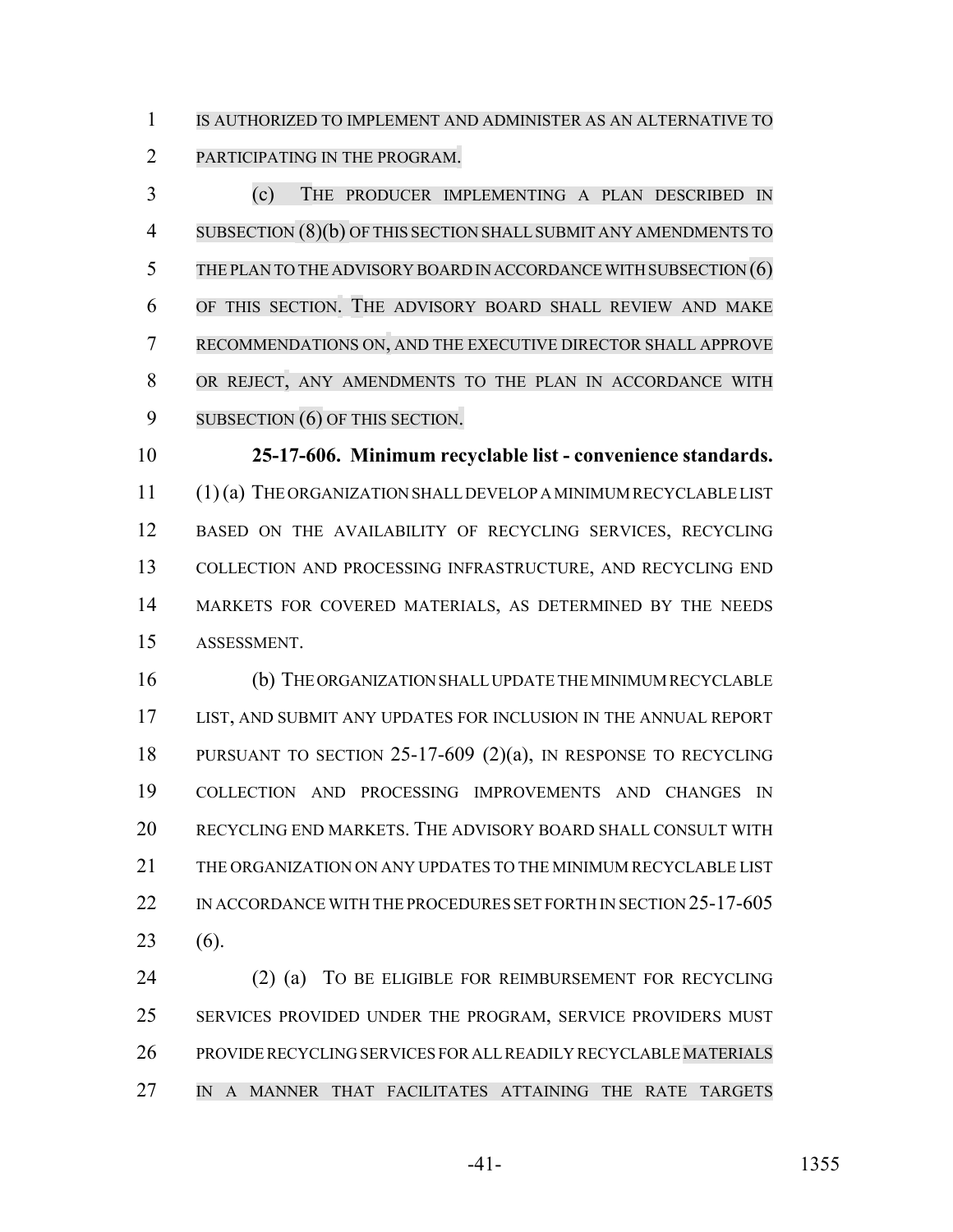IS AUTHORIZED TO IMPLEMENT AND ADMINISTER AS AN ALTERNATIVE TO PARTICIPATING IN THE PROGRAM.

 (c) THE PRODUCER IMPLEMENTING A PLAN DESCRIBED IN SUBSECTION (8)(b) OF THIS SECTION SHALLSUBMIT ANY AMENDMENTS TO 5 THE PLAN TO THE ADVISORY BOARD IN ACCORDANCE WITH SUBSECTION (6) OF THIS SECTION. THE ADVISORY BOARD SHALL REVIEW AND MAKE RECOMMENDATIONS ON, AND THE EXECUTIVE DIRECTOR SHALL APPROVE OR REJECT, ANY AMENDMENTS TO THE PLAN IN ACCORDANCE WITH 9 SUBSECTION **(6)** OF THIS SECTION.

 **25-17-606. Minimum recyclable list - convenience standards.** (1) (a) THE ORGANIZATION SHALL DEVELOP A MINIMUM RECYCLABLE LIST BASED ON THE AVAILABILITY OF RECYCLING SERVICES, RECYCLING COLLECTION AND PROCESSING INFRASTRUCTURE, AND RECYCLING END MARKETS FOR COVERED MATERIALS, AS DETERMINED BY THE NEEDS ASSESSMENT.

 (b) THE ORGANIZATION SHALL UPDATE THE MINIMUM RECYCLABLE LIST, AND SUBMIT ANY UPDATES FOR INCLUSION IN THE ANNUAL REPORT PURSUANT TO SECTION 25-17-609 (2)(a), IN RESPONSE TO RECYCLING COLLECTION AND PROCESSING IMPROVEMENTS AND CHANGES IN RECYCLING END MARKETS. THE ADVISORY BOARD SHALL CONSULT WITH THE ORGANIZATION ON ANY UPDATES TO THE MINIMUM RECYCLABLE LIST 22 IN ACCORDANCE WITH THE PROCEDURES SET FORTH IN SECTION 25-17-605 (6).

 (2) (a) TO BE ELIGIBLE FOR REIMBURSEMENT FOR RECYCLING 25 SERVICES PROVIDED UNDER THE PROGRAM, SERVICE PROVIDERS MUST PROVIDE RECYCLING SERVICES FOR ALL READILY RECYCLABLE MATERIALS IN A MANNER THAT FACILITATES ATTAINING THE RATE TARGETS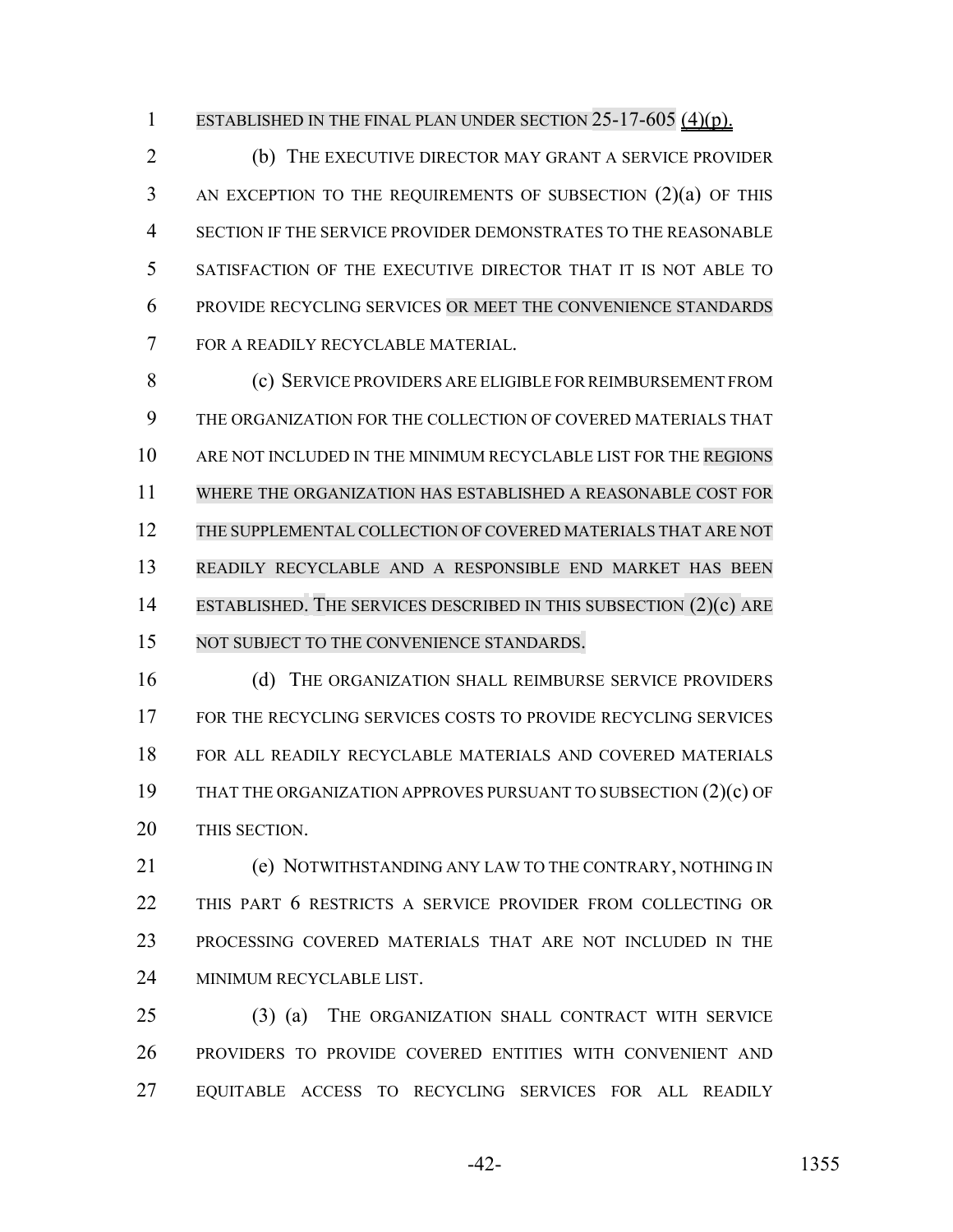1 ESTABLISHED IN THE FINAL PLAN UNDER SECTION 25-17-605 (4)(p).

 (b) THE EXECUTIVE DIRECTOR MAY GRANT A SERVICE PROVIDER AN EXCEPTION TO THE REQUIREMENTS OF SUBSECTION (2)(a) OF THIS SECTION IF THE SERVICE PROVIDER DEMONSTRATES TO THE REASONABLE SATISFACTION OF THE EXECUTIVE DIRECTOR THAT IT IS NOT ABLE TO PROVIDE RECYCLING SERVICES OR MEET THE CONVENIENCE STANDARDS FOR A READILY RECYCLABLE MATERIAL.

 (c) SERVICE PROVIDERS ARE ELIGIBLE FOR REIMBURSEMENT FROM THE ORGANIZATION FOR THE COLLECTION OF COVERED MATERIALS THAT ARE NOT INCLUDED IN THE MINIMUM RECYCLABLE LIST FOR THE REGIONS WHERE THE ORGANIZATION HAS ESTABLISHED A REASONABLE COST FOR THE SUPPLEMENTAL COLLECTION OF COVERED MATERIALS THAT ARE NOT READILY RECYCLABLE AND A RESPONSIBLE END MARKET HAS BEEN 14 ESTABLISHED. THE SERVICES DESCRIBED IN THIS SUBSECTION (2)(c) ARE 15 NOT SUBJECT TO THE CONVENIENCE STANDARDS.

 (d) THE ORGANIZATION SHALL REIMBURSE SERVICE PROVIDERS FOR THE RECYCLING SERVICES COSTS TO PROVIDE RECYCLING SERVICES FOR ALL READILY RECYCLABLE MATERIALS AND COVERED MATERIALS THAT THE ORGANIZATION APPROVES PURSUANT TO SUBSECTION (2)(c) OF THIS SECTION.

 (e) NOTWITHSTANDING ANY LAW TO THE CONTRARY, NOTHING IN THIS PART 6 RESTRICTS A SERVICE PROVIDER FROM COLLECTING OR PROCESSING COVERED MATERIALS THAT ARE NOT INCLUDED IN THE MINIMUM RECYCLABLE LIST.

 (3) (a) THE ORGANIZATION SHALL CONTRACT WITH SERVICE PROVIDERS TO PROVIDE COVERED ENTITIES WITH CONVENIENT AND EQUITABLE ACCESS TO RECYCLING SERVICES FOR ALL READILY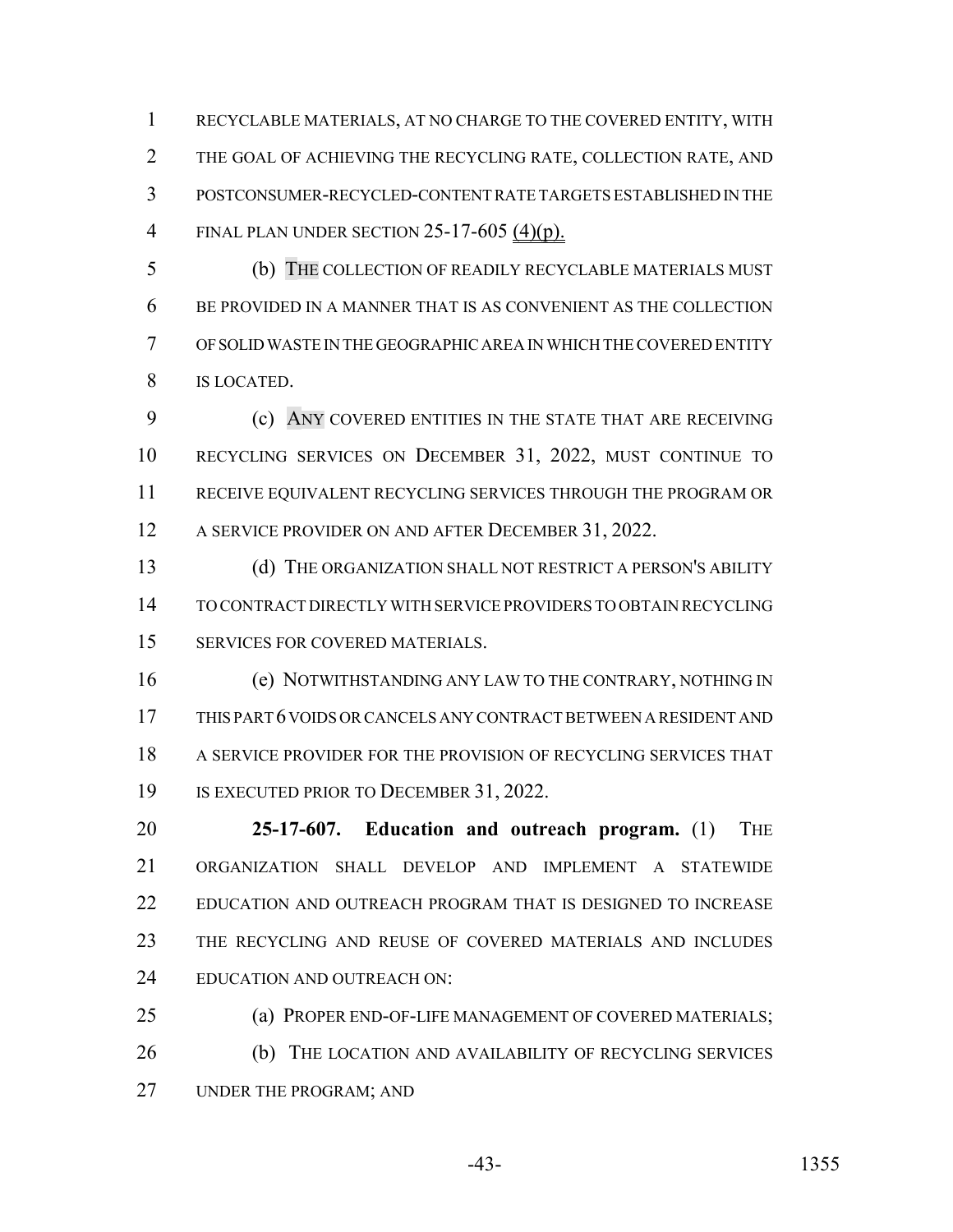RECYCLABLE MATERIALS, AT NO CHARGE TO THE COVERED ENTITY, WITH THE GOAL OF ACHIEVING THE RECYCLING RATE, COLLECTION RATE, AND POSTCONSUMER-RECYCLED-CONTENT RATE TARGETS ESTABLISHED IN THE FINAL PLAN UNDER SECTION 25-17-605 (4)(p).

 (b) THE COLLECTION OF READILY RECYCLABLE MATERIALS MUST BE PROVIDED IN A MANNER THAT IS AS CONVENIENT AS THE COLLECTION OF SOLID WASTE IN THE GEOGRAPHIC AREA IN WHICH THE COVERED ENTITY IS LOCATED.

 (c) ANY COVERED ENTITIES IN THE STATE THAT ARE RECEIVING RECYCLING SERVICES ON DECEMBER 31, 2022, MUST CONTINUE TO RECEIVE EQUIVALENT RECYCLING SERVICES THROUGH THE PROGRAM OR 12 A SERVICE PROVIDER ON AND AFTER DECEMBER 31, 2022.

 (d) THE ORGANIZATION SHALL NOT RESTRICT A PERSON'S ABILITY TO CONTRACT DIRECTLY WITH SERVICE PROVIDERS TO OBTAIN RECYCLING SERVICES FOR COVERED MATERIALS.

 (e) NOTWITHSTANDING ANY LAW TO THE CONTRARY, NOTHING IN THIS PART 6 VOIDS OR CANCELS ANY CONTRACT BETWEEN A RESIDENT AND A SERVICE PROVIDER FOR THE PROVISION OF RECYCLING SERVICES THAT 19 IS EXECUTED PRIOR TO DECEMBER 31, 2022.

 **25-17-607. Education and outreach program.** (1) THE ORGANIZATION SHALL DEVELOP AND IMPLEMENT A STATEWIDE EDUCATION AND OUTREACH PROGRAM THAT IS DESIGNED TO INCREASE THE RECYCLING AND REUSE OF COVERED MATERIALS AND INCLUDES EDUCATION AND OUTREACH ON:

 (a) PROPER END-OF-LIFE MANAGEMENT OF COVERED MATERIALS; (b) THE LOCATION AND AVAILABILITY OF RECYCLING SERVICES UNDER THE PROGRAM; AND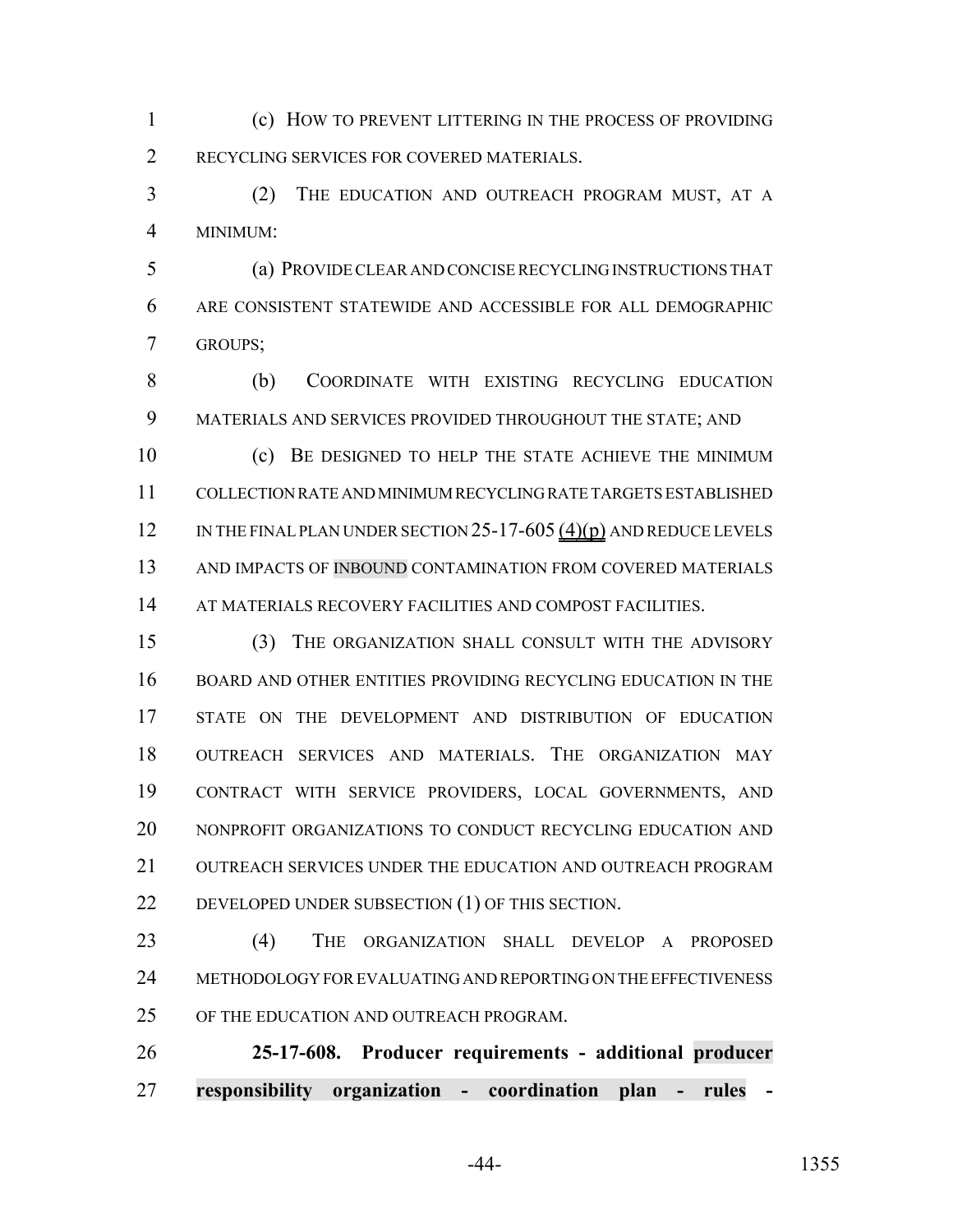(c) HOW TO PREVENT LITTERING IN THE PROCESS OF PROVIDING RECYCLING SERVICES FOR COVERED MATERIALS.

 (2) THE EDUCATION AND OUTREACH PROGRAM MUST, AT A MINIMUM:

 (a) PROVIDE CLEAR AND CONCISE RECYCLING INSTRUCTIONS THAT ARE CONSISTENT STATEWIDE AND ACCESSIBLE FOR ALL DEMOGRAPHIC GROUPS;

 (b) COORDINATE WITH EXISTING RECYCLING EDUCATION MATERIALS AND SERVICES PROVIDED THROUGHOUT THE STATE; AND

 (c) BE DESIGNED TO HELP THE STATE ACHIEVE THE MINIMUM COLLECTION RATE AND MINIMUM RECYCLING RATE TARGETS ESTABLISHED 12 IN THE FINAL PLAN UNDER SECTION 25-17-605 (4)(p) AND REDUCE LEVELS 13 AND IMPACTS OF INBOUND CONTAMINATION FROM COVERED MATERIALS 14 AT MATERIALS RECOVERY FACILITIES AND COMPOST FACILITIES.

 (3) THE ORGANIZATION SHALL CONSULT WITH THE ADVISORY BOARD AND OTHER ENTITIES PROVIDING RECYCLING EDUCATION IN THE STATE ON THE DEVELOPMENT AND DISTRIBUTION OF EDUCATION OUTREACH SERVICES AND MATERIALS. THE ORGANIZATION MAY CONTRACT WITH SERVICE PROVIDERS, LOCAL GOVERNMENTS, AND NONPROFIT ORGANIZATIONS TO CONDUCT RECYCLING EDUCATION AND OUTREACH SERVICES UNDER THE EDUCATION AND OUTREACH PROGRAM 22 DEVELOPED UNDER SUBSECTION (1) OF THIS SECTION.

 (4) THE ORGANIZATION SHALL DEVELOP A PROPOSED METHODOLOGY FOR EVALUATING AND REPORTING ON THE EFFECTIVENESS 25 OF THE EDUCATION AND OUTREACH PROGRAM.

 **25-17-608. Producer requirements - additional producer responsibility organization - coordination plan - rules -**

-44- 1355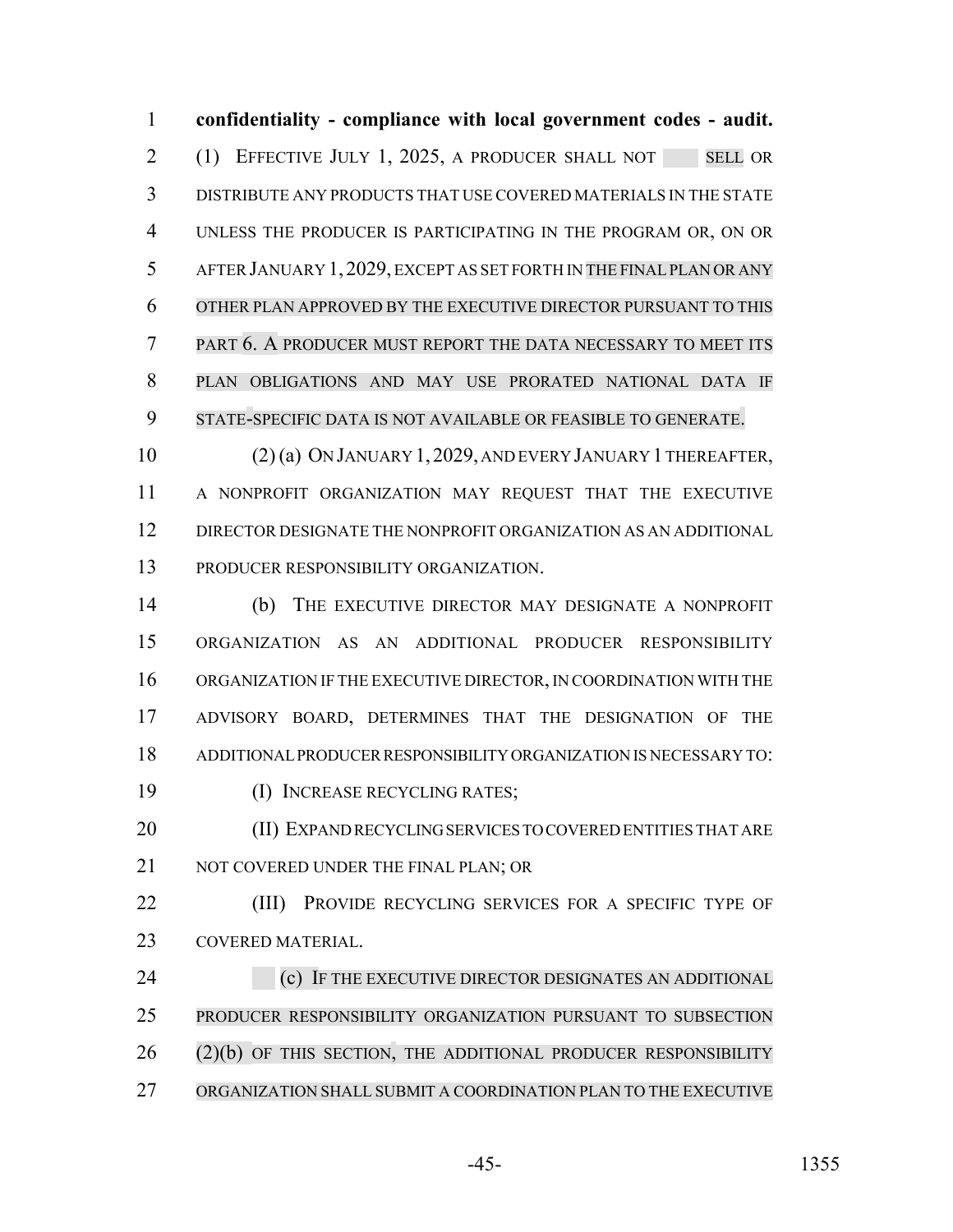**confidentiality - compliance with local government codes - audit.** 2 (1) EFFECTIVE JULY 1, 2025, A PRODUCER SHALL NOT SELL OR DISTRIBUTE ANY PRODUCTS THAT USE COVERED MATERIALS IN THE STATE UNLESS THE PRODUCER IS PARTICIPATING IN THE PROGRAM OR, ON OR AFTER JANUARY 1, 2029, EXCEPT AS SET FORTH IN THE FINALPLAN OR ANY OTHER PLAN APPROVED BY THE EXECUTIVE DIRECTOR PURSUANT TO THIS PART 6. A PRODUCER MUST REPORT THE DATA NECESSARY TO MEET ITS PLAN OBLIGATIONS AND MAY USE PRORATED NATIONAL DATA IF STATE-SPECIFIC DATA IS NOT AVAILABLE OR FEASIBLE TO GENERATE.

 (2) (a) ON JANUARY 1,2029, AND EVERY JANUARY 1 THEREAFTER, A NONPROFIT ORGANIZATION MAY REQUEST THAT THE EXECUTIVE DIRECTOR DESIGNATE THE NONPROFIT ORGANIZATION AS AN ADDITIONAL PRODUCER RESPONSIBILITY ORGANIZATION.

 (b) THE EXECUTIVE DIRECTOR MAY DESIGNATE A NONPROFIT ORGANIZATION AS AN ADDITIONAL PRODUCER RESPONSIBILITY ORGANIZATION IF THE EXECUTIVE DIRECTOR, IN COORDINATION WITH THE ADVISORY BOARD, DETERMINES THAT THE DESIGNATION OF THE ADDITIONAL PRODUCER RESPONSIBILITY ORGANIZATION IS NECESSARY TO: (I) INCREASE RECYCLING RATES;

20 (II) EXPAND RECYCLING SERVICES TO COVERED ENTITIES THAT ARE 21 NOT COVERED UNDER THE FINAL PLAN; OR

**(III)** PROVIDE RECYCLING SERVICES FOR A SPECIFIC TYPE OF COVERED MATERIAL.

**(c)** IF THE EXECUTIVE DIRECTOR DESIGNATES AN ADDITIONAL PRODUCER RESPONSIBILITY ORGANIZATION PURSUANT TO SUBSECTION 26 (2)(b) OF THIS SECTION, THE ADDITIONAL PRODUCER RESPONSIBILITY ORGANIZATION SHALL SUBMIT A COORDINATION PLAN TO THE EXECUTIVE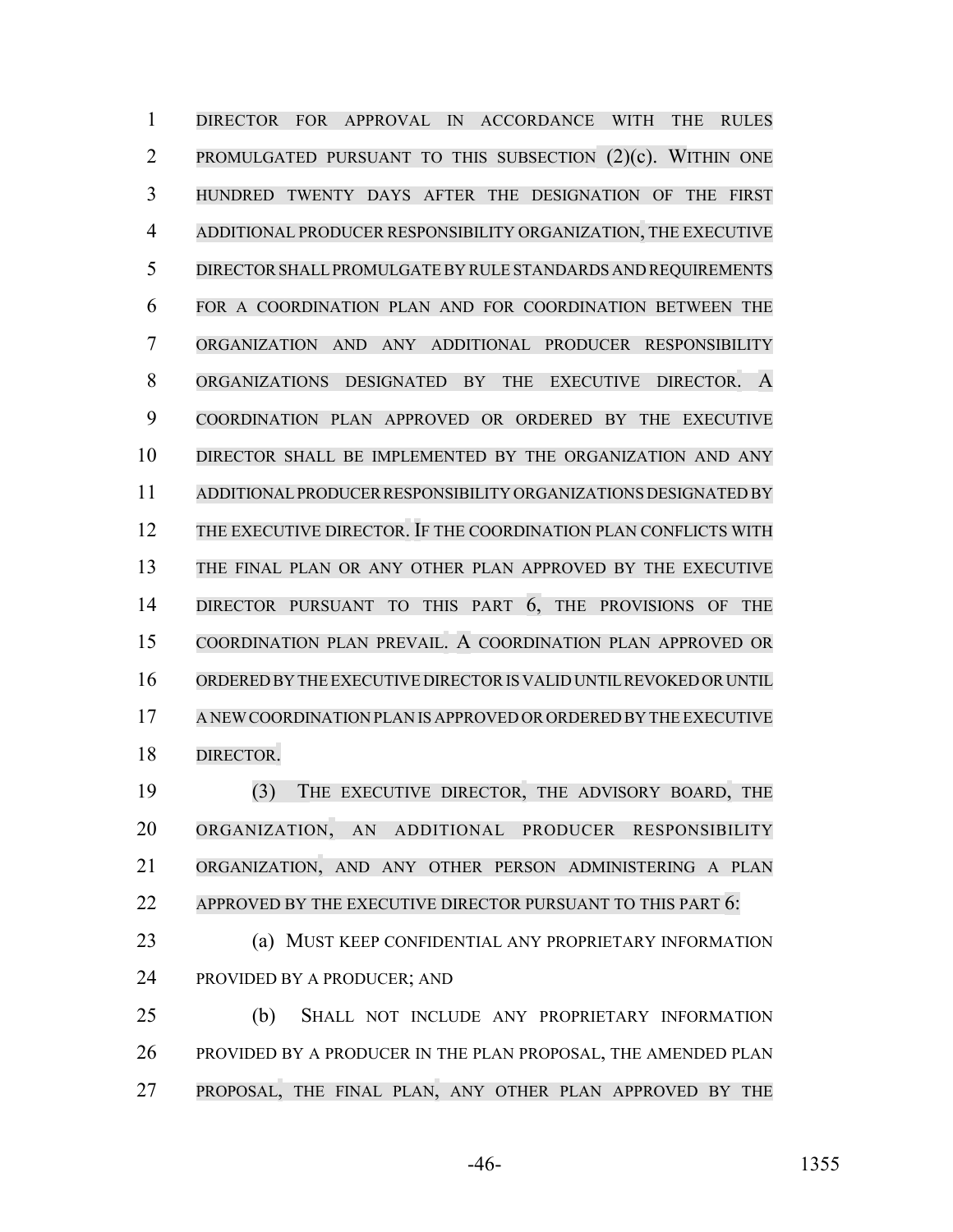DIRECTOR FOR APPROVAL IN ACCORDANCE WITH THE RULES PROMULGATED PURSUANT TO THIS SUBSECTION (2)(c). WITHIN ONE HUNDRED TWENTY DAYS AFTER THE DESIGNATION OF THE FIRST ADDITIONAL PRODUCER RESPONSIBILITY ORGANIZATION, THE EXECUTIVE DIRECTORSHALLPROMULGATEBY RULE STANDARDS AND REQUIREMENTS FOR A COORDINATION PLAN AND FOR COORDINATION BETWEEN THE ORGANIZATION AND ANY ADDITIONAL PRODUCER RESPONSIBILITY ORGANIZATIONS DESIGNATED BY THE EXECUTIVE DIRECTOR. A COORDINATION PLAN APPROVED OR ORDERED BY THE EXECUTIVE DIRECTOR SHALL BE IMPLEMENTED BY THE ORGANIZATION AND ANY ADDITIONAL PRODUCER RESPONSIBILITY ORGANIZATIONS DESIGNATED BY THE EXECUTIVE DIRECTOR. IF THE COORDINATION PLAN CONFLICTS WITH THE FINAL PLAN OR ANY OTHER PLAN APPROVED BY THE EXECUTIVE DIRECTOR PURSUANT TO THIS PART 6, THE PROVISIONS OF THE COORDINATION PLAN PREVAIL. A COORDINATION PLAN APPROVED OR ORDERED BY THE EXECUTIVE DIRECTOR IS VALID UNTIL REVOKED OR UNTIL A NEWCOORDINATION PLAN IS APPROVED OR ORDERED BY THE EXECUTIVE DIRECTOR.

 (3) THE EXECUTIVE DIRECTOR, THE ADVISORY BOARD, THE ORGANIZATION, AN ADDITIONAL PRODUCER RESPONSIBILITY ORGANIZATION, AND ANY OTHER PERSON ADMINISTERING A PLAN 22 APPROVED BY THE EXECUTIVE DIRECTOR PURSUANT TO THIS PART 6:

 (a) MUST KEEP CONFIDENTIAL ANY PROPRIETARY INFORMATION PROVIDED BY A PRODUCER; AND

 (b) SHALL NOT INCLUDE ANY PROPRIETARY INFORMATION 26 PROVIDED BY A PRODUCER IN THE PLAN PROPOSAL, THE AMENDED PLAN PROPOSAL, THE FINAL PLAN, ANY OTHER PLAN APPROVED BY THE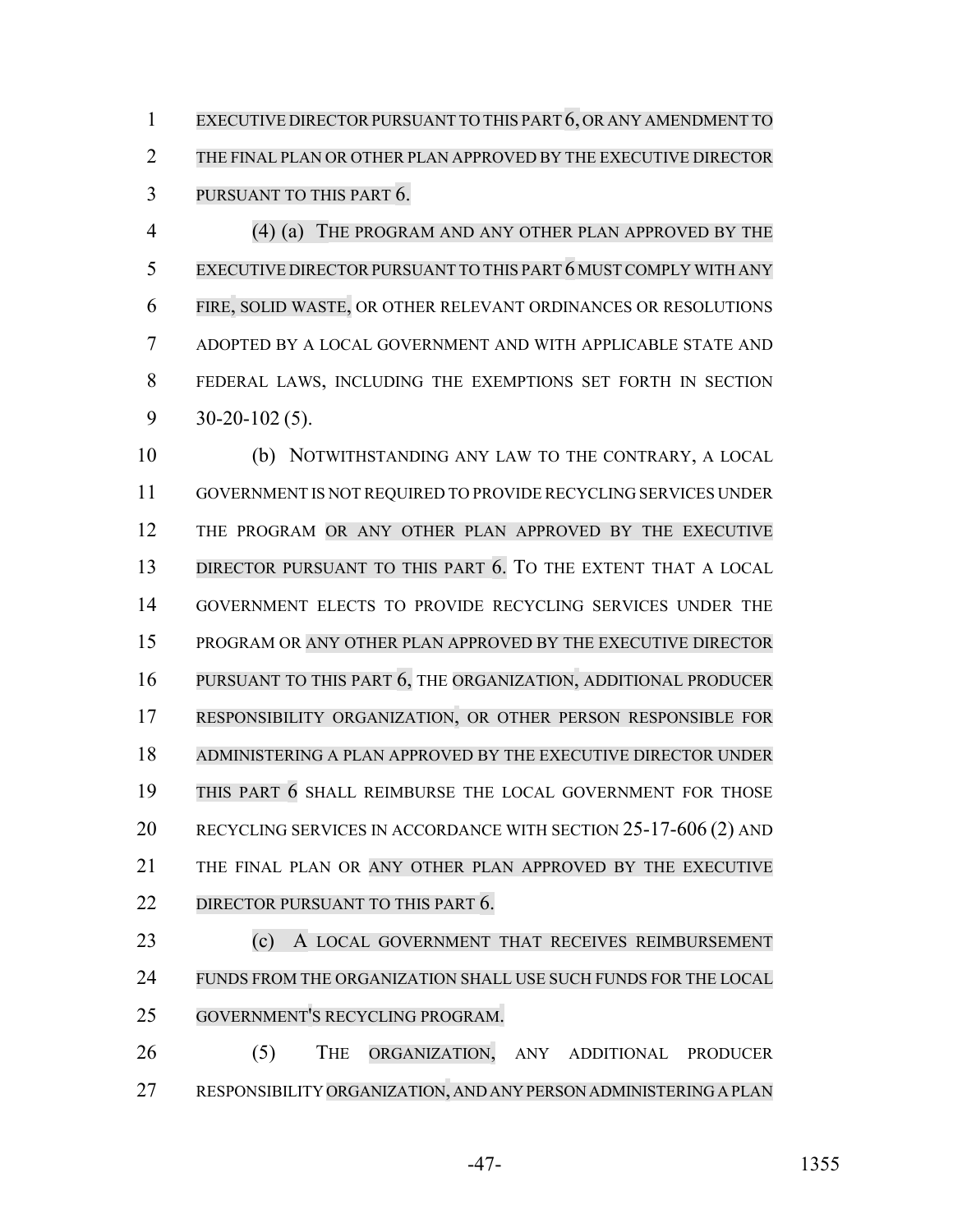EXECUTIVE DIRECTORPURSUANT TO THIS PART 6, OR ANY AMENDMENT TO THE FINAL PLAN OR OTHER PLAN APPROVED BY THE EXECUTIVE DIRECTOR PURSUANT TO THIS PART 6.

 (4) (a) THE PROGRAM AND ANY OTHER PLAN APPROVED BY THE 5 EXECUTIVE DIRECTOR PURSUANT TO THIS PART 6 MUST COMPLY WITH ANY FIRE, SOLID WASTE, OR OTHER RELEVANT ORDINANCES OR RESOLUTIONS ADOPTED BY A LOCAL GOVERNMENT AND WITH APPLICABLE STATE AND FEDERAL LAWS, INCLUDING THE EXEMPTIONS SET FORTH IN SECTION 30-20-102 (5).

 (b) NOTWITHSTANDING ANY LAW TO THE CONTRARY, A LOCAL GOVERNMENT IS NOT REQUIRED TO PROVIDE RECYCLING SERVICES UNDER THE PROGRAM OR ANY OTHER PLAN APPROVED BY THE EXECUTIVE 13 DIRECTOR PURSUANT TO THIS PART 6. TO THE EXTENT THAT A LOCAL GOVERNMENT ELECTS TO PROVIDE RECYCLING SERVICES UNDER THE PROGRAM OR ANY OTHER PLAN APPROVED BY THE EXECUTIVE DIRECTOR PURSUANT TO THIS PART 6, THE ORGANIZATION, ADDITIONAL PRODUCER RESPONSIBILITY ORGANIZATION, OR OTHER PERSON RESPONSIBLE FOR ADMINISTERING A PLAN APPROVED BY THE EXECUTIVE DIRECTOR UNDER THIS PART 6 SHALL REIMBURSE THE LOCAL GOVERNMENT FOR THOSE RECYCLING SERVICES IN ACCORDANCE WITH SECTION 25-17-606 (2) AND THE FINAL PLAN OR ANY OTHER PLAN APPROVED BY THE EXECUTIVE 22 DIRECTOR PURSUANT TO THIS PART 6. (c) A LOCAL GOVERNMENT THAT RECEIVES REIMBURSEMENT FUNDS FROM THE ORGANIZATION SHALL USE SUCH FUNDS FOR THE LOCAL

(5) THE ORGANIZATION, ANY ADDITIONAL PRODUCER

GOVERNMENT'S RECYCLING PROGRAM.

RESPONSIBILITY ORGANIZATION, AND ANY PERSON ADMINISTERING A PLAN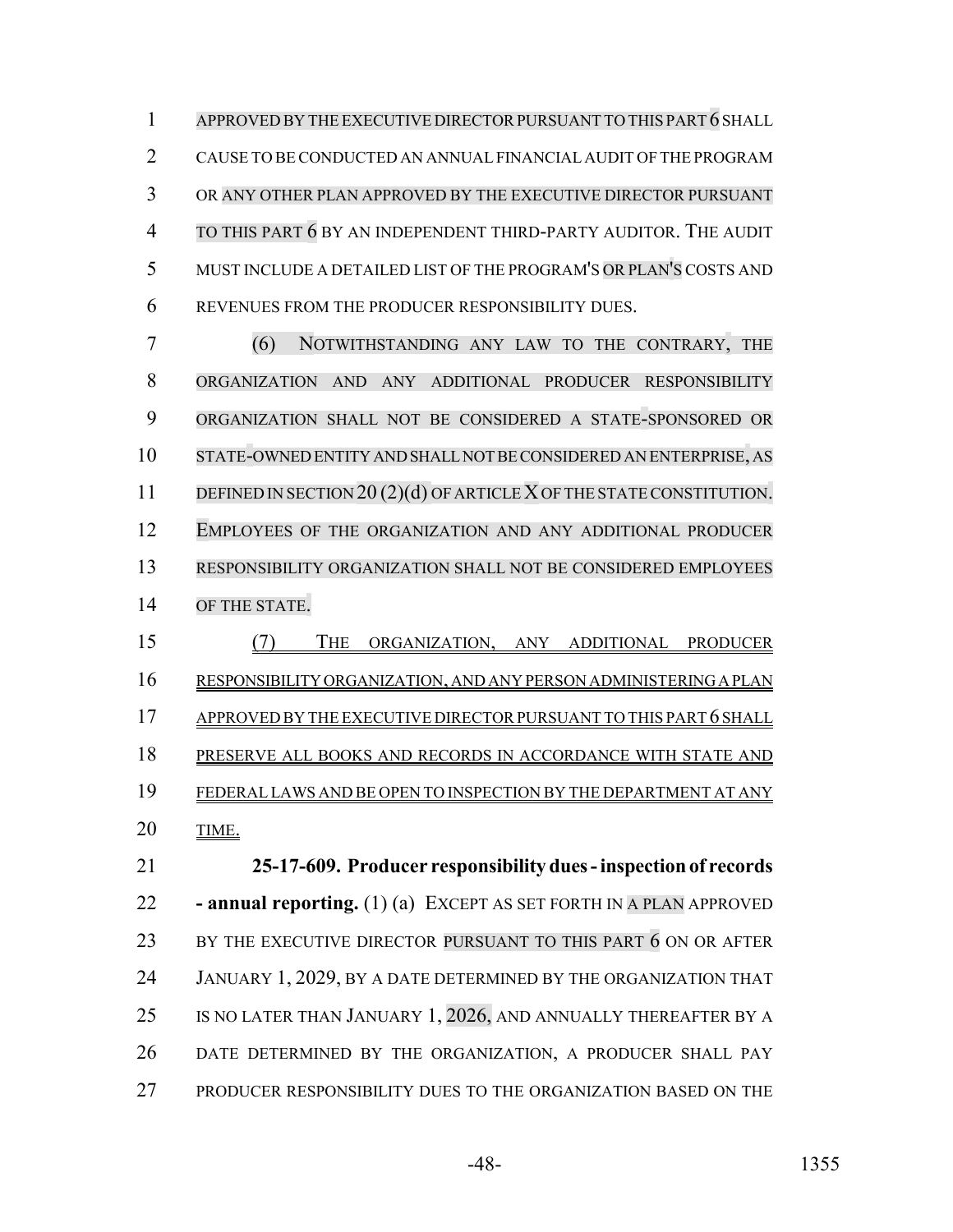APPROVED BY THE EXECUTIVE DIRECTORPURSUANT TO THIS PART 6 SHALL CAUSE TO BE CONDUCTED AN ANNUAL FINANCIAL AUDIT OF THE PROGRAM OR ANY OTHER PLAN APPROVED BY THE EXECUTIVE DIRECTOR PURSUANT TO THIS PART 6 BY AN INDEPENDENT THIRD-PARTY AUDITOR. THE AUDIT MUST INCLUDE A DETAILED LIST OF THE PROGRAM'S OR PLAN'S COSTS AND REVENUES FROM THE PRODUCER RESPONSIBILITY DUES.

 (6) NOTWITHSTANDING ANY LAW TO THE CONTRARY, THE ORGANIZATION AND ANY ADDITIONAL PRODUCER RESPONSIBILITY ORGANIZATION SHALL NOT BE CONSIDERED A STATE-SPONSORED OR STATE-OWNED ENTITY AND SHALL NOT BE CONSIDERED AN ENTERPRISE, AS 11 DEFINED IN SECTION 20 (2)(d) OF ARTICLE X OF THE STATE CONSTITUTION. EMPLOYEES OF THE ORGANIZATION AND ANY ADDITIONAL PRODUCER RESPONSIBILITY ORGANIZATION SHALL NOT BE CONSIDERED EMPLOYEES OF THE STATE.

- (7) THE ORGANIZATION, ANY ADDITIONAL PRODUCER
- RESPONSIBILITY ORGANIZATION, AND ANY PERSON ADMINISTERING A PLAN

17 APPROVED BY THE EXECUTIVE DIRECTOR PURSUANT TO THIS PART 6 SHALL PRESERVE ALL BOOKS AND RECORDS IN ACCORDANCE WITH STATE AND FEDERAL LAWS AND BE OPEN TO INSPECTION BY THE DEPARTMENT AT ANY

TIME.

 **25-17-609. Producer responsibility dues - inspection of records - annual reporting.** (1) (a) EXCEPT AS SET FORTH IN A PLAN APPROVED 23 BY THE EXECUTIVE DIRECTOR PURSUANT TO THIS PART 6 ON OR AFTER JANUARY 1, 2029, BY A DATE DETERMINED BY THE ORGANIZATION THAT 25 IS NO LATER THAN JANUARY 1, 2026, AND ANNUALLY THEREAFTER BY A DATE DETERMINED BY THE ORGANIZATION, A PRODUCER SHALL PAY PRODUCER RESPONSIBILITY DUES TO THE ORGANIZATION BASED ON THE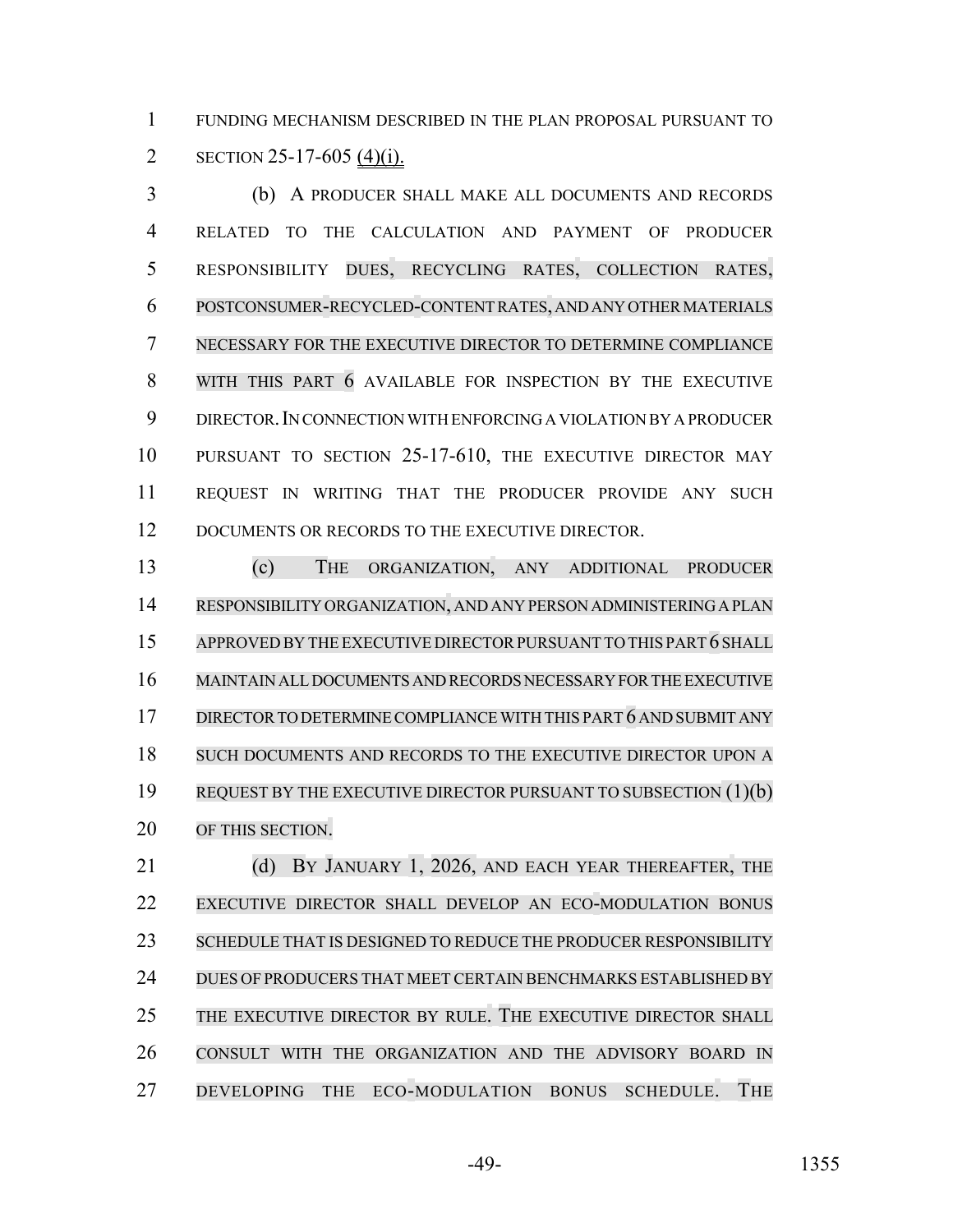FUNDING MECHANISM DESCRIBED IN THE PLAN PROPOSAL PURSUANT TO 2 SECTION 25-17-605 (4)(i).

 (b) A PRODUCER SHALL MAKE ALL DOCUMENTS AND RECORDS RELATED TO THE CALCULATION AND PAYMENT OF PRODUCER RESPONSIBILITY DUES, RECYCLING RATES, COLLECTION RATES, POSTCONSUMER-RECYCLED-CONTENT RATES, AND ANY OTHER MATERIALS NECESSARY FOR THE EXECUTIVE DIRECTOR TO DETERMINE COMPLIANCE 8 WITH THIS PART 6 AVAILABLE FOR INSPECTION BY THE EXECUTIVE DIRECTOR.IN CONNECTION WITH ENFORCING A VIOLATION BY A PRODUCER PURSUANT TO SECTION 25-17-610, THE EXECUTIVE DIRECTOR MAY REQUEST IN WRITING THAT THE PRODUCER PROVIDE ANY SUCH 12 DOCUMENTS OR RECORDS TO THE EXECUTIVE DIRECTOR.

 (c) THE ORGANIZATION, ANY ADDITIONAL PRODUCER RESPONSIBILITY ORGANIZATION, AND ANY PERSON ADMINISTERING A PLAN 15 APPROVED BY THE EXECUTIVE DIRECTOR PURSUANT TO THIS PART 6 SHALL MAINTAIN ALL DOCUMENTS AND RECORDS NECESSARY FOR THE EXECUTIVE DIRECTOR TO DETERMINE COMPLIANCE WITH THIS PART 6 AND SUBMIT ANY SUCH DOCUMENTS AND RECORDS TO THE EXECUTIVE DIRECTOR UPON A REQUEST BY THE EXECUTIVE DIRECTOR PURSUANT TO SUBSECTION (1)(b) OF THIS SECTION.

21 (d) BY JANUARY 1, 2026, AND EACH YEAR THEREAFTER, THE EXECUTIVE DIRECTOR SHALL DEVELOP AN ECO-MODULATION BONUS 23 SCHEDULE THAT IS DESIGNED TO REDUCE THE PRODUCER RESPONSIBILITY DUES OF PRODUCERS THAT MEET CERTAIN BENCHMARKS ESTABLISHED BY THE EXECUTIVE DIRECTOR BY RULE. THE EXECUTIVE DIRECTOR SHALL CONSULT WITH THE ORGANIZATION AND THE ADVISORY BOARD IN DEVELOPING THE ECO-MODULATION BONUS SCHEDULE. THE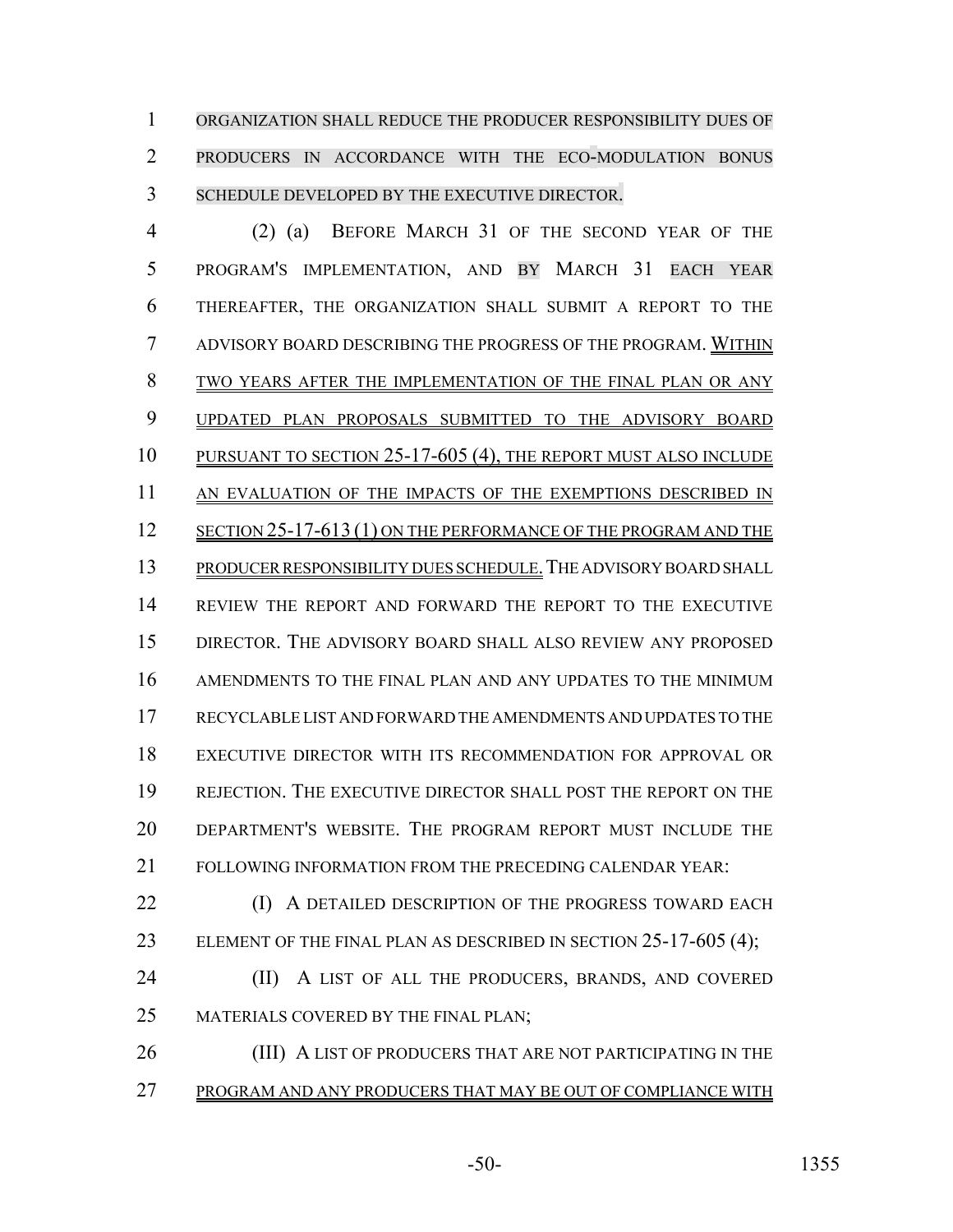ORGANIZATION SHALL REDUCE THE PRODUCER RESPONSIBILITY DUES OF PRODUCERS IN ACCORDANCE WITH THE ECO-MODULATION BONUS SCHEDULE DEVELOPED BY THE EXECUTIVE DIRECTOR.

 (2) (a) BEFORE MARCH 31 OF THE SECOND YEAR OF THE PROGRAM'S IMPLEMENTATION, AND BY MARCH 31 EACH YEAR THEREAFTER, THE ORGANIZATION SHALL SUBMIT A REPORT TO THE ADVISORY BOARD DESCRIBING THE PROGRESS OF THE PROGRAM. WITHIN 8 TWO YEARS AFTER THE IMPLEMENTATION OF THE FINAL PLAN OR ANY 9 UPDATED PLAN PROPOSALS SUBMITTED TO THE ADVISORY BOARD PURSUANT TO SECTION 25-17-605 (4), THE REPORT MUST ALSO INCLUDE 11 AN EVALUATION OF THE IMPACTS OF THE EXEMPTIONS DESCRIBED IN 12 SECTION 25-17-613 (1) ON THE PERFORMANCE OF THE PROGRAM AND THE 13 PRODUCER RESPONSIBILITY DUES SCHEDULE. THE ADVISORY BOARD SHALL REVIEW THE REPORT AND FORWARD THE REPORT TO THE EXECUTIVE DIRECTOR. THE ADVISORY BOARD SHALL ALSO REVIEW ANY PROPOSED AMENDMENTS TO THE FINAL PLAN AND ANY UPDATES TO THE MINIMUM RECYCLABLE LIST AND FORWARD THE AMENDMENTS AND UPDATES TO THE EXECUTIVE DIRECTOR WITH ITS RECOMMENDATION FOR APPROVAL OR REJECTION. THE EXECUTIVE DIRECTOR SHALL POST THE REPORT ON THE DEPARTMENT'S WEBSITE. THE PROGRAM REPORT MUST INCLUDE THE FOLLOWING INFORMATION FROM THE PRECEDING CALENDAR YEAR:

**(I)** A DETAILED DESCRIPTION OF THE PROGRESS TOWARD EACH 23 ELEMENT OF THE FINAL PLAN AS DESCRIBED IN SECTION 25-17-605 (4);

**(II)** A LIST OF ALL THE PRODUCERS, BRANDS, AND COVERED MATERIALS COVERED BY THE FINAL PLAN;

26 (III) A LIST OF PRODUCERS THAT ARE NOT PARTICIPATING IN THE PROGRAM AND ANY PRODUCERS THAT MAY BE OUT OF COMPLIANCE WITH

-50- 1355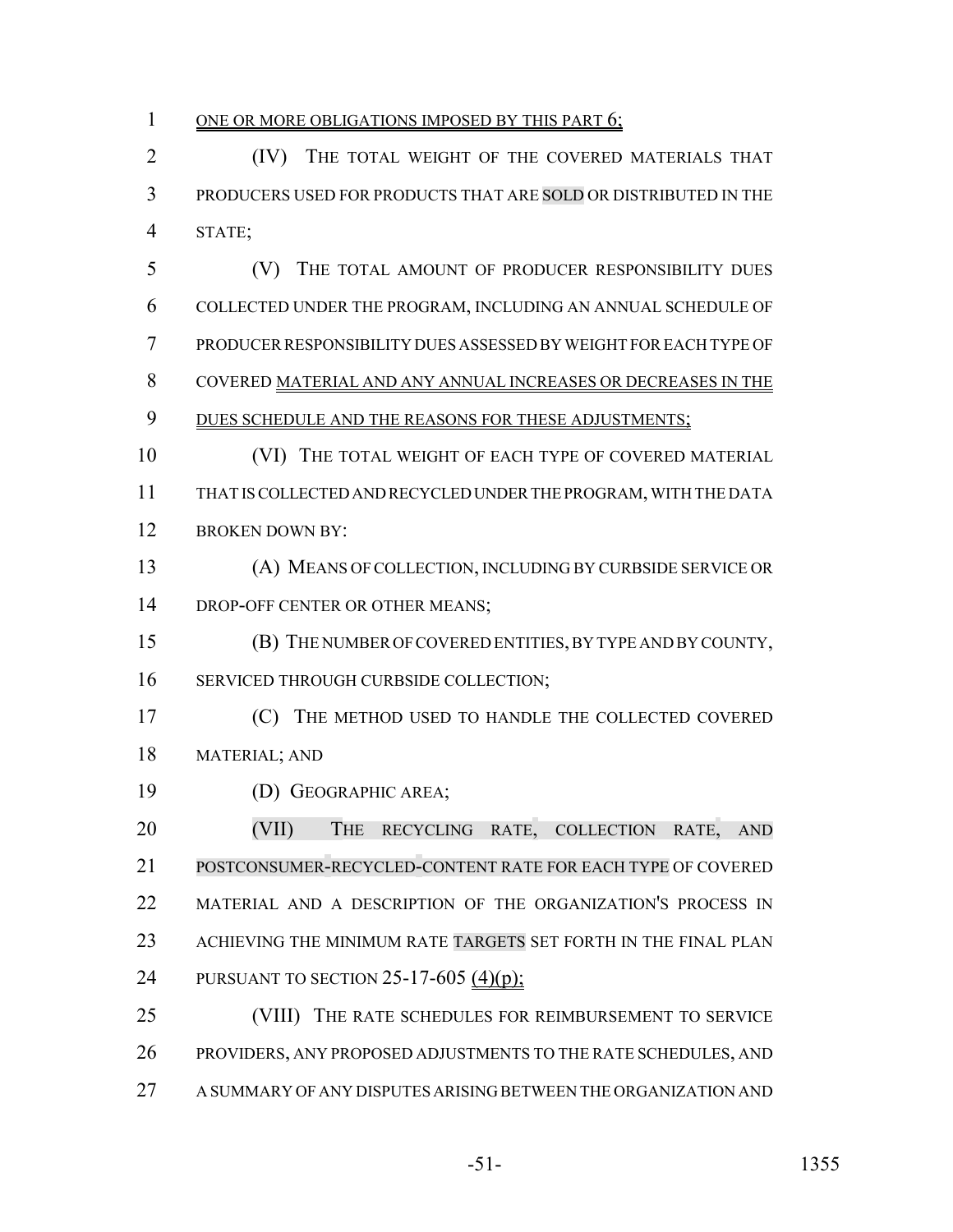#### 1 ONE OR MORE OBLIGATIONS IMPOSED BY THIS PART 6;

 (IV) THE TOTAL WEIGHT OF THE COVERED MATERIALS THAT PRODUCERS USED FOR PRODUCTS THAT ARE SOLD OR DISTRIBUTED IN THE STATE;

 (V) THE TOTAL AMOUNT OF PRODUCER RESPONSIBILITY DUES COLLECTED UNDER THE PROGRAM, INCLUDING AN ANNUAL SCHEDULE OF PRODUCER RESPONSIBILITY DUES ASSESSED BY WEIGHT FOR EACH TYPE OF COVERED MATERIAL AND ANY ANNUAL INCREASES OR DECREASES IN THE 9 DUES SCHEDULE AND THE REASONS FOR THESE ADJUSTMENTS; 10 (VI) THE TOTAL WEIGHT OF EACH TYPE OF COVERED MATERIAL

 THAT IS COLLECTED AND RECYCLED UNDER THE PROGRAM, WITH THE DATA 12 BROKEN DOWN BY:

 (A) MEANS OF COLLECTION, INCLUDING BY CURBSIDE SERVICE OR 14 DROP-OFF CENTER OR OTHER MEANS;

(B) THE NUMBER OF COVERED ENTITIES, BY TYPE AND BY COUNTY,

SERVICED THROUGH CURBSIDE COLLECTION;

 (C) THE METHOD USED TO HANDLE THE COLLECTED COVERED MATERIAL; AND

(D) GEOGRAPHIC AREA;

20 (VII) THE RECYCLING RATE, COLLECTION RATE, AND POSTCONSUMER-RECYCLED-CONTENT RATE FOR EACH TYPE OF COVERED 22 MATERIAL AND A DESCRIPTION OF THE ORGANIZATION'S PROCESS IN ACHIEVING THE MINIMUM RATE TARGETS SET FORTH IN THE FINAL PLAN 24 PURSUANT TO SECTION 25-17-605 (4)(p);

 (VIII) THE RATE SCHEDULES FOR REIMBURSEMENT TO SERVICE PROVIDERS, ANY PROPOSED ADJUSTMENTS TO THE RATE SCHEDULES, AND A SUMMARY OF ANY DISPUTES ARISING BETWEEN THE ORGANIZATION AND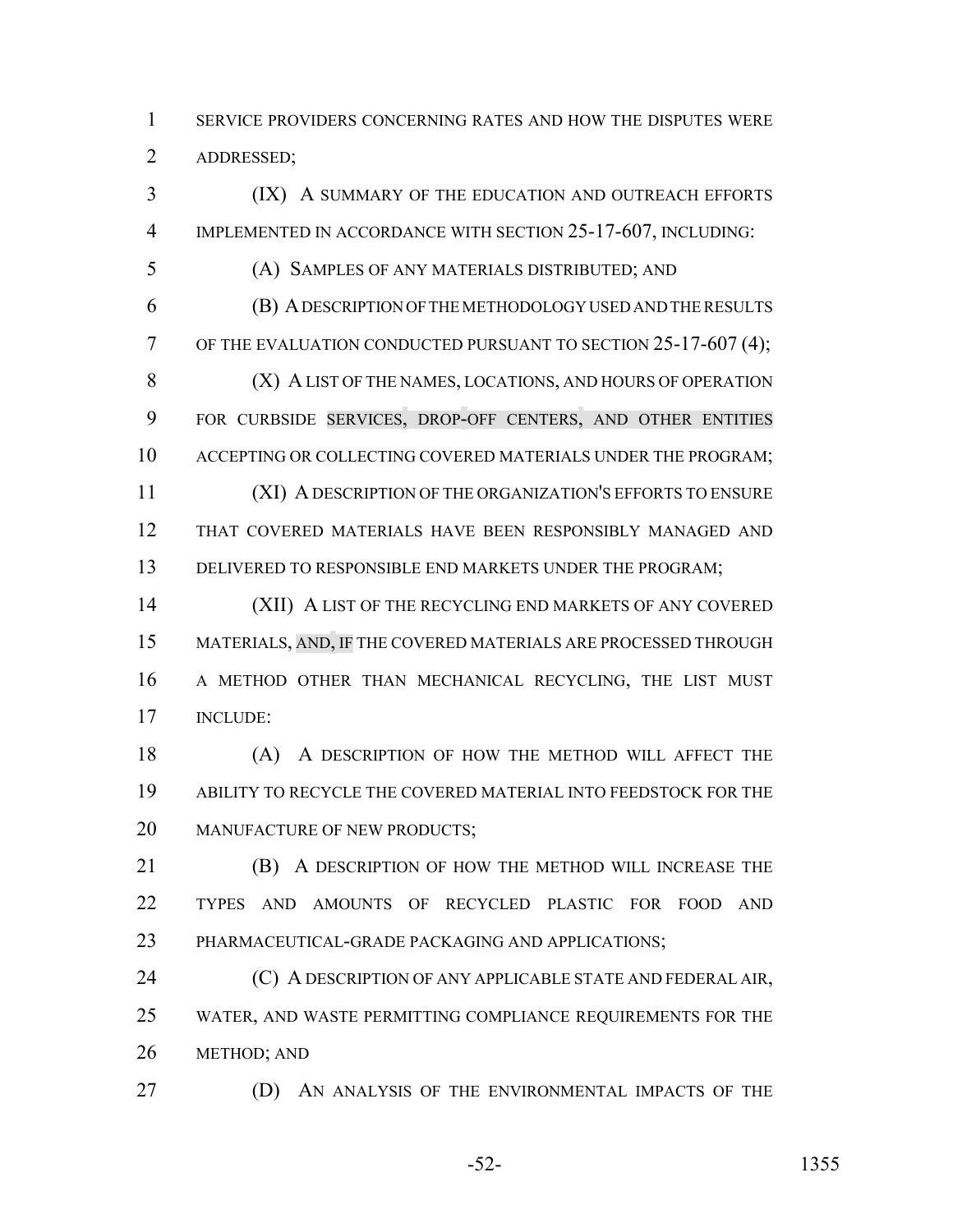SERVICE PROVIDERS CONCERNING RATES AND HOW THE DISPUTES WERE ADDRESSED;

 (IX) A SUMMARY OF THE EDUCATION AND OUTREACH EFFORTS IMPLEMENTED IN ACCORDANCE WITH SECTION 25-17-607, INCLUDING:

(A) SAMPLES OF ANY MATERIALS DISTRIBUTED; AND

 (B) A DESCRIPTION OF THE METHODOLOGY USED AND THE RESULTS 7 OF THE EVALUATION CONDUCTED PURSUANT TO SECTION 25-17-607 (4); 8 (X) A LIST OF THE NAMES, LOCATIONS, AND HOURS OF OPERATION FOR CURBSIDE SERVICES, DROP-OFF CENTERS, AND OTHER ENTITIES 10 ACCEPTING OR COLLECTING COVERED MATERIALS UNDER THE PROGRAM; (XI) A DESCRIPTION OF THE ORGANIZATION'S EFFORTS TO ENSURE THAT COVERED MATERIALS HAVE BEEN RESPONSIBLY MANAGED AND 13 DELIVERED TO RESPONSIBLE END MARKETS UNDER THE PROGRAM;

 (XII) A LIST OF THE RECYCLING END MARKETS OF ANY COVERED MATERIALS, AND, IF THE COVERED MATERIALS ARE PROCESSED THROUGH A METHOD OTHER THAN MECHANICAL RECYCLING, THE LIST MUST INCLUDE:

 (A) A DESCRIPTION OF HOW THE METHOD WILL AFFECT THE ABILITY TO RECYCLE THE COVERED MATERIAL INTO FEEDSTOCK FOR THE 20 MANUFACTURE OF NEW PRODUCTS;

 (B) A DESCRIPTION OF HOW THE METHOD WILL INCREASE THE TYPES AND AMOUNTS OF RECYCLED PLASTIC FOR FOOD AND PHARMACEUTICAL-GRADE PACKAGING AND APPLICATIONS;

**(C) A DESCRIPTION OF ANY APPLICABLE STATE AND FEDERAL AIR,**  WATER, AND WASTE PERMITTING COMPLIANCE REQUIREMENTS FOR THE METHOD; AND

(D) AN ANALYSIS OF THE ENVIRONMENTAL IMPACTS OF THE

-52- 1355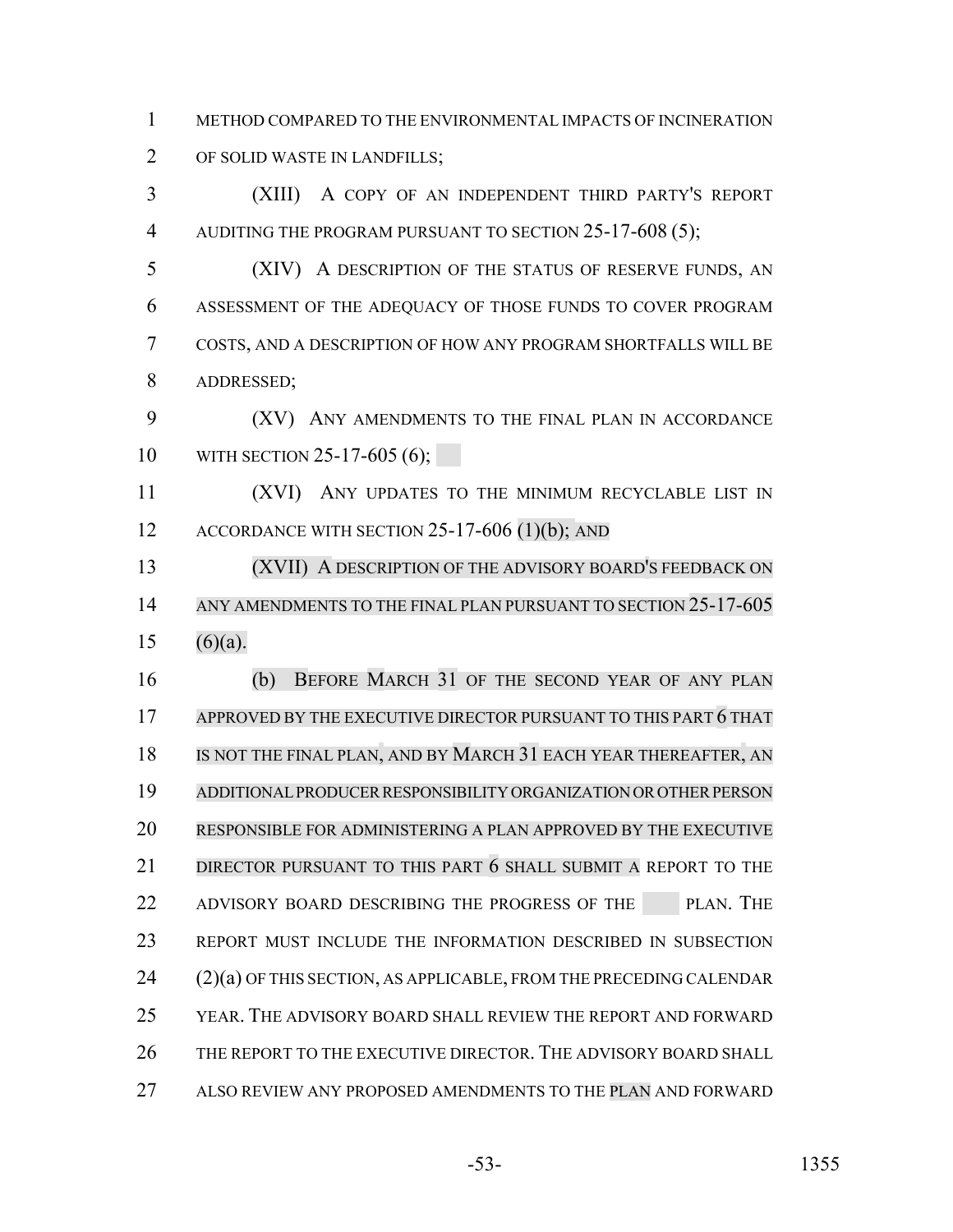METHOD COMPARED TO THE ENVIRONMENTAL IMPACTS OF INCINERATION

OF SOLID WASTE IN LANDFILLS;

 (XIII) A COPY OF AN INDEPENDENT THIRD PARTY'S REPORT 4 AUDITING THE PROGRAM PURSUANT TO SECTION 25-17-608 (5);

 (XIV) A DESCRIPTION OF THE STATUS OF RESERVE FUNDS, AN ASSESSMENT OF THE ADEQUACY OF THOSE FUNDS TO COVER PROGRAM COSTS, AND A DESCRIPTION OF HOW ANY PROGRAM SHORTFALLS WILL BE ADDRESSED;

 (XV) ANY AMENDMENTS TO THE FINAL PLAN IN ACCORDANCE 10 WITH SECTION 25-17-605 (6);

 (XVI) ANY UPDATES TO THE MINIMUM RECYCLABLE LIST IN 12 ACCORDANCE WITH SECTION 25-17-606 (1)(b); AND

 (XVII) A DESCRIPTION OF THE ADVISORY BOARD'S FEEDBACK ON 14 ANY AMENDMENTS TO THE FINAL PLAN PURSUANT TO SECTION 25-17-605 15 (6)(a).

 (b) BEFORE MARCH 31 OF THE SECOND YEAR OF ANY PLAN 17 APPROVED BY THE EXECUTIVE DIRECTOR PURSUANT TO THIS PART 6 THAT 18 IS NOT THE FINAL PLAN, AND BY MARCH 31 EACH YEAR THEREAFTER, AN ADDITIONAL PRODUCER RESPONSIBILITY ORGANIZATION OR OTHER PERSON RESPONSIBLE FOR ADMINISTERING A PLAN APPROVED BY THE EXECUTIVE 21 DIRECTOR PURSUANT TO THIS PART 6 SHALL SUBMIT A REPORT TO THE 22 ADVISORY BOARD DESCRIBING THE PROGRESS OF THE PLAN. THE REPORT MUST INCLUDE THE INFORMATION DESCRIBED IN SUBSECTION (2)(a) OF THIS SECTION, AS APPLICABLE, FROM THE PRECEDING CALENDAR YEAR. THE ADVISORY BOARD SHALL REVIEW THE REPORT AND FORWARD 26 THE REPORT TO THE EXECUTIVE DIRECTOR. THE ADVISORY BOARD SHALL ALSO REVIEW ANY PROPOSED AMENDMENTS TO THE PLAN AND FORWARD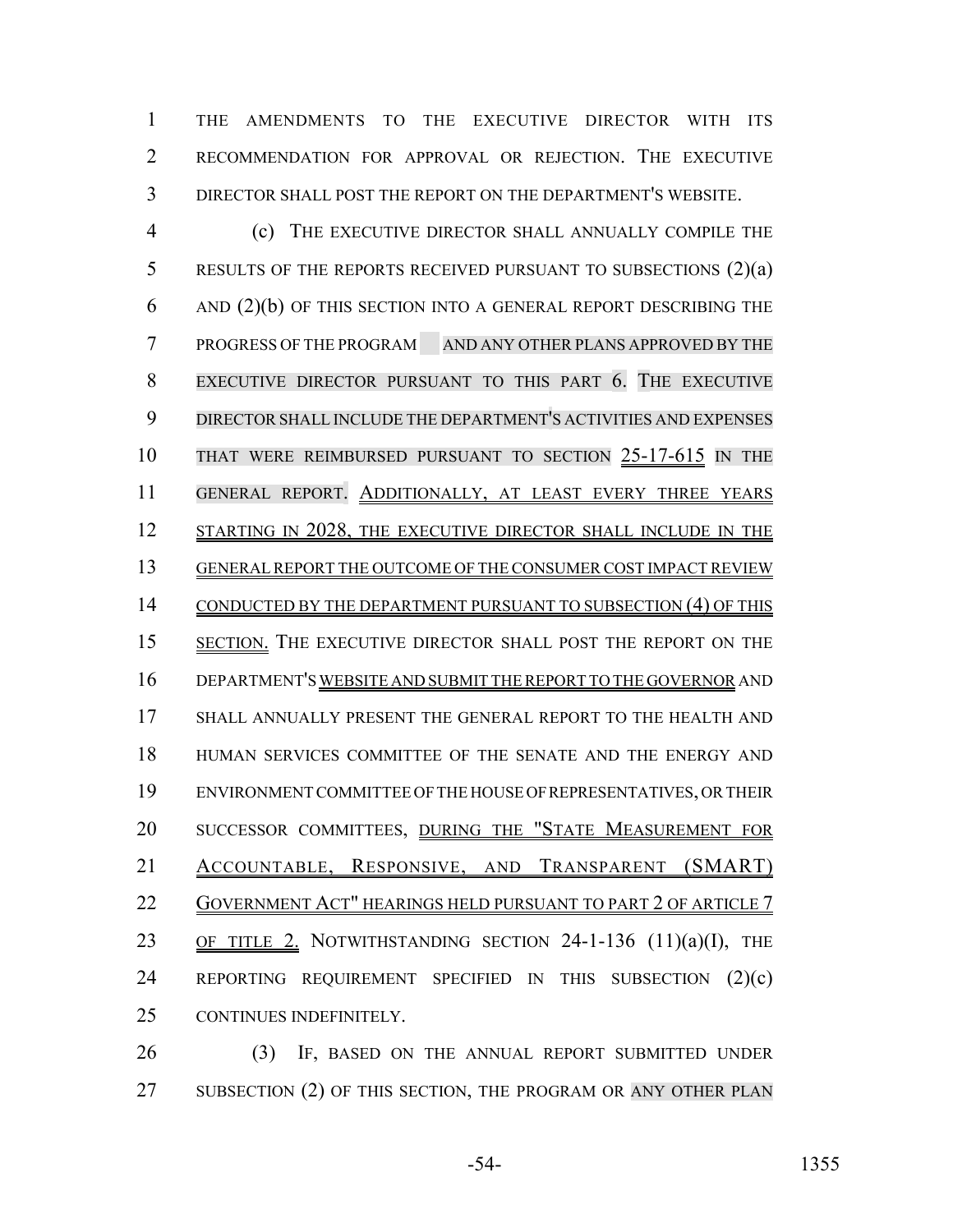THE AMENDMENTS TO THE EXECUTIVE DIRECTOR WITH ITS RECOMMENDATION FOR APPROVAL OR REJECTION. THE EXECUTIVE DIRECTOR SHALL POST THE REPORT ON THE DEPARTMENT'S WEBSITE.

 (c) THE EXECUTIVE DIRECTOR SHALL ANNUALLY COMPILE THE 5 RESULTS OF THE REPORTS RECEIVED PURSUANT TO SUBSECTIONS (2)(a) AND (2)(b) OF THIS SECTION INTO A GENERAL REPORT DESCRIBING THE PROGRESS OF THE PROGRAM AND ANY OTHER PLANS APPROVED BY THE EXECUTIVE DIRECTOR PURSUANT TO THIS PART 6. THE EXECUTIVE DIRECTOR SHALL INCLUDE THE DEPARTMENT'S ACTIVITIES AND EXPENSES THAT WERE REIMBURSED PURSUANT TO SECTION 25-17-615 IN THE GENERAL REPORT. ADDITIONALLY, AT LEAST EVERY THREE YEARS 12 STARTING IN 2028, THE EXECUTIVE DIRECTOR SHALL INCLUDE IN THE GENERAL REPORT THE OUTCOME OF THE CONSUMER COST IMPACT REVIEW 14 CONDUCTED BY THE DEPARTMENT PURSUANT TO SUBSECTION (4) OF THIS SECTION. THE EXECUTIVE DIRECTOR SHALL POST THE REPORT ON THE DEPARTMENT'S WEBSITE AND SUBMIT THE REPORT TO THE GOVERNOR AND 17 SHALL ANNUALLY PRESENT THE GENERAL REPORT TO THE HEALTH AND HUMAN SERVICES COMMITTEE OF THE SENATE AND THE ENERGY AND ENVIRONMENT COMMITTEE OF THE HOUSE OF REPRESENTATIVES, OR THEIR SUCCESSOR COMMITTEES, DURING THE "STATE MEASUREMENT FOR ACCOUNTABLE, RESPONSIVE, AND TRANSPARENT (SMART) 22 GOVERNMENT ACT" HEARINGS HELD PURSUANT TO PART 2 OF ARTICLE 7 23 OF TITLE 2. NOTWITHSTANDING SECTION 24-1-136 (11)(a)(I), THE REPORTING REQUIREMENT SPECIFIED IN THIS SUBSECTION (2)(c) CONTINUES INDEFINITELY.

 (3) IF, BASED ON THE ANNUAL REPORT SUBMITTED UNDER 27 SUBSECTION (2) OF THIS SECTION, THE PROGRAM OR ANY OTHER PLAN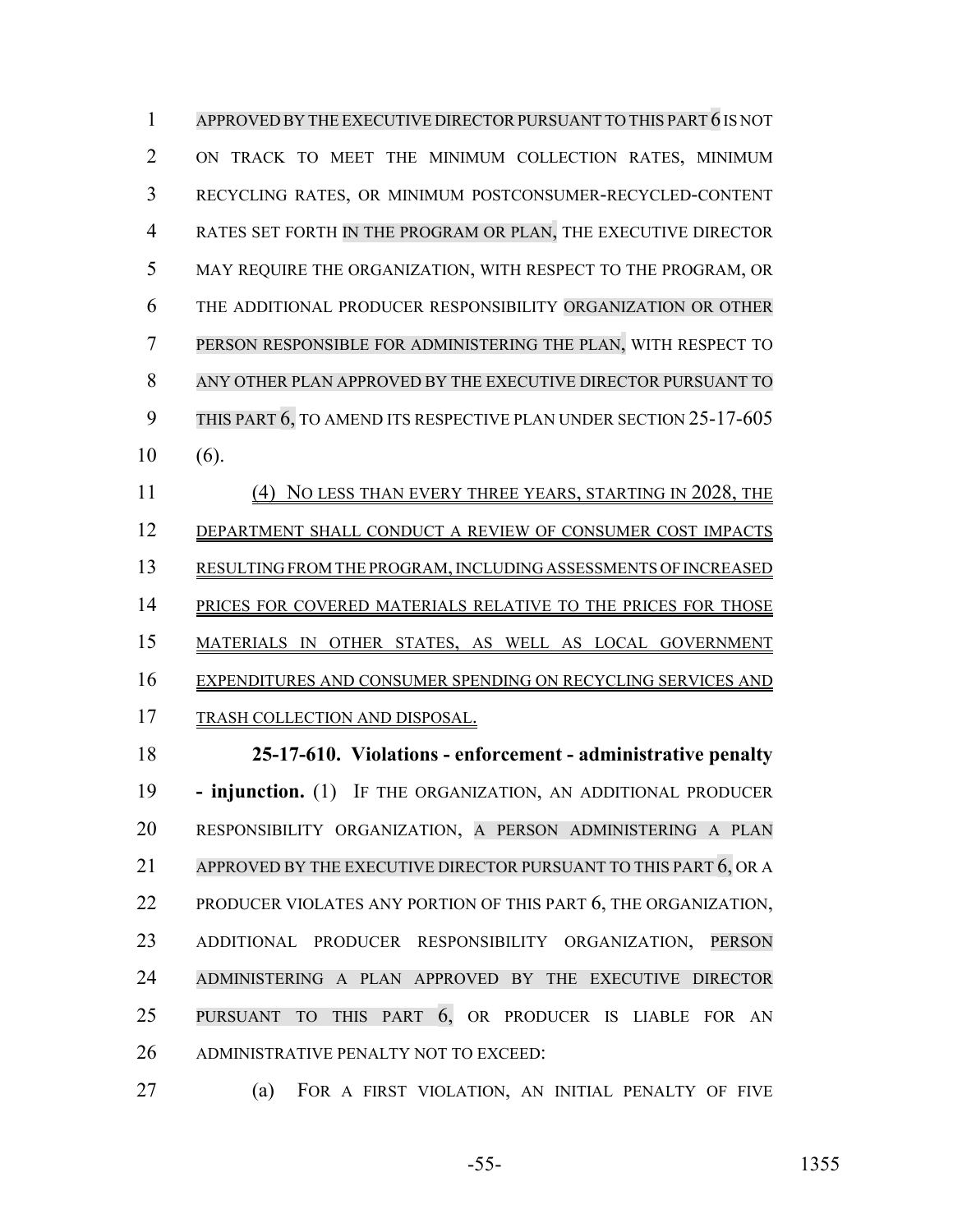APPROVED BY THE EXECUTIVE DIRECTORPURSUANT TO THIS PART 6 IS NOT ON TRACK TO MEET THE MINIMUM COLLECTION RATES, MINIMUM RECYCLING RATES, OR MINIMUM POSTCONSUMER-RECYCLED-CONTENT RATES SET FORTH IN THE PROGRAM OR PLAN, THE EXECUTIVE DIRECTOR MAY REQUIRE THE ORGANIZATION, WITH RESPECT TO THE PROGRAM, OR THE ADDITIONAL PRODUCER RESPONSIBILITY ORGANIZATION OR OTHER PERSON RESPONSIBLE FOR ADMINISTERING THE PLAN, WITH RESPECT TO ANY OTHER PLAN APPROVED BY THE EXECUTIVE DIRECTOR PURSUANT TO 9 THIS PART 6, TO AMEND ITS RESPECTIVE PLAN UNDER SECTION 25-17-605 (6). 11 (4) NO LESS THAN EVERY THREE YEARS, STARTING IN 2028, THE DEPARTMENT SHALL CONDUCT A REVIEW OF CONSUMER COST IMPACTS RESULTING FROM THE PROGRAM, INCLUDING ASSESSMENTS OF INCREASED 14 PRICES FOR COVERED MATERIALS RELATIVE TO THE PRICES FOR THOSE MATERIALS IN OTHER STATES, AS WELL AS LOCAL GOVERNMENT EXPENDITURES AND CONSUMER SPENDING ON RECYCLING SERVICES AND TRASH COLLECTION AND DISPOSAL. **25-17-610. Violations - enforcement - administrative penalty - injunction.** (1) IF THE ORGANIZATION, AN ADDITIONAL PRODUCER RESPONSIBILITY ORGANIZATION, A PERSON ADMINISTERING A PLAN APPROVED BY THE EXECUTIVE DIRECTOR PURSUANT TO THIS PART 6, OR A PRODUCER VIOLATES ANY PORTION OF THIS PART 6, THE ORGANIZATION, ADDITIONAL PRODUCER RESPONSIBILITY ORGANIZATION, PERSON ADMINISTERING A PLAN APPROVED BY THE EXECUTIVE DIRECTOR PURSUANT TO THIS PART 6, OR PRODUCER IS LIABLE FOR AN ADMINISTRATIVE PENALTY NOT TO EXCEED:

(a) FOR A FIRST VIOLATION, AN INITIAL PENALTY OF FIVE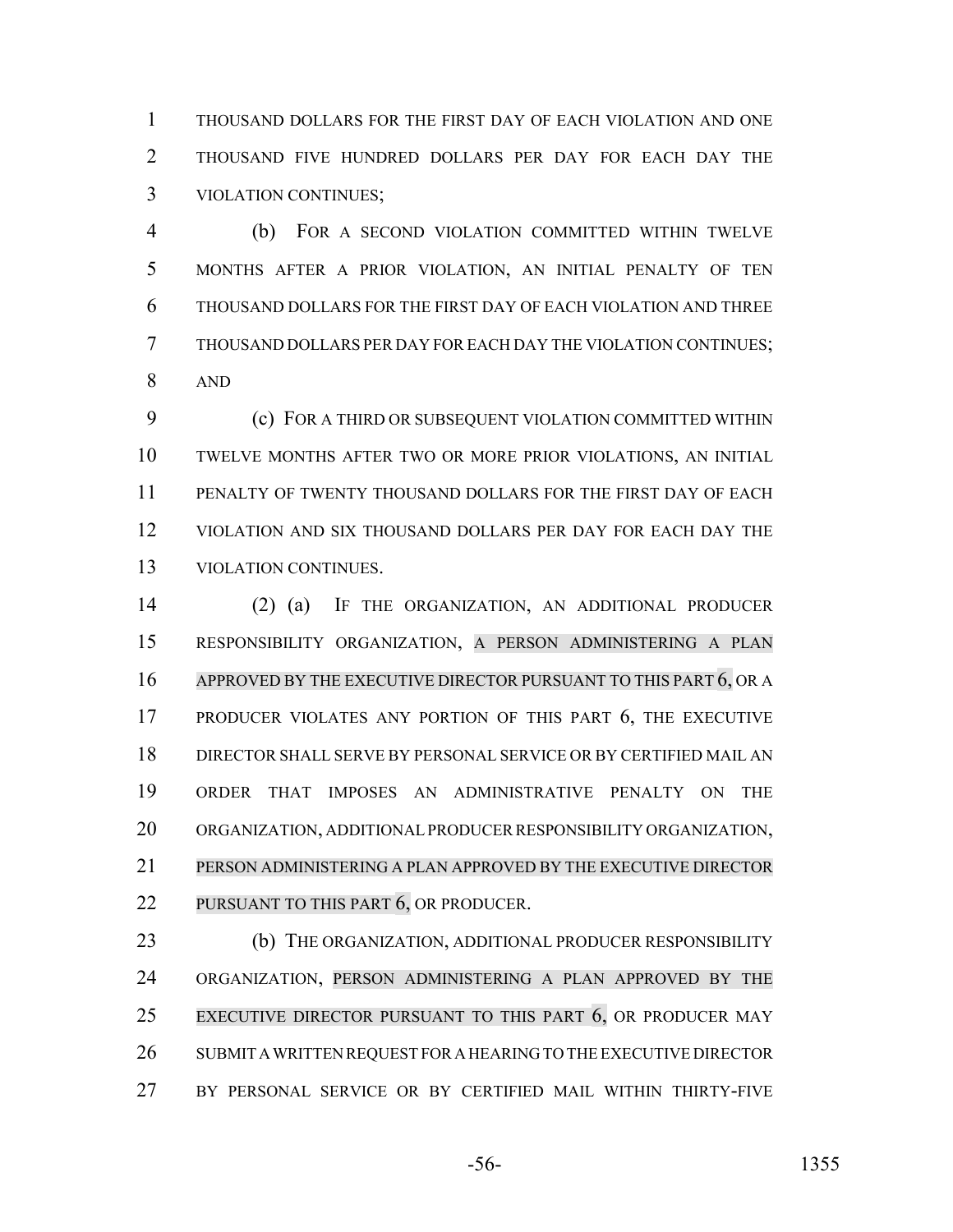THOUSAND DOLLARS FOR THE FIRST DAY OF EACH VIOLATION AND ONE THOUSAND FIVE HUNDRED DOLLARS PER DAY FOR EACH DAY THE VIOLATION CONTINUES;

 (b) FOR A SECOND VIOLATION COMMITTED WITHIN TWELVE MONTHS AFTER A PRIOR VIOLATION, AN INITIAL PENALTY OF TEN THOUSAND DOLLARS FOR THE FIRST DAY OF EACH VIOLATION AND THREE THOUSAND DOLLARS PER DAY FOR EACH DAY THE VIOLATION CONTINUES; AND

 (c) FOR A THIRD OR SUBSEQUENT VIOLATION COMMITTED WITHIN TWELVE MONTHS AFTER TWO OR MORE PRIOR VIOLATIONS, AN INITIAL PENALTY OF TWENTY THOUSAND DOLLARS FOR THE FIRST DAY OF EACH VIOLATION AND SIX THOUSAND DOLLARS PER DAY FOR EACH DAY THE VIOLATION CONTINUES.

 (2) (a) IF THE ORGANIZATION, AN ADDITIONAL PRODUCER RESPONSIBILITY ORGANIZATION, A PERSON ADMINISTERING A PLAN 16 APPROVED BY THE EXECUTIVE DIRECTOR PURSUANT TO THIS PART 6, OR A PRODUCER VIOLATES ANY PORTION OF THIS PART 6, THE EXECUTIVE DIRECTOR SHALL SERVE BY PERSONAL SERVICE OR BY CERTIFIED MAIL AN ORDER THAT IMPOSES AN ADMINISTRATIVE PENALTY ON THE ORGANIZATION, ADDITIONAL PRODUCER RESPONSIBILITY ORGANIZATION, PERSON ADMINISTERING A PLAN APPROVED BY THE EXECUTIVE DIRECTOR 22 PURSUANT TO THIS PART 6, OR PRODUCER.

**(b)** THE ORGANIZATION, ADDITIONAL PRODUCER RESPONSIBILITY ORGANIZATION, PERSON ADMINISTERING A PLAN APPROVED BY THE EXECUTIVE DIRECTOR PURSUANT TO THIS PART 6, OR PRODUCER MAY SUBMIT A WRITTEN REQUEST FOR A HEARING TO THE EXECUTIVE DIRECTOR BY PERSONAL SERVICE OR BY CERTIFIED MAIL WITHIN THIRTY-FIVE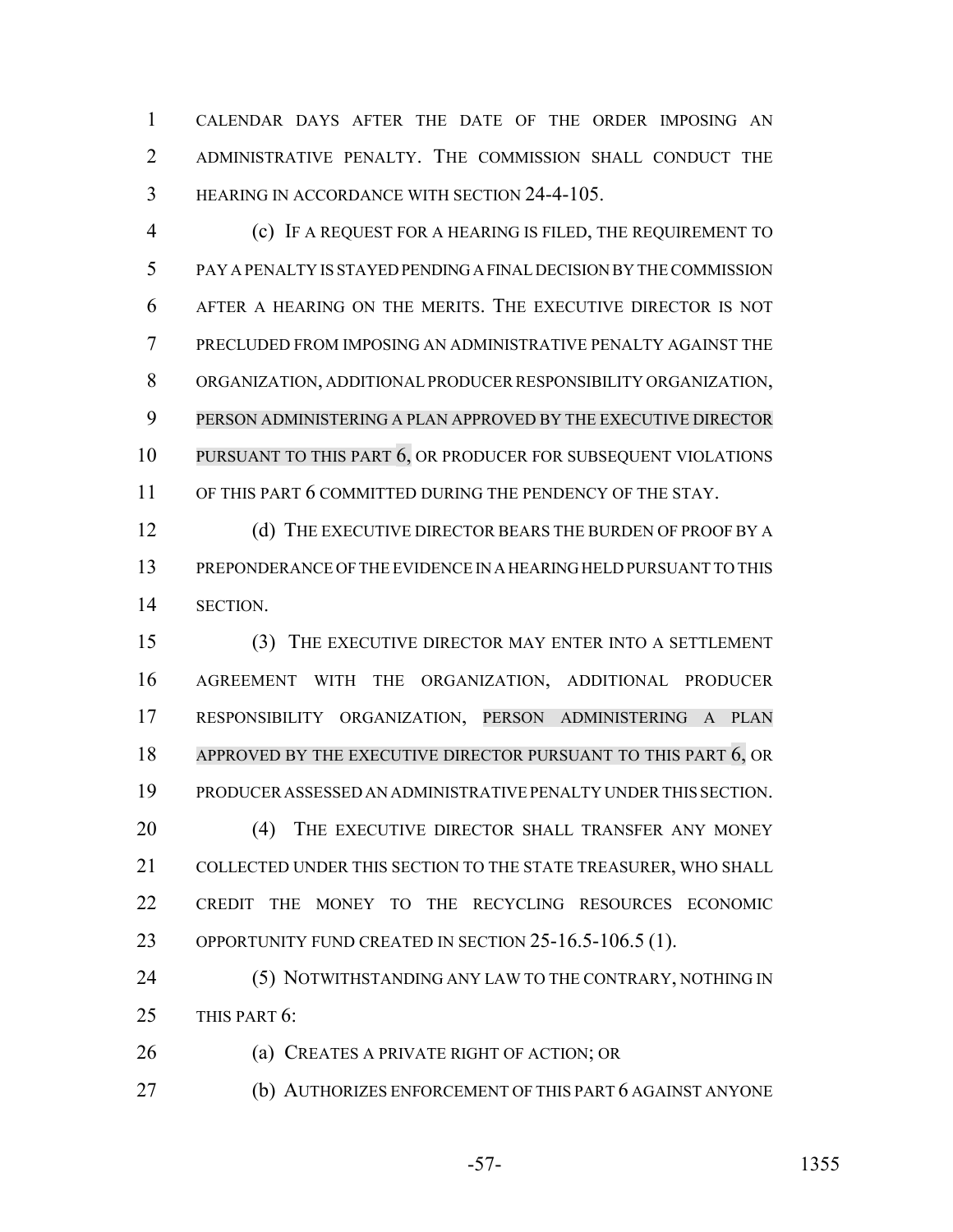CALENDAR DAYS AFTER THE DATE OF THE ORDER IMPOSING AN ADMINISTRATIVE PENALTY. THE COMMISSION SHALL CONDUCT THE HEARING IN ACCORDANCE WITH SECTION 24-4-105.

 (c) IF A REQUEST FOR A HEARING IS FILED, THE REQUIREMENT TO PAY A PENALTY IS STAYED PENDING A FINAL DECISION BY THE COMMISSION AFTER A HEARING ON THE MERITS. THE EXECUTIVE DIRECTOR IS NOT PRECLUDED FROM IMPOSING AN ADMINISTRATIVE PENALTY AGAINST THE ORGANIZATION, ADDITIONAL PRODUCER RESPONSIBILITY ORGANIZATION, PERSON ADMINISTERING A PLAN APPROVED BY THE EXECUTIVE DIRECTOR PURSUANT TO THIS PART 6, OR PRODUCER FOR SUBSEQUENT VIOLATIONS 11 OF THIS PART 6 COMMITTED DURING THE PENDENCY OF THE STAY.

12 (d) THE EXECUTIVE DIRECTOR BEARS THE BURDEN OF PROOF BY A PREPONDERANCE OF THE EVIDENCE IN A HEARING HELD PURSUANT TO THIS SECTION.

 (3) THE EXECUTIVE DIRECTOR MAY ENTER INTO A SETTLEMENT AGREEMENT WITH THE ORGANIZATION, ADDITIONAL PRODUCER RESPONSIBILITY ORGANIZATION, PERSON ADMINISTERING A PLAN 18 APPROVED BY THE EXECUTIVE DIRECTOR PURSUANT TO THIS PART 6, OR PRODUCER ASSESSED AN ADMINISTRATIVE PENALTY UNDER THIS SECTION. 20 (4) THE EXECUTIVE DIRECTOR SHALL TRANSFER ANY MONEY COLLECTED UNDER THIS SECTION TO THE STATE TREASURER, WHO SHALL CREDIT THE MONEY TO THE RECYCLING RESOURCES ECONOMIC OPPORTUNITY FUND CREATED IN SECTION 25-16.5-106.5 (1).

24 (5) NOTWITHSTANDING ANY LAW TO THE CONTRARY, NOTHING IN THIS PART 6:

(a) CREATES A PRIVATE RIGHT OF ACTION; OR

(b) AUTHORIZES ENFORCEMENT OF THIS PART 6 AGAINST ANYONE

$$
-57-
$$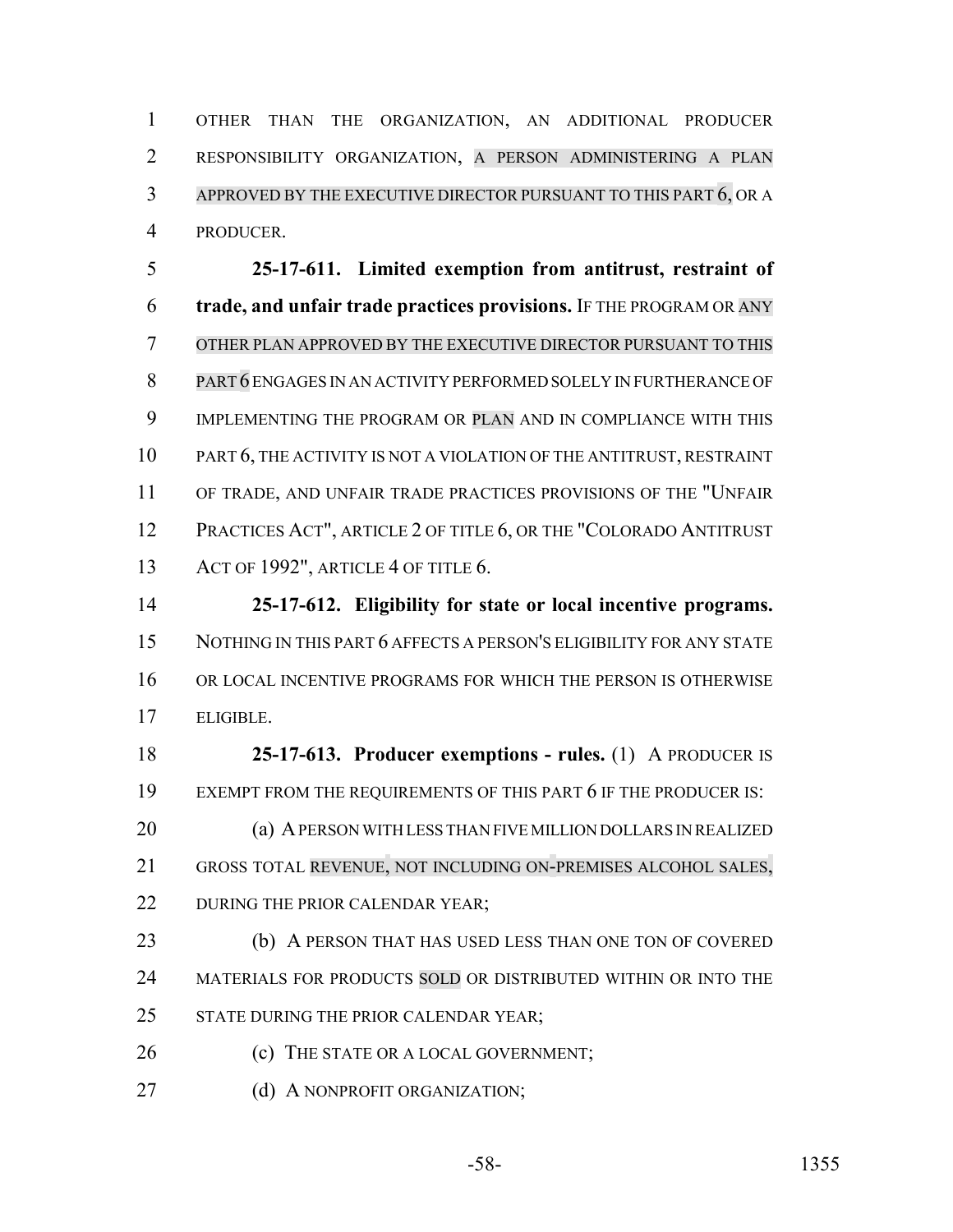OTHER THAN THE ORGANIZATION, AN ADDITIONAL PRODUCER RESPONSIBILITY ORGANIZATION, A PERSON ADMINISTERING A PLAN APPROVED BY THE EXECUTIVE DIRECTOR PURSUANT TO THIS PART 6, OR A PRODUCER.

 **25-17-611. Limited exemption from antitrust, restraint of trade, and unfair trade practices provisions.** IF THE PROGRAM OR ANY OTHER PLAN APPROVED BY THE EXECUTIVE DIRECTOR PURSUANT TO THIS PART 6 ENGAGES IN AN ACTIVITY PERFORMED SOLELY IN FURTHERANCE OF 9 IMPLEMENTING THE PROGRAM OR PLAN AND IN COMPLIANCE WITH THIS PART 6, THE ACTIVITY IS NOT A VIOLATION OF THE ANTITRUST, RESTRAINT OF TRADE, AND UNFAIR TRADE PRACTICES PROVISIONS OF THE "UNFAIR PRACTICES ACT", ARTICLE 2 OF TITLE 6, OR THE "COLORADO ANTITRUST ACT OF 1992", ARTICLE 4 OF TITLE 6.

 **25-17-612. Eligibility for state or local incentive programs.** NOTHING IN THIS PART 6 AFFECTS A PERSON'S ELIGIBILITY FOR ANY STATE OR LOCAL INCENTIVE PROGRAMS FOR WHICH THE PERSON IS OTHERWISE ELIGIBLE.

 **25-17-613. Producer exemptions - rules.** (1) A PRODUCER IS 19 EXEMPT FROM THE REQUIREMENTS OF THIS PART 6 IF THE PRODUCER IS: (a) A PERSON WITH LESS THAN FIVE MILLION DOLLARS IN REALIZED GROSS TOTAL REVENUE, NOT INCLUDING ON-PREMISES ALCOHOL SALES, 22 DURING THE PRIOR CALENDAR YEAR;

 (b) A PERSON THAT HAS USED LESS THAN ONE TON OF COVERED 24 MATERIALS FOR PRODUCTS SOLD OR DISTRIBUTED WITHIN OR INTO THE 25 STATE DURING THE PRIOR CALENDAR YEAR;

- 26 (c) THE STATE OR A LOCAL GOVERNMENT;
- 27 (d) A NONPROFIT ORGANIZATION;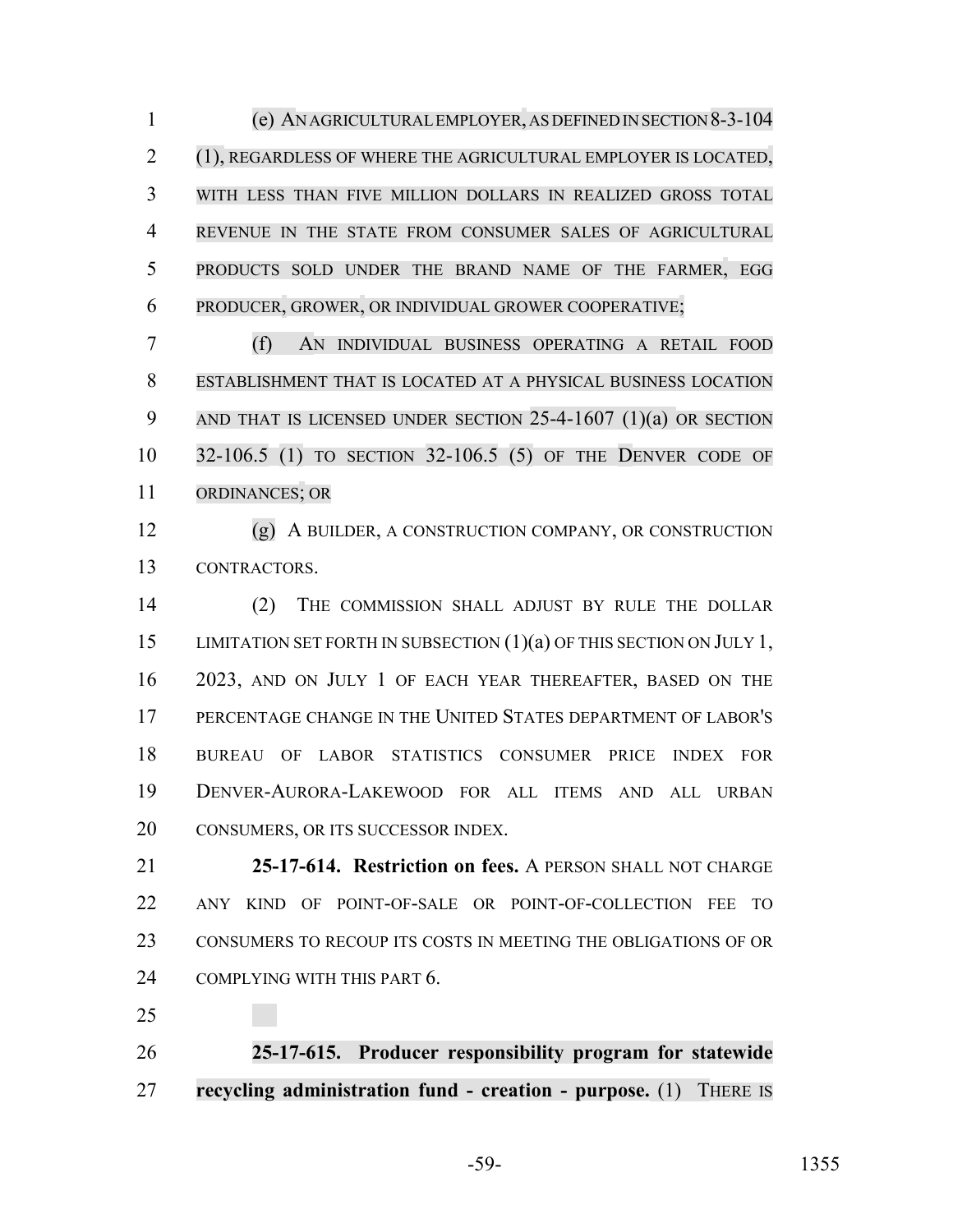(e) AN AGRICULTURAL EMPLOYER,ASDEFINEDIN SECTION 8-3-104 (1), REGARDLESS OF WHERE THE AGRICULTURAL EMPLOYER IS LOCATED, WITH LESS THAN FIVE MILLION DOLLARS IN REALIZED GROSS TOTAL REVENUE IN THE STATE FROM CONSUMER SALES OF AGRICULTURAL PRODUCTS SOLD UNDER THE BRAND NAME OF THE FARMER, EGG PRODUCER, GROWER, OR INDIVIDUAL GROWER COOPERATIVE;

 (f) AN INDIVIDUAL BUSINESS OPERATING A RETAIL FOOD ESTABLISHMENT THAT IS LOCATED AT A PHYSICAL BUSINESS LOCATION AND THAT IS LICENSED UNDER SECTION 25-4-1607 (1)(a) OR SECTION 32-106.5 (1) TO SECTION 32-106.5 (5) OF THE DENVER CODE OF ORDINANCES; OR

 (g) A BUILDER, A CONSTRUCTION COMPANY, OR CONSTRUCTION CONTRACTORS.

 (2) THE COMMISSION SHALL ADJUST BY RULE THE DOLLAR 15 LIMITATION SET FORTH IN SUBSECTION (1)(a) OF THIS SECTION ON JULY 1, 2023, AND ON JULY 1 OF EACH YEAR THEREAFTER, BASED ON THE PERCENTAGE CHANGE IN THE UNITED STATES DEPARTMENT OF LABOR'S BUREAU OF LABOR STATISTICS CONSUMER PRICE INDEX FOR DENVER-AURORA-LAKEWOOD FOR ALL ITEMS AND ALL URBAN 20 CONSUMERS, OR ITS SUCCESSOR INDEX.

 **25-17-614. Restriction on fees.** A PERSON SHALL NOT CHARGE ANY KIND OF POINT-OF-SALE OR POINT-OF-COLLECTION FEE TO CONSUMERS TO RECOUP ITS COSTS IN MEETING THE OBLIGATIONS OF OR 24 COMPLYING WITH THIS PART 6.

 **25-17-615. Producer responsibility program for statewide recycling administration fund - creation - purpose.** (1) THERE IS

-59- 1355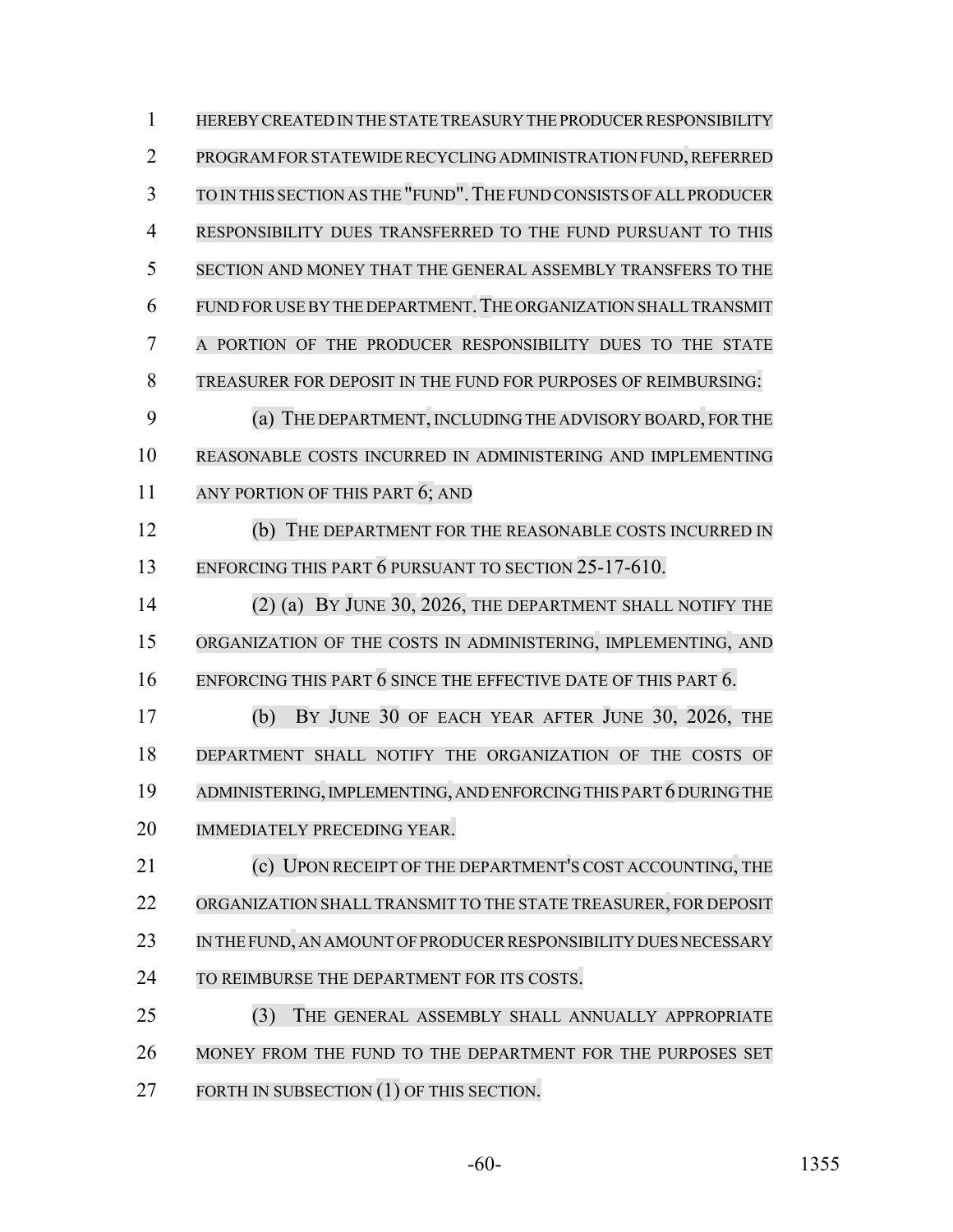| $\mathbf{1}$   | HEREBY CREATED IN THE STATE TREASURY THE PRODUCER RESPONSIBILITY    |
|----------------|---------------------------------------------------------------------|
| $\overline{2}$ | PROGRAM FOR STATEWIDE RECYCLING ADMINISTRATION FUND, REFERRED       |
| 3              | TO IN THIS SECTION AS THE "FUND". THE FUND CONSISTS OF ALL PRODUCER |
| $\overline{4}$ | RESPONSIBILITY DUES TRANSFERRED TO THE FUND PURSUANT TO THIS        |
| 5              | SECTION AND MONEY THAT THE GENERAL ASSEMBLY TRANSFERS TO THE        |
| 6              | FUND FOR USE BY THE DEPARTMENT. THE ORGANIZATION SHALL TRANSMIT     |
| 7              | A PORTION OF THE PRODUCER RESPONSIBILITY DUES TO THE STATE          |
| 8              | TREASURER FOR DEPOSIT IN THE FUND FOR PURPOSES OF REIMBURSING:      |
| 9              | (a) THE DEPARTMENT, INCLUDING THE ADVISORY BOARD, FOR THE           |
| 10             | REASONABLE COSTS INCURRED IN ADMINISTERING AND IMPLEMENTING         |
| 11             | ANY PORTION OF THIS PART 6; AND                                     |
| 12             | (b)<br>THE DEPARTMENT FOR THE REASONABLE COSTS INCURRED IN          |
| 13             | ENFORCING THIS PART 6 PURSUANT TO SECTION 25-17-610.                |
| 14             | (2) (a) BY JUNE 30, 2026, THE DEPARTMENT SHALL NOTIFY THE           |
| 15             | ORGANIZATION OF THE COSTS IN ADMINISTERING, IMPLEMENTING, AND       |
| 16             | ENFORCING THIS PART $6$ SINCE THE EFFECTIVE DATE OF THIS PART $6$ . |
| 17             | BY JUNE 30 OF EACH YEAR AFTER JUNE 30, 2026, THE<br>(b)             |
| 18             | DEPARTMENT SHALL NOTIFY THE ORGANIZATION OF THE COSTS OF            |
| 19             | ADMINISTERING, IMPLEMENTING, AND ENFORCING THIS PART 6 DURING THE   |
| 20             | <b>IMMEDIATELY PRECEDING YEAR.</b>                                  |
| 21             | (c) UPON RECEIPT OF THE DEPARTMENT'S COST ACCOUNTING, THE           |
| 22             | ORGANIZATION SHALL TRANSMIT TO THE STATE TREASURER, FOR DEPOSIT     |
| 23             | IN THE FUND, AN AMOUNT OF PRODUCER RESPONSIBILITY DUES NECESSARY    |
| 24             | TO REIMBURSE THE DEPARTMENT FOR ITS COSTS.                          |
| 25             | (3)<br>THE GENERAL ASSEMBLY SHALL ANNUALLY APPROPRIATE              |
| 26             | MONEY FROM THE FUND TO THE DEPARTMENT FOR THE PURPOSES SET          |
| 27             | FORTH IN SUBSECTION (1) OF THIS SECTION.                            |

-60- 1355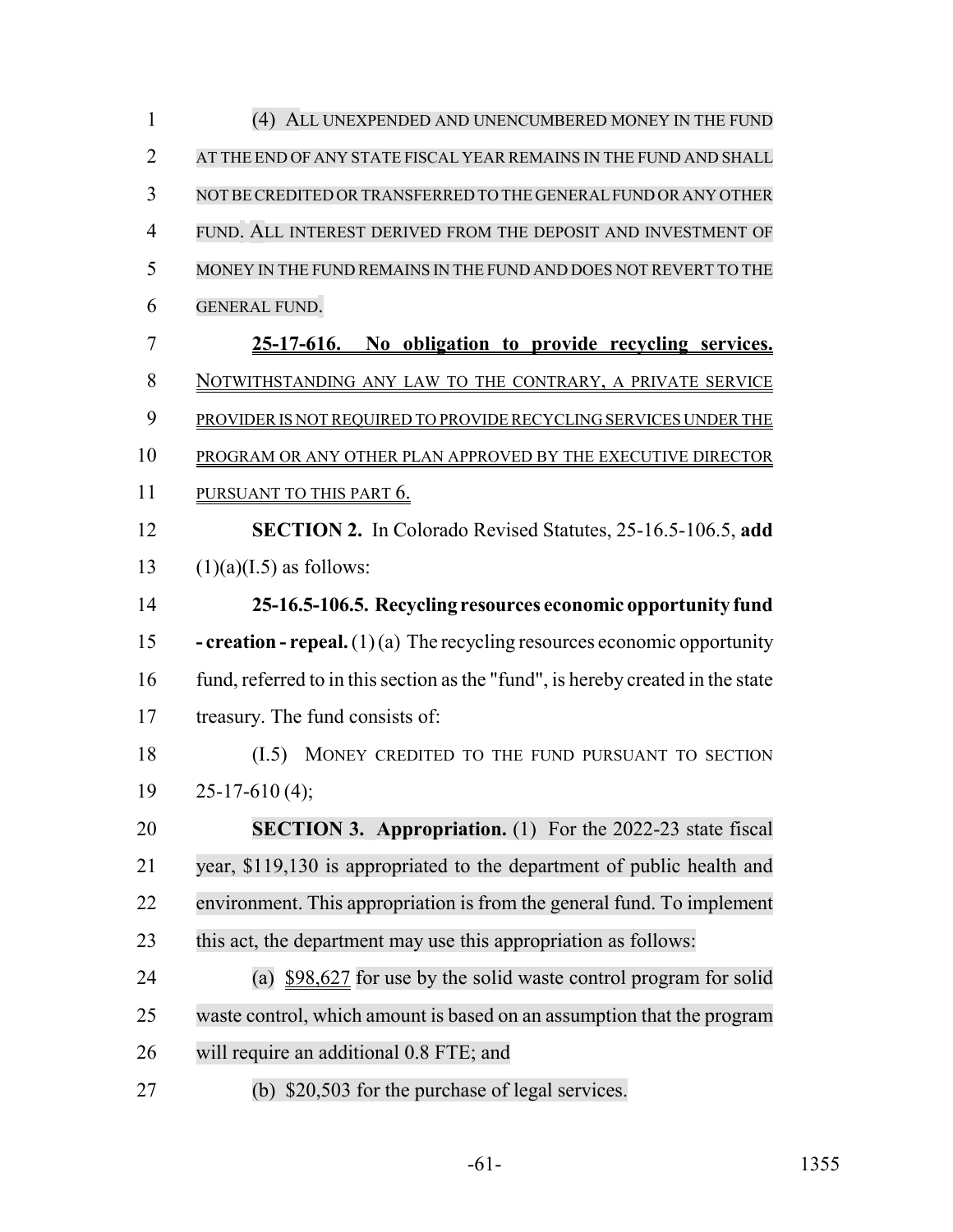| $\mathbf{1}$   | (4) ALL UNEXPENDED AND UNENCUMBERED MONEY IN THE FUND                             |
|----------------|-----------------------------------------------------------------------------------|
| $\overline{2}$ | AT THE END OF ANY STATE FISCAL YEAR REMAINS IN THE FUND AND SHALL                 |
| 3              | NOT BE CREDITED OR TRANSFERRED TO THE GENERAL FUND OR ANY OTHER                   |
| $\overline{4}$ | FUND. ALL INTEREST DERIVED FROM THE DEPOSIT AND INVESTMENT OF                     |
| 5              | MONEY IN THE FUND REMAINS IN THE FUND AND DOES NOT REVERT TO THE                  |
| 6              | <b>GENERAL FUND.</b>                                                              |
| 7              | 25-17-616. No obligation to provide recycling services.                           |
| 8              | NOTWITHSTANDING ANY LAW TO THE CONTRARY, A PRIVATE SERVICE                        |
| 9              | PROVIDER IS NOT REQUIRED TO PROVIDE RECYCLING SERVICES UNDER THE                  |
| 10             | PROGRAM OR ANY OTHER PLAN APPROVED BY THE EXECUTIVE DIRECTOR                      |
| 11             | PURSUANT TO THIS PART 6.                                                          |
| 12             | <b>SECTION 2.</b> In Colorado Revised Statutes, 25-16.5-106.5, add                |
| 13             | $(1)(a)(I.5)$ as follows:                                                         |
| 14             | 25-16.5-106.5. Recycling resources economic opportunity fund                      |
| 15             | <b>- creation - repeal.</b> $(1)(a)$ The recycling resources economic opportunity |
| 16             | fund, referred to in this section as the "fund", is hereby created in the state   |
| 17             | treasury. The fund consists of:                                                   |
| 18             | (I.5)<br>MONEY CREDITED TO THE FUND PURSUANT TO SECTION                           |
| 19             | $25 - 17 - 610(4);$                                                               |
| 20             | <b>SECTION 3. Appropriation.</b> (1) For the 2022-23 state fiscal                 |
| 21             | year, \$119,130 is appropriated to the department of public health and            |
| 22             | environment. This appropriation is from the general fund. To implement            |
| 23             | this act, the department may use this appropriation as follows:                   |
| 24             | (a) $$98,627$ for use by the solid waste control program for solid                |
| 25             | waste control, which amount is based on an assumption that the program            |
| 26             | will require an additional 0.8 FTE; and                                           |
| 27             | (b) \$20,503 for the purchase of legal services.                                  |